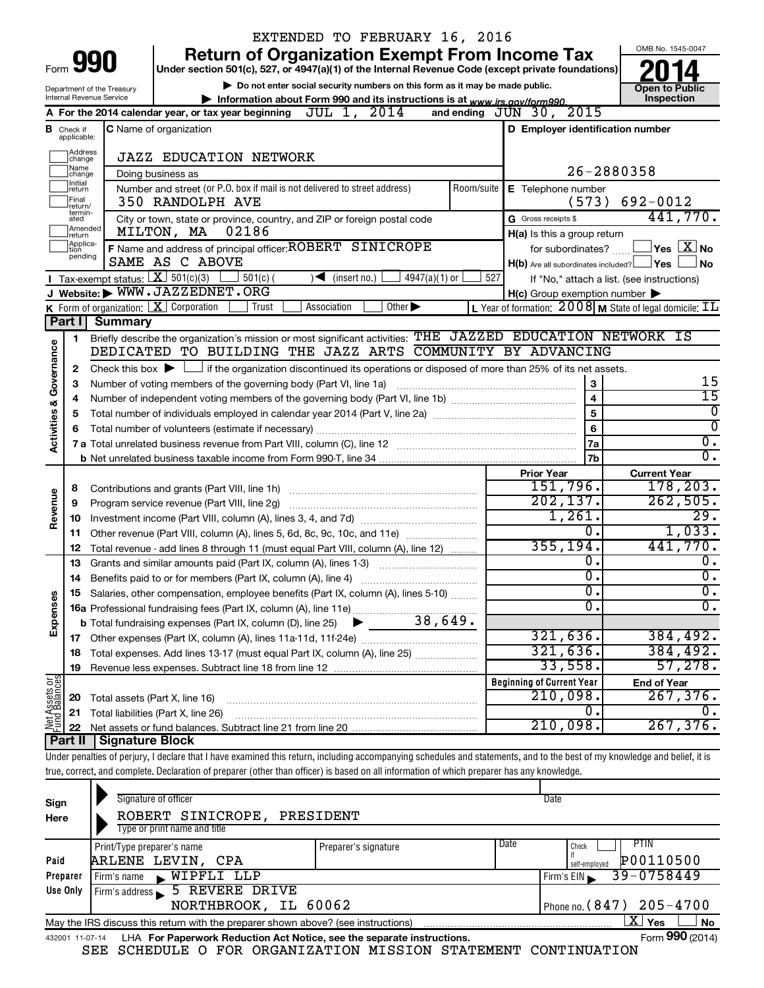|                                                                                                                                              |                                  |                                             | EXTENDED TO FEBRUARY 16, 2016                                                                                                                                              |                                                                    |                                            |  |  |  |  |
|----------------------------------------------------------------------------------------------------------------------------------------------|----------------------------------|---------------------------------------------|----------------------------------------------------------------------------------------------------------------------------------------------------------------------------|--------------------------------------------------------------------|--------------------------------------------|--|--|--|--|
|                                                                                                                                              |                                  |                                             | <b>Return of Organization Exempt From Income Tax</b>                                                                                                                       |                                                                    | OMB No. 1545-0047                          |  |  |  |  |
| Form                                                                                                                                         |                                  | 990                                         | Under section 501(c), 527, or 4947(a)(1) of the Internal Revenue Code (except private foundations)                                                                         |                                                                    |                                            |  |  |  |  |
|                                                                                                                                              |                                  | Department of the Treasury                  | Do not enter social security numbers on this form as it may be made public.                                                                                                |                                                                    | <b>Open to Public</b><br>Inspection        |  |  |  |  |
| <b>Internal Revenue Service</b><br>Information about Form 990 and its instructions is at www.irs.gov/form990.<br>and ending $JUN$ 30, $2015$ |                                  |                                             |                                                                                                                                                                            |                                                                    |                                            |  |  |  |  |
|                                                                                                                                              |                                  |                                             | A For the 2014 calendar year, or tax year beginning $JUL$ 1, $2014$                                                                                                        |                                                                    |                                            |  |  |  |  |
|                                                                                                                                              | <b>B</b> Check if<br>applicable: |                                             | <b>C</b> Name of organization                                                                                                                                              | D Employer identification number                                   |                                            |  |  |  |  |
|                                                                                                                                              | Address<br>change                |                                             | <b>JAZZ EDUCATION NETWORK</b>                                                                                                                                              |                                                                    |                                            |  |  |  |  |
|                                                                                                                                              | Name<br>change                   | Doing business as                           |                                                                                                                                                                            | 26-2880358                                                         |                                            |  |  |  |  |
|                                                                                                                                              | Initial<br>return<br>Final       | 692-0012                                    |                                                                                                                                                                            |                                                                    |                                            |  |  |  |  |
|                                                                                                                                              | return/<br>termin-               |                                             | 350 RANDOLPH AVE<br>City or town, state or province, country, and ZIP or foreign postal code                                                                               | (573)<br>G Gross receipts \$                                       | 441,770.                                   |  |  |  |  |
|                                                                                                                                              | ated<br>Amended                  | H(a) Is this a group return                 |                                                                                                                                                                            |                                                                    |                                            |  |  |  |  |
|                                                                                                                                              | Ireturn<br>Applica-<br>tion      |                                             | 02186<br>MILTON, MA<br>F Name and address of principal officer: ROBERT SINICROPE                                                                                           | for subordinates?                                                  | $\Box$ Yes $[\overline{\mathrm{X}}]$ No    |  |  |  |  |
|                                                                                                                                              | pending                          |                                             | SAME AS C ABOVE                                                                                                                                                            | $H(b)$ Are all subordinates included? $\Box$ Yes                   | ∣ No                                       |  |  |  |  |
|                                                                                                                                              |                                  | <b>I</b> Tax-exempt status: $X \ 501(c)(3)$ | $501(c)$ (<br>$4947(a)(1)$ or<br>$\sqrt{\frac{1}{1}}$ (insert no.)                                                                                                         | 527                                                                | If "No," attach a list. (see instructions) |  |  |  |  |
|                                                                                                                                              |                                  |                                             | J Website: WWW.JAZZEDNET.ORG                                                                                                                                               | $H(c)$ Group exemption number $\blacktriangleright$                |                                            |  |  |  |  |
|                                                                                                                                              |                                  |                                             | K Form of organization: X Corporation<br>Association<br>Other $\blacktriangleright$<br>Trust                                                                               | L Year of formation: $2008$ M State of legal domicile: $\text{IL}$ |                                            |  |  |  |  |
|                                                                                                                                              | Part I                           | <b>Summary</b>                              |                                                                                                                                                                            |                                                                    |                                            |  |  |  |  |
|                                                                                                                                              | 1                                |                                             | Briefly describe the organization's mission or most significant activities: THE JAZZED EDUCATION NETWORK IS                                                                |                                                                    |                                            |  |  |  |  |
| <b>Activities &amp; Governance</b>                                                                                                           |                                  |                                             | DEDICATED TO BUILDING THE JAZZ ARTS COMMUNITY BY ADVANCING                                                                                                                 |                                                                    |                                            |  |  |  |  |
|                                                                                                                                              | 2                                |                                             | Check this box $\blacktriangleright$ $\Box$ if the organization discontinued its operations or disposed of more than 25% of its net assets.                                |                                                                    |                                            |  |  |  |  |
|                                                                                                                                              | з                                |                                             | Number of voting members of the governing body (Part VI, line 1a)                                                                                                          | 3                                                                  | 15                                         |  |  |  |  |
|                                                                                                                                              | 4                                |                                             |                                                                                                                                                                            | $\overline{\mathbf{4}}$                                            | $\overline{15}$                            |  |  |  |  |
|                                                                                                                                              | 5                                |                                             |                                                                                                                                                                            | $\overline{5}$                                                     | 0                                          |  |  |  |  |
|                                                                                                                                              | 6                                |                                             |                                                                                                                                                                            | 6                                                                  | $\overline{0}$                             |  |  |  |  |
|                                                                                                                                              |                                  |                                             |                                                                                                                                                                            | 7a                                                                 | $\overline{0}$ .                           |  |  |  |  |
|                                                                                                                                              |                                  |                                             |                                                                                                                                                                            | 7b                                                                 | $\overline{0}$ .                           |  |  |  |  |
|                                                                                                                                              |                                  |                                             |                                                                                                                                                                            | <b>Prior Year</b>                                                  | <b>Current Year</b>                        |  |  |  |  |
|                                                                                                                                              | 8                                |                                             |                                                                                                                                                                            | 151,796.                                                           | 178, 203.                                  |  |  |  |  |
|                                                                                                                                              | 9                                |                                             | Program service revenue (Part VIII, line 2g)                                                                                                                               | 202, 137.                                                          | 262,505.                                   |  |  |  |  |
| Revenue                                                                                                                                      | 10                               |                                             |                                                                                                                                                                            | 1,261.                                                             | 29.                                        |  |  |  |  |
|                                                                                                                                              | 11                               |                                             | Other revenue (Part VIII, column (A), lines 5, 6d, 8c, 9c, 10c, and 11e)                                                                                                   | 0.                                                                 | 1,033.                                     |  |  |  |  |
|                                                                                                                                              | 12                               |                                             | Total revenue - add lines 8 through 11 (must equal Part VIII, column (A), line 12)                                                                                         | 355, 194.                                                          | 441,770.                                   |  |  |  |  |
|                                                                                                                                              | 13                               |                                             | Grants and similar amounts paid (Part IX, column (A), lines 1-3)                                                                                                           | Ο.                                                                 | 0.                                         |  |  |  |  |
|                                                                                                                                              | 14                               |                                             | Benefits paid to or for members (Part IX, column (A), line 4)                                                                                                              | σ.                                                                 | $\overline{0}$ .                           |  |  |  |  |
|                                                                                                                                              | 15                               |                                             | Salaries, other compensation, employee benefits (Part IX, column (A), lines 5-10)                                                                                          | υ.                                                                 | $\mathbf{0}$ .                             |  |  |  |  |
| Expenses                                                                                                                                     |                                  |                                             |                                                                                                                                                                            | О.                                                                 | $\overline{0}$ .                           |  |  |  |  |
|                                                                                                                                              |                                  |                                             |                                                                                                                                                                            |                                                                    |                                            |  |  |  |  |
|                                                                                                                                              | 17                               |                                             |                                                                                                                                                                            | 321,636.                                                           | 384,492.                                   |  |  |  |  |
|                                                                                                                                              | 18                               |                                             | Total expenses. Add lines 13-17 (must equal Part IX, column (A), line 25)                                                                                                  | 321,636.                                                           | 384,492.                                   |  |  |  |  |
|                                                                                                                                              | 19                               |                                             |                                                                                                                                                                            | 33,558.                                                            | 57,278.                                    |  |  |  |  |
| <b>Net Assets or</b><br>Fund Balances                                                                                                        |                                  |                                             |                                                                                                                                                                            | <b>Beginning of Current Year</b>                                   | <b>End of Year</b>                         |  |  |  |  |
|                                                                                                                                              | 20                               | Total assets (Part X, line 16)              |                                                                                                                                                                            | 210,098.                                                           | 267, 376.                                  |  |  |  |  |
|                                                                                                                                              | 21                               |                                             | Total liabilities (Part X, line 26)                                                                                                                                        | Ο.                                                                 | υ.                                         |  |  |  |  |
|                                                                                                                                              | 22                               |                                             |                                                                                                                                                                            | 210,098.                                                           | 267,376.                                   |  |  |  |  |
|                                                                                                                                              | Part II                          | <b>Signature Block</b>                      |                                                                                                                                                                            |                                                                    |                                            |  |  |  |  |
|                                                                                                                                              |                                  |                                             | Under penalties of perjury, I declare that I have examined this return, including accompanying schedules and statements, and to the best of my knowledge and belief, it is |                                                                    |                                            |  |  |  |  |
|                                                                                                                                              |                                  |                                             | true, correct, and complete. Declaration of preparer (other than officer) is based on all information of which preparer has any knowledge.                                 |                                                                    |                                            |  |  |  |  |
|                                                                                                                                              |                                  |                                             |                                                                                                                                                                            |                                                                    |                                            |  |  |  |  |
| Sign                                                                                                                                         |                                  |                                             | Signature of officer                                                                                                                                                       | Date                                                               |                                            |  |  |  |  |

| .<br>Here | ROBERT SINICROPE,<br>Type or print name and title                                                                 | PRESIDENT                    |                              |  |  |  |  |  |  |  |
|-----------|-------------------------------------------------------------------------------------------------------------------|------------------------------|------------------------------|--|--|--|--|--|--|--|
|           | Print/Type preparer's name                                                                                        | Date<br>Preparer's signature | PTIN<br>Check                |  |  |  |  |  |  |  |
| Paid      | ARLENE LEVIN, CPA                                                                                                 |                              | P00110500<br>self-employed   |  |  |  |  |  |  |  |
| Preparer  | WIPFLI LLP<br>Firm's name                                                                                         |                              | $39 - 0758449$<br>Firm's EIN |  |  |  |  |  |  |  |
| Use Only  | Firm's address 5 REVERE DRIVE                                                                                     |                              |                              |  |  |  |  |  |  |  |
|           | Phone no. $(847)$ 205-4700<br>NORTHBROOK, IL 60062                                                                |                              |                              |  |  |  |  |  |  |  |
|           | $X \mid$<br><b>No</b><br>Yes<br>May the IRS discuss this return with the preparer shown above? (see instructions) |                              |                              |  |  |  |  |  |  |  |
|           | Form 990 (2014)<br>LHA For Paperwork Reduction Act Notice, see the separate instructions.<br>432001 11-07-14      |                              |                              |  |  |  |  |  |  |  |

SEE SCHEDULE O FOR ORGANIZATION MISSION STATEMENT CONTINUATION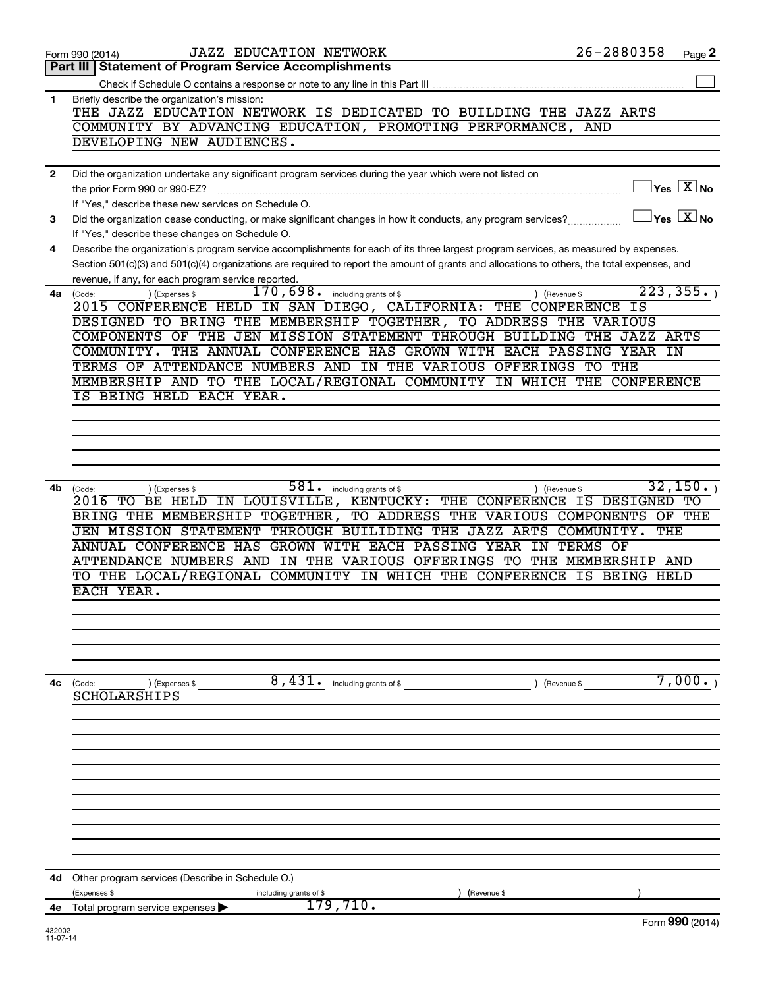|     | <b>JAZZ EDUCATION NETWORK</b><br>Form 990 (2014)                                                                                             | 26-2880358                     | Page 2                                               |
|-----|----------------------------------------------------------------------------------------------------------------------------------------------|--------------------------------|------------------------------------------------------|
|     | <b>Statement of Program Service Accomplishments</b><br>Part III                                                                              |                                |                                                      |
|     |                                                                                                                                              |                                |                                                      |
| 1   | Briefly describe the organization's mission:                                                                                                 |                                |                                                      |
|     | THE JAZZ EDUCATION NETWORK IS DEDICATED TO BUILDING THE JAZZ ARTS                                                                            |                                |                                                      |
|     | COMMUNITY BY ADVANCING EDUCATION, PROMOTING PERFORMANCE,                                                                                     | AND                            |                                                      |
|     | DEVELOPING NEW AUDIENCES.                                                                                                                    |                                |                                                      |
| 2   | Did the organization undertake any significant program services during the year which were not listed on                                     |                                |                                                      |
|     | the prior Form 990 or 990-EZ?                                                                                                                |                                | $\sqrt{\mathsf{Yes}\ \mathbb{X}}$ No                 |
|     | If "Yes," describe these new services on Schedule O.                                                                                         |                                |                                                      |
| 3   | Did the organization cease conducting, or make significant changes in how it conducts, any program services?                                 |                                | $\overline{\mathsf{Yes}}$ $\overline{\mathsf{X}}$ No |
|     | If "Yes," describe these changes on Schedule O.                                                                                              |                                |                                                      |
| 4   | Describe the organization's program service accomplishments for each of its three largest program services, as measured by expenses.         |                                |                                                      |
|     | Section 501(c)(3) and 501(c)(4) organizations are required to report the amount of grants and allocations to others, the total expenses, and |                                |                                                      |
|     | revenue, if any, for each program service reported.                                                                                          |                                |                                                      |
|     | $170,698$ $\cdot$ including grants of \$<br>) (Revenue \$<br>4a (Code:<br>(Expenses \$                                                       |                                | 223, 355.                                            |
|     | 2015 CONFERENCE HELD IN SAN DIEGO, CALIFORNIA: THE CONFERENCE                                                                                | ΙS                             |                                                      |
|     | DESIGNED TO BRING THE MEMBERSHIP TOGETHER, TO ADDRESS THE VARIOUS                                                                            |                                |                                                      |
|     | COMPONENTS OF THE JEN MISSION STATEMENT THROUGH BUILDING THE JAZZ ARTS                                                                       |                                |                                                      |
|     | THE ANNUAL CONFERENCE HAS GROWN WITH EACH PASSING YEAR IN<br>COMMUNITY.<br>TERMS OF ATTENDANCE NUMBERS AND IN THE VARIOUS OFFERINGS          | TO THE                         |                                                      |
|     | MEMBERSHIP AND TO THE LOCAL/REGIONAL COMMUNITY IN WHICH THE CONFERENCE                                                                       |                                |                                                      |
|     | IS BEING HELD EACH YEAR.                                                                                                                     |                                |                                                      |
|     |                                                                                                                                              |                                |                                                      |
|     |                                                                                                                                              |                                |                                                      |
|     |                                                                                                                                              |                                |                                                      |
|     |                                                                                                                                              |                                |                                                      |
|     |                                                                                                                                              |                                |                                                      |
| 4b. | 581.<br>) (Expenses \$<br>including grants of \$<br>) (Revenue \$<br>(Code:                                                                  |                                | 32,150.                                              |
|     | 2016 TO BE HELD IN LOUISVILLE, KENTUCKY: THE CONFERENCE IS DESIGNED TO                                                                       |                                |                                                      |
|     | BRING THE MEMBERSHIP TOGETHER, TO ADDRESS THE VARIOUS COMPONENTS                                                                             |                                | OF THE                                               |
|     | JEN MISSION STATEMENT THROUGH BUILIDING THE JAZZ ARTS COMMUNITY.                                                                             |                                | THE                                                  |
|     | ANNUAL CONFERENCE HAS GROWN WITH EACH PASSING YEAR<br>ΙN<br>ATTENDANCE NUMBERS AND IN THE VARIOUS OFFERINGS TO                               | TERMS OF<br>THE MEMBERSHIP AND |                                                      |
|     | THE LOCAL/REGIONAL COMMUNITY IN WHICH THE CONFERENCE<br>TО                                                                                   | IS BEING HELD                  |                                                      |
|     | EACH YEAR.                                                                                                                                   |                                |                                                      |
|     |                                                                                                                                              |                                |                                                      |
|     |                                                                                                                                              |                                |                                                      |
|     |                                                                                                                                              |                                |                                                      |
|     |                                                                                                                                              |                                |                                                      |
|     |                                                                                                                                              |                                |                                                      |
| 4с  | 8,431. including grants of \$<br>) (Revenue \$<br>(Code:<br>) (Expenses \$                                                                   |                                | 7,000.                                               |
|     | <b>SCHOLARSHIPS</b>                                                                                                                          |                                |                                                      |
|     |                                                                                                                                              |                                |                                                      |
|     |                                                                                                                                              |                                |                                                      |
|     |                                                                                                                                              |                                |                                                      |
|     |                                                                                                                                              |                                |                                                      |
|     |                                                                                                                                              |                                |                                                      |
|     |                                                                                                                                              |                                |                                                      |
|     |                                                                                                                                              |                                |                                                      |
|     |                                                                                                                                              |                                |                                                      |
|     |                                                                                                                                              |                                |                                                      |
|     |                                                                                                                                              |                                |                                                      |
| 4d  | Other program services (Describe in Schedule O.)                                                                                             |                                |                                                      |
| 4е  | (Expenses \$<br>including grants of \$<br>(Revenue \$<br>179,710.                                                                            |                                |                                                      |
|     | Total program service expenses                                                                                                               |                                | Form 990 (2014)                                      |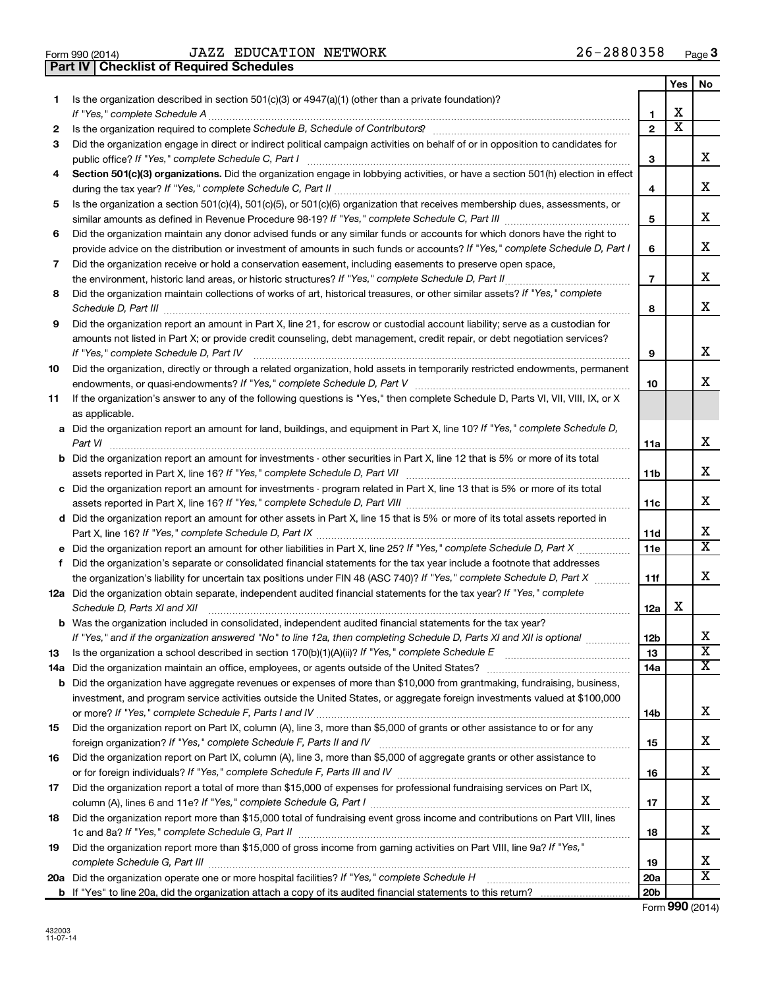**Part IV Checklist of Required Schedules**

 $\frac{1}{100}$  Form 990 (2014) UAZZ EDUCATION NETWORK  $\frac{1}{100}$  and  $\frac{1}{100}$   $\frac{1}{20}$   $\frac{1}{20}$   $\frac{1}{20}$ JAZZ EDUCATION NETWORK

|    |                                                                                                                                                                                                                                           |                       | Yes                     | No                      |  |  |
|----|-------------------------------------------------------------------------------------------------------------------------------------------------------------------------------------------------------------------------------------------|-----------------------|-------------------------|-------------------------|--|--|
| 1. | Is the organization described in section $501(c)(3)$ or $4947(a)(1)$ (other than a private foundation)?                                                                                                                                   |                       |                         |                         |  |  |
|    | If "Yes," complete Schedule A                                                                                                                                                                                                             | 1                     | х                       |                         |  |  |
| 2  |                                                                                                                                                                                                                                           | $\mathbf{2}$          | $\overline{\textbf{x}}$ |                         |  |  |
| 3  | Did the organization engage in direct or indirect political campaign activities on behalf of or in opposition to candidates for                                                                                                           |                       |                         |                         |  |  |
|    | public office? If "Yes," complete Schedule C, Part I                                                                                                                                                                                      | 3                     |                         | x                       |  |  |
| 4  | Section 501(c)(3) organizations. Did the organization engage in lobbying activities, or have a section 501(h) election in effect                                                                                                          |                       |                         |                         |  |  |
|    |                                                                                                                                                                                                                                           | 4                     |                         | x                       |  |  |
| 5  | Is the organization a section 501(c)(4), 501(c)(5), or 501(c)(6) organization that receives membership dues, assessments, or                                                                                                              |                       |                         |                         |  |  |
|    |                                                                                                                                                                                                                                           | 5                     |                         | x                       |  |  |
| 6  | Did the organization maintain any donor advised funds or any similar funds or accounts for which donors have the right to                                                                                                                 |                       |                         | x                       |  |  |
|    | provide advice on the distribution or investment of amounts in such funds or accounts? If "Yes," complete Schedule D, Part I<br>Did the organization receive or hold a conservation easement, including easements to preserve open space, | 6                     |                         |                         |  |  |
| 7  | the environment, historic land areas, or historic structures? If "Yes," complete Schedule D, Part II                                                                                                                                      | $\overline{7}$        |                         | x                       |  |  |
|    | Did the organization maintain collections of works of art, historical treasures, or other similar assets? If "Yes," complete<br>8                                                                                                         |                       |                         |                         |  |  |
|    |                                                                                                                                                                                                                                           | 8                     |                         | x                       |  |  |
| 9  | Did the organization report an amount in Part X, line 21, for escrow or custodial account liability; serve as a custodian for                                                                                                             |                       |                         |                         |  |  |
|    | amounts not listed in Part X; or provide credit counseling, debt management, credit repair, or debt negotiation services?                                                                                                                 |                       |                         |                         |  |  |
|    | If "Yes," complete Schedule D, Part IV                                                                                                                                                                                                    | 9                     |                         | x                       |  |  |
| 10 | Did the organization, directly or through a related organization, hold assets in temporarily restricted endowments, permanent                                                                                                             |                       |                         |                         |  |  |
|    |                                                                                                                                                                                                                                           | 10                    |                         | x.                      |  |  |
| 11 | If the organization's answer to any of the following questions is "Yes," then complete Schedule D, Parts VI, VII, VIII, IX, or X                                                                                                          |                       |                         |                         |  |  |
|    | as applicable.                                                                                                                                                                                                                            |                       |                         |                         |  |  |
|    | a Did the organization report an amount for land, buildings, and equipment in Part X, line 10? If "Yes," complete Schedule D,                                                                                                             |                       |                         |                         |  |  |
|    | Part VI                                                                                                                                                                                                                                   | 11a                   |                         | x                       |  |  |
|    | <b>b</b> Did the organization report an amount for investments - other securities in Part X, line 12 that is 5% or more of its total                                                                                                      |                       |                         |                         |  |  |
|    |                                                                                                                                                                                                                                           | 11b                   |                         | x                       |  |  |
|    | c Did the organization report an amount for investments - program related in Part X, line 13 that is 5% or more of its total                                                                                                              |                       |                         |                         |  |  |
|    |                                                                                                                                                                                                                                           | 11c                   |                         | x                       |  |  |
|    | d Did the organization report an amount for other assets in Part X, line 15 that is 5% or more of its total assets reported in                                                                                                            |                       |                         |                         |  |  |
|    |                                                                                                                                                                                                                                           | 11d                   |                         | х                       |  |  |
|    | e Did the organization report an amount for other liabilities in Part X, line 25? If "Yes," complete Schedule D, Part X                                                                                                                   | 11e                   |                         | $\overline{\mathtt{x}}$ |  |  |
| f. | Did the organization's separate or consolidated financial statements for the tax year include a footnote that addresses                                                                                                                   |                       |                         |                         |  |  |
|    | the organization's liability for uncertain tax positions under FIN 48 (ASC 740)? If "Yes," complete Schedule D, Part X                                                                                                                    | 11f                   |                         | x.                      |  |  |
|    | 12a Did the organization obtain separate, independent audited financial statements for the tax year? If "Yes," complete                                                                                                                   |                       | x                       |                         |  |  |
|    | Schedule D, Parts XI and XII                                                                                                                                                                                                              | 12a                   |                         |                         |  |  |
|    | b Was the organization included in consolidated, independent audited financial statements for the tax year?                                                                                                                               |                       |                         | х                       |  |  |
| 13 | If "Yes," and if the organization answered "No" to line 12a, then completing Schedule D, Parts XI and XII is optional www.                                                                                                                | 12 <sub>b</sub><br>13 |                         | $\overline{\textbf{x}}$ |  |  |
|    |                                                                                                                                                                                                                                           | 14a                   |                         | X                       |  |  |
|    | <b>b</b> Did the organization have aggregate revenues or expenses of more than \$10,000 from grantmaking, fundraising, business,                                                                                                          |                       |                         |                         |  |  |
|    | investment, and program service activities outside the United States, or aggregate foreign investments valued at \$100,000                                                                                                                |                       |                         |                         |  |  |
|    |                                                                                                                                                                                                                                           | 14b                   |                         | x                       |  |  |
| 15 | Did the organization report on Part IX, column (A), line 3, more than \$5,000 of grants or other assistance to or for any                                                                                                                 |                       |                         |                         |  |  |
|    |                                                                                                                                                                                                                                           | 15                    |                         | X.                      |  |  |
| 16 | Did the organization report on Part IX, column (A), line 3, more than \$5,000 of aggregate grants or other assistance to                                                                                                                  |                       |                         |                         |  |  |
|    |                                                                                                                                                                                                                                           | 16                    |                         | x                       |  |  |
| 17 | Did the organization report a total of more than \$15,000 of expenses for professional fundraising services on Part IX,                                                                                                                   |                       |                         |                         |  |  |
|    |                                                                                                                                                                                                                                           | 17                    |                         | x                       |  |  |
| 18 | Did the organization report more than \$15,000 total of fundraising event gross income and contributions on Part VIII, lines                                                                                                              |                       |                         |                         |  |  |
|    |                                                                                                                                                                                                                                           | 18                    |                         | x                       |  |  |
| 19 | Did the organization report more than \$15,000 of gross income from gaming activities on Part VIII, line 9a? If "Yes,"                                                                                                                    |                       |                         |                         |  |  |
|    |                                                                                                                                                                                                                                           | 19                    |                         | x                       |  |  |
|    |                                                                                                                                                                                                                                           | 20a                   |                         | $\overline{\textbf{x}}$ |  |  |
|    |                                                                                                                                                                                                                                           | <b>20b</b>            |                         |                         |  |  |

Form (2014) **990**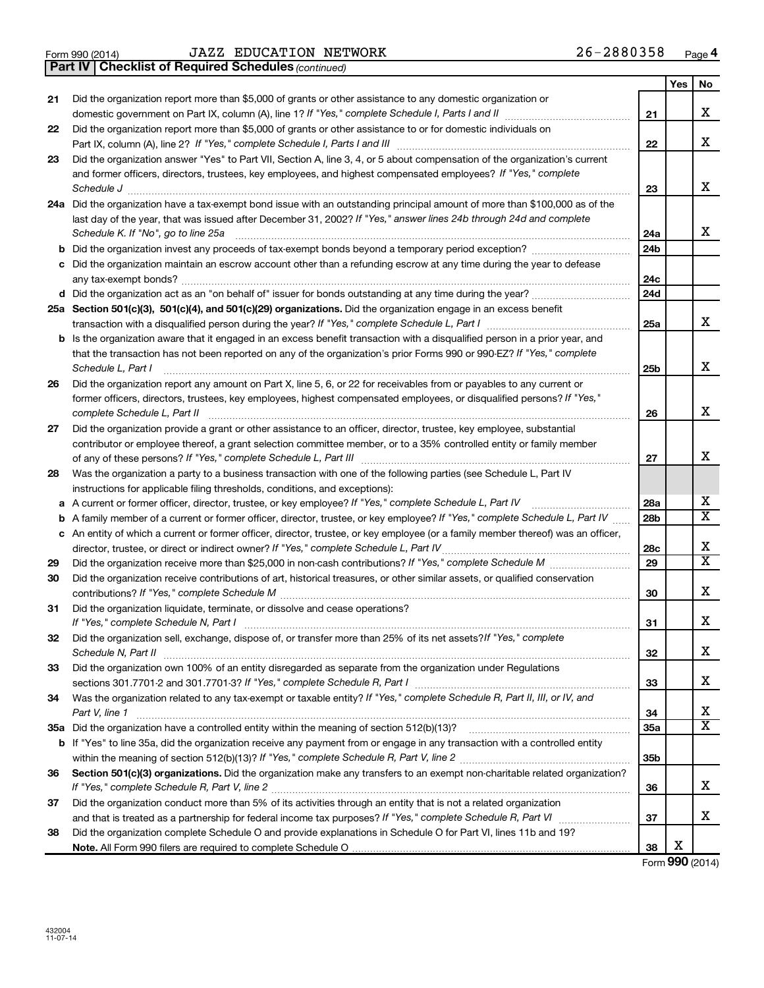**Part IV Checklist of Required Schedules**

 $\frac{1}{100}$  Form 990 (2014) UAZZ EDUCATION NETWORK  $\frac{1}{100}$  and  $\frac{1}{100}$   $\frac{1}{20}$   $\frac{1}{20}$   $\frac{1}{20}$ JAZZ EDUCATION NETWORK 26-2880358

*(continued)*

|    |                                                                                                                                   |                 | Yes | No |
|----|-----------------------------------------------------------------------------------------------------------------------------------|-----------------|-----|----|
| 21 | Did the organization report more than \$5,000 of grants or other assistance to any domestic organization or                       |                 |     |    |
|    | domestic government on Part IX, column (A), line 1? If "Yes," complete Schedule I, Parts I and II                                 | 21              |     | x  |
| 22 | Did the organization report more than \$5,000 of grants or other assistance to or for domestic individuals on                     |                 |     |    |
|    |                                                                                                                                   | 22              |     | x  |
| 23 | Did the organization answer "Yes" to Part VII, Section A, line 3, 4, or 5 about compensation of the organization's current        |                 |     |    |
|    | and former officers, directors, trustees, key employees, and highest compensated employees? If "Yes," complete                    |                 |     |    |
|    | Schedule J                                                                                                                        | 23              |     | х  |
|    | 24a Did the organization have a tax-exempt bond issue with an outstanding principal amount of more than \$100,000 as of the       |                 |     |    |
|    | last day of the year, that was issued after December 31, 2002? If "Yes," answer lines 24b through 24d and complete                |                 |     |    |
|    | Schedule K. If "No", go to line 25a                                                                                               | 24a             |     | x  |
| b  | Did the organization invest any proceeds of tax-exempt bonds beyond a temporary period exception?                                 | 24 <sub>b</sub> |     |    |
| с  | Did the organization maintain an escrow account other than a refunding escrow at any time during the year to defease              |                 |     |    |
|    |                                                                                                                                   | 24c             |     |    |
|    |                                                                                                                                   | 24d             |     |    |
|    | 25a Section 501(c)(3), 501(c)(4), and 501(c)(29) organizations. Did the organization engage in an excess benefit                  |                 |     |    |
|    |                                                                                                                                   | 25a             |     | х  |
| b  | Is the organization aware that it engaged in an excess benefit transaction with a disqualified person in a prior year, and        |                 |     |    |
|    | that the transaction has not been reported on any of the organization's prior Forms 990 or 990-EZ? If "Yes," complete             |                 |     |    |
|    | Schedule L, Part I                                                                                                                | 25b             |     | x  |
| 26 | Did the organization report any amount on Part X, line 5, 6, or 22 for receivables from or payables to any current or             |                 |     |    |
|    | former officers, directors, trustees, key employees, highest compensated employees, or disqualified persons? If "Yes,"            |                 |     |    |
|    | complete Schedule L, Part II                                                                                                      | 26              |     | х  |
| 27 | Did the organization provide a grant or other assistance to an officer, director, trustee, key employee, substantial              |                 |     |    |
|    | contributor or employee thereof, a grant selection committee member, or to a 35% controlled entity or family member               |                 |     | x  |
|    |                                                                                                                                   | 27              |     |    |
| 28 | Was the organization a party to a business transaction with one of the following parties (see Schedule L, Part IV                 |                 |     |    |
|    | instructions for applicable filing thresholds, conditions, and exceptions):                                                       |                 |     | х  |
| а  | A current or former officer, director, trustee, or key employee? If "Yes," complete Schedule L, Part IV                           | 28a             |     | x  |
| b  | A family member of a current or former officer, director, trustee, or key employee? If "Yes," complete Schedule L, Part IV        | 28 <sub>b</sub> |     |    |
|    | c An entity of which a current or former officer, director, trustee, or key employee (or a family member thereof) was an officer, |                 |     | х  |
|    |                                                                                                                                   | 28c<br>29       |     | X  |
| 29 |                                                                                                                                   |                 |     |    |
| 30 | Did the organization receive contributions of art, historical treasures, or other similar assets, or qualified conservation       | 30              |     | x  |
|    |                                                                                                                                   |                 |     |    |
| 31 | Did the organization liquidate, terminate, or dissolve and cease operations?                                                      | 31              |     | x  |
| 32 | Did the organization sell, exchange, dispose of, or transfer more than 25% of its net assets? If "Yes," complete                  |                 |     |    |
|    | Schedule N, Part II                                                                                                               | 32              |     | х  |
| 33 | Did the organization own 100% of an entity disregarded as separate from the organization under Regulations                        |                 |     |    |
|    |                                                                                                                                   | 33              |     | x  |
| 34 | Was the organization related to any tax-exempt or taxable entity? If "Yes," complete Schedule R, Part II, III, or IV, and         |                 |     |    |
|    | Part V, line 1                                                                                                                    | 34              |     | х  |
|    |                                                                                                                                   | 35a             |     | x  |
|    | b If "Yes" to line 35a, did the organization receive any payment from or engage in any transaction with a controlled entity       |                 |     |    |
|    |                                                                                                                                   | 35b             |     |    |
| 36 | Section 501(c)(3) organizations. Did the organization make any transfers to an exempt non-charitable related organization?        |                 |     |    |
|    |                                                                                                                                   | 36              |     | x  |
| 37 | Did the organization conduct more than 5% of its activities through an entity that is not a related organization                  |                 |     |    |
|    |                                                                                                                                   | 37              |     | x  |
| 38 | Did the organization complete Schedule O and provide explanations in Schedule O for Part VI, lines 11b and 19?                    |                 |     |    |
|    |                                                                                                                                   | 38              | X   |    |

Form (2014) **990**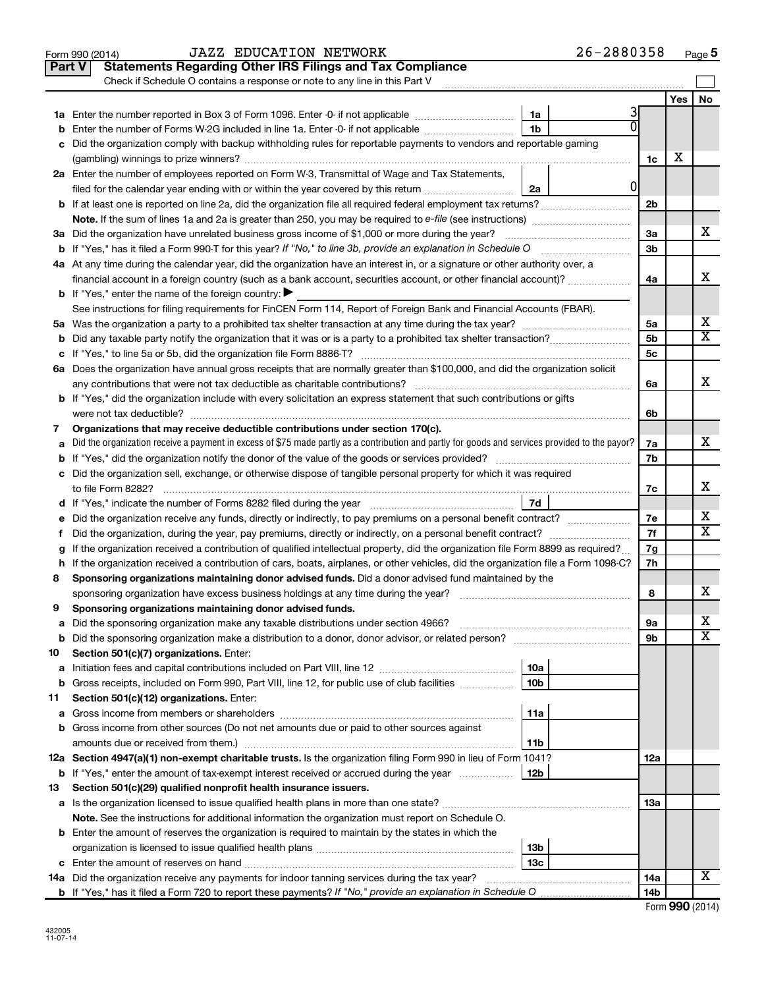|    | <b>JAZZ EDUCATION NETWORK</b><br>Form 990 (2014)                                                                                                  | 26-2880358 |     |     | Page 5                  |  |  |
|----|---------------------------------------------------------------------------------------------------------------------------------------------------|------------|-----|-----|-------------------------|--|--|
|    | <b>Statements Regarding Other IRS Filings and Tax Compliance</b><br><b>Part V</b>                                                                 |            |     |     |                         |  |  |
|    | Check if Schedule O contains a response or note to any line in this Part V                                                                        |            |     |     |                         |  |  |
|    |                                                                                                                                                   |            |     | Yes | No                      |  |  |
|    | 1a                                                                                                                                                | 3          |     |     |                         |  |  |
| b  | Enter the number of Forms W-2G included in line 1a. Enter -0- if not applicable <i>manumumumum</i><br>1b                                          |            |     |     |                         |  |  |
|    | c Did the organization comply with backup withholding rules for reportable payments to vendors and reportable gaming                              |            |     |     |                         |  |  |
|    |                                                                                                                                                   |            | 1c  | х   |                         |  |  |
|    | 2a Enter the number of employees reported on Form W-3, Transmittal of Wage and Tax Statements,                                                    |            |     |     |                         |  |  |
|    | filed for the calendar year ending with or within the year covered by this return<br>2a                                                           | 0          |     |     |                         |  |  |
|    |                                                                                                                                                   |            | 2b  |     |                         |  |  |
|    |                                                                                                                                                   |            |     |     |                         |  |  |
|    | 3a Did the organization have unrelated business gross income of \$1,000 or more during the year?                                                  |            | За  |     | x                       |  |  |
|    |                                                                                                                                                   |            |     |     |                         |  |  |
|    | 4a At any time during the calendar year, did the organization have an interest in, or a signature or other authority over, a                      |            |     |     |                         |  |  |
|    | financial account in a foreign country (such as a bank account, securities account, or other financial account)?                                  |            |     |     |                         |  |  |
|    | <b>b</b> If "Yes," enter the name of the foreign country: $\blacktriangleright$                                                                   |            |     |     |                         |  |  |
|    | See instructions for filing requirements for FinCEN Form 114, Report of Foreign Bank and Financial Accounts (FBAR).                               |            |     |     |                         |  |  |
|    |                                                                                                                                                   |            | 5a  |     | х                       |  |  |
|    |                                                                                                                                                   |            | 5b  |     | $\overline{\texttt{x}}$ |  |  |
|    |                                                                                                                                                   |            | 5c  |     |                         |  |  |
|    | 6a Does the organization have annual gross receipts that are normally greater than \$100,000, and did the organization solicit                    |            |     |     |                         |  |  |
|    | any contributions that were not tax deductible as charitable contributions?                                                                       |            | 6a  |     | X                       |  |  |
|    | <b>b</b> If "Yes," did the organization include with every solicitation an express statement that such contributions or gifts                     |            |     |     |                         |  |  |
|    | were not tax deductible?                                                                                                                          |            |     |     |                         |  |  |
| 7  | Organizations that may receive deductible contributions under section 170(c).                                                                     |            |     |     |                         |  |  |
|    | a Did the organization receive a payment in excess of \$75 made partly as a contribution and partly for goods and services provided to the payor? |            |     |     |                         |  |  |
|    |                                                                                                                                                   |            |     |     |                         |  |  |
|    | c Did the organization sell, exchange, or otherwise dispose of tangible personal property for which it was required                               |            |     |     |                         |  |  |
|    | to file Form 8282?                                                                                                                                |            |     |     |                         |  |  |
|    | d If "Yes," indicate the number of Forms 8282 filed during the year manufactured intervent manufactured in the                                    | 7d         |     |     |                         |  |  |
| е  | Did the organization receive any funds, directly or indirectly, to pay premiums on a personal benefit contract?                                   |            | 7e  |     | х                       |  |  |
| f. | Did the organization, during the year, pay premiums, directly or indirectly, on a personal benefit contract?                                      |            | 7f  |     | $\overline{\text{x}}$   |  |  |
| g  | If the organization received a contribution of qualified intellectual property, did the organization file Form 8899 as required?                  |            | 7g  |     |                         |  |  |
|    | h If the organization received a contribution of cars, boats, airplanes, or other vehicles, did the organization file a Form 1098-C?              |            | 7h  |     |                         |  |  |
| 8  | Sponsoring organizations maintaining donor advised funds. Did a donor advised fund maintained by the                                              |            |     |     |                         |  |  |
|    | sponsoring organization have excess business holdings at any time during the year?                                                                |            | 8   |     | X                       |  |  |
| 9  | Sponsoring organizations maintaining donor advised funds.                                                                                         |            |     |     |                         |  |  |
| а  | Did the sponsoring organization make any taxable distributions under section 4966?                                                                |            | 9а  |     | х                       |  |  |
| b  |                                                                                                                                                   |            | 9b  |     | $\overline{\textbf{x}}$ |  |  |
| 10 | Section 501(c)(7) organizations. Enter:                                                                                                           |            |     |     |                         |  |  |
| а  | 10a                                                                                                                                               |            |     |     |                         |  |  |
| b  | Gross receipts, included on Form 990, Part VIII, line 12, for public use of club facilities<br>10b                                                |            |     |     |                         |  |  |
| 11 | Section 501(c)(12) organizations. Enter:                                                                                                          |            |     |     |                         |  |  |
| а  | 11a                                                                                                                                               |            |     |     |                         |  |  |
| b  | Gross income from other sources (Do not net amounts due or paid to other sources against                                                          |            |     |     |                         |  |  |
|    | 11b                                                                                                                                               |            |     |     |                         |  |  |
|    | 12a Section 4947(a)(1) non-exempt charitable trusts. Is the organization filing Form 990 in lieu of Form 1041?                                    |            | 12a |     |                         |  |  |
| b  | If "Yes," enter the amount of tax-exempt interest received or accrued during the year<br>12b                                                      |            |     |     |                         |  |  |
| 13 | Section 501(c)(29) qualified nonprofit health insurance issuers.                                                                                  |            |     |     |                         |  |  |
|    |                                                                                                                                                   |            | 13a |     |                         |  |  |
|    | Note. See the instructions for additional information the organization must report on Schedule O.                                                 |            |     |     |                         |  |  |
|    | <b>b</b> Enter the amount of reserves the organization is required to maintain by the states in which the                                         |            |     |     |                         |  |  |
|    | 13 <sub>b</sub>                                                                                                                                   |            |     |     |                         |  |  |
|    | 13с                                                                                                                                               |            |     |     |                         |  |  |
|    | <b>14a</b> Did the organization receive any payments for indoor tanning services during the tax year?                                             |            | 14a |     | X                       |  |  |
|    |                                                                                                                                                   |            | 14b |     |                         |  |  |
|    |                                                                                                                                                   |            |     |     |                         |  |  |

|  |  | Form 990 (2014) |
|--|--|-----------------|
|--|--|-----------------|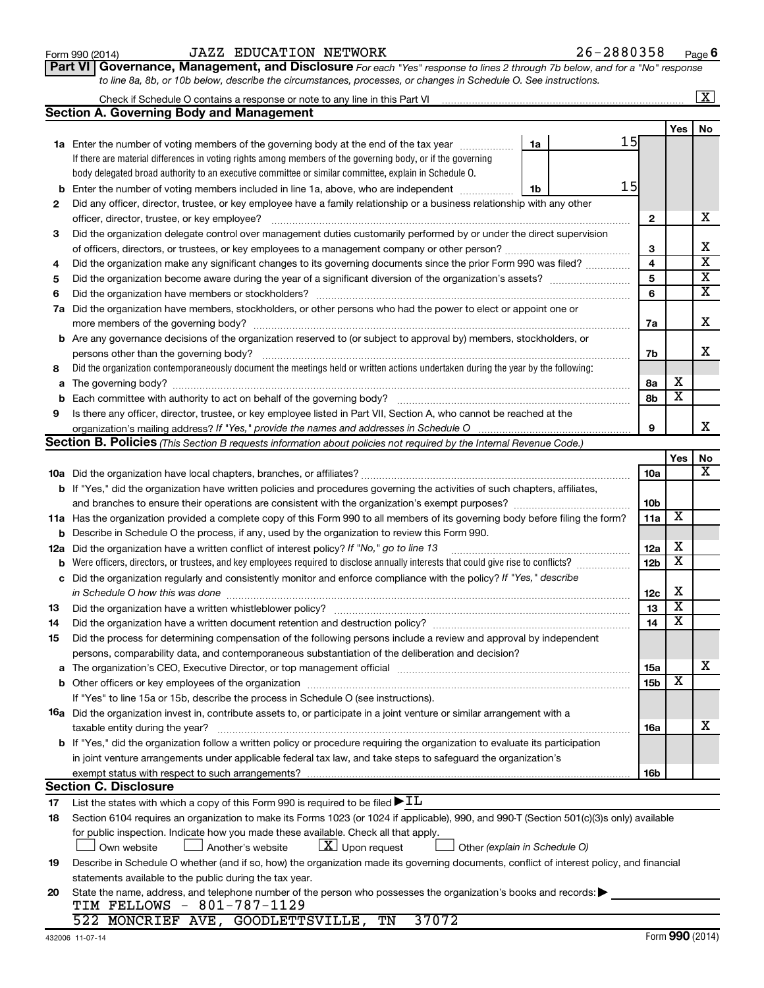| Form 990 (2014) |  |
|-----------------|--|
|-----------------|--|

#### Form 990 (2014)  $JAZZ$  EDUCATION NETWORK  $26-2880358$  Page

| Part VI   Governance, Management, and Disclosure For each "Yes" response to lines 2 through 7b below, and for a "No" response |
|-------------------------------------------------------------------------------------------------------------------------------|
| to line 8a, 8b, or 10b below, describe the circumstances, processes, or changes in Schedule O. See instructions.              |

|     | Check if Schedule O contains a response or note to any line in this Part VI                                                                                                                                                    |                 |                         | $\overline{\mathbf{x}}$ |  |  |  |  |  |
|-----|--------------------------------------------------------------------------------------------------------------------------------------------------------------------------------------------------------------------------------|-----------------|-------------------------|-------------------------|--|--|--|--|--|
|     | <b>Section A. Governing Body and Management</b>                                                                                                                                                                                |                 |                         |                         |  |  |  |  |  |
|     |                                                                                                                                                                                                                                |                 | <b>Yes</b>              | No                      |  |  |  |  |  |
|     | 15<br>1a Enter the number of voting members of the governing body at the end of the tax year<br>1a                                                                                                                             |                 |                         |                         |  |  |  |  |  |
|     | If there are material differences in voting rights among members of the governing body, or if the governing                                                                                                                    |                 |                         |                         |  |  |  |  |  |
|     | body delegated broad authority to an executive committee or similar committee, explain in Schedule O.                                                                                                                          |                 |                         |                         |  |  |  |  |  |
| b   | 15<br>Enter the number of voting members included in line 1a, above, who are independent<br>1b                                                                                                                                 |                 |                         |                         |  |  |  |  |  |
| 2   | Did any officer, director, trustee, or key employee have a family relationship or a business relationship with any other                                                                                                       |                 |                         |                         |  |  |  |  |  |
|     | officer, director, trustee, or key employee?                                                                                                                                                                                   | $\mathbf{2}$    |                         | х                       |  |  |  |  |  |
| 3   | Did the organization delegate control over management duties customarily performed by or under the direct supervision                                                                                                          |                 |                         |                         |  |  |  |  |  |
|     | of officers, directors, or trustees, or key employees to a management company or other person?                                                                                                                                 | 3               |                         | х                       |  |  |  |  |  |
| 4   | Did the organization make any significant changes to its governing documents since the prior Form 990 was filed?                                                                                                               |                 |                         |                         |  |  |  |  |  |
| 5   |                                                                                                                                                                                                                                | 5               |                         | $\overline{\textbf{x}}$ |  |  |  |  |  |
| 6   |                                                                                                                                                                                                                                | 6               |                         | $\overline{\mathbf{X}}$ |  |  |  |  |  |
| 7a  | Did the organization have members, stockholders, or other persons who had the power to elect or appoint one or                                                                                                                 |                 |                         |                         |  |  |  |  |  |
|     |                                                                                                                                                                                                                                | 7a              |                         | х                       |  |  |  |  |  |
|     | <b>b</b> Are any governance decisions of the organization reserved to (or subject to approval by) members, stockholders, or                                                                                                    |                 |                         |                         |  |  |  |  |  |
|     | persons other than the governing body?                                                                                                                                                                                         | 7b              |                         | x                       |  |  |  |  |  |
| 8   | Did the organization contemporaneously document the meetings held or written actions undertaken during the year by the following:                                                                                              |                 |                         |                         |  |  |  |  |  |
| а   |                                                                                                                                                                                                                                | 8а              | х                       |                         |  |  |  |  |  |
|     |                                                                                                                                                                                                                                | 8b              | $\overline{\textbf{x}}$ |                         |  |  |  |  |  |
| 9   | Is there any officer, director, trustee, or key employee listed in Part VII, Section A, who cannot be reached at the                                                                                                           |                 |                         |                         |  |  |  |  |  |
|     | 9<br>organization's mailing address? If "Yes," provide the names and addresses in Schedule O                                                                                                                                   |                 |                         |                         |  |  |  |  |  |
|     | Section B. Policies (This Section B requests information about policies not required by the Internal Revenue Code.)                                                                                                            |                 |                         |                         |  |  |  |  |  |
|     |                                                                                                                                                                                                                                |                 | Yes                     | No                      |  |  |  |  |  |
|     |                                                                                                                                                                                                                                | 10a             |                         | X                       |  |  |  |  |  |
|     | <b>b</b> If "Yes," did the organization have written policies and procedures governing the activities of such chapters, affiliates,                                                                                            |                 |                         |                         |  |  |  |  |  |
|     |                                                                                                                                                                                                                                | 10b             |                         |                         |  |  |  |  |  |
|     | 11a Has the organization provided a complete copy of this Form 990 to all members of its governing body before filing the form?                                                                                                | 11a             | х                       |                         |  |  |  |  |  |
| b   | Describe in Schedule O the process, if any, used by the organization to review this Form 990.                                                                                                                                  |                 |                         |                         |  |  |  |  |  |
| 12a | Did the organization have a written conflict of interest policy? If "No," go to line 13                                                                                                                                        | 12a             | х                       |                         |  |  |  |  |  |
| b   | Were officers, directors, or trustees, and key employees required to disclose annually interests that could give rise to conflicts?                                                                                            | 12 <sub>b</sub> | $\overline{\textbf{x}}$ |                         |  |  |  |  |  |
| с   | Did the organization regularly and consistently monitor and enforce compliance with the policy? If "Yes," describe                                                                                                             |                 |                         |                         |  |  |  |  |  |
|     | in Schedule O how this was done                                                                                                                                                                                                | 12c             | х                       |                         |  |  |  |  |  |
| 13  | Did the organization have a written whistleblower policy?                                                                                                                                                                      | 13              | $\overline{\textbf{x}}$ |                         |  |  |  |  |  |
| 14  |                                                                                                                                                                                                                                | 14              | $\overline{\textbf{x}}$ |                         |  |  |  |  |  |
| 15  | Did the process for determining compensation of the following persons include a review and approval by independent                                                                                                             |                 |                         |                         |  |  |  |  |  |
|     | persons, comparability data, and contemporaneous substantiation of the deliberation and decision?                                                                                                                              |                 |                         |                         |  |  |  |  |  |
| а   | The organization's CEO, Executive Director, or top management official manufactured content of the organization's CEO, Executive Director, or top management official manufactured content of the organization's CEO, Executiv | <b>15a</b>      |                         | х                       |  |  |  |  |  |
|     |                                                                                                                                                                                                                                | 15b             | х                       |                         |  |  |  |  |  |
|     | If "Yes" to line 15a or 15b, describe the process in Schedule O (see instructions).                                                                                                                                            |                 |                         |                         |  |  |  |  |  |
|     | 16a Did the organization invest in, contribute assets to, or participate in a joint venture or similar arrangement with a                                                                                                      |                 |                         |                         |  |  |  |  |  |
|     | taxable entity during the year?                                                                                                                                                                                                | <b>16a</b>      |                         | x                       |  |  |  |  |  |
|     | b If "Yes," did the organization follow a written policy or procedure requiring the organization to evaluate its participation                                                                                                 |                 |                         |                         |  |  |  |  |  |
|     | in joint venture arrangements under applicable federal tax law, and take steps to safeguard the organization's                                                                                                                 |                 |                         |                         |  |  |  |  |  |
|     | exempt status with respect to such arrangements?                                                                                                                                                                               | 16b             |                         |                         |  |  |  |  |  |
|     | <b>Section C. Disclosure</b>                                                                                                                                                                                                   |                 |                         |                         |  |  |  |  |  |
| 17  | List the states with which a copy of this Form 990 is required to be filed $\blacktriangleright$ IL                                                                                                                            |                 |                         |                         |  |  |  |  |  |
| 18  | Section 6104 requires an organization to make its Forms 1023 (or 1024 if applicable), 990, and 990-T (Section 501(c)(3)s only) available                                                                                       |                 |                         |                         |  |  |  |  |  |
|     | for public inspection. Indicate how you made these available. Check all that apply.                                                                                                                                            |                 |                         |                         |  |  |  |  |  |
|     | $ \mathbf{X} $ Upon request<br>Own website<br>Another's website<br>Other (explain in Schedule O)                                                                                                                               |                 |                         |                         |  |  |  |  |  |
| 19  | Describe in Schedule O whether (and if so, how) the organization made its governing documents, conflict of interest policy, and financial                                                                                      |                 |                         |                         |  |  |  |  |  |
|     | statements available to the public during the tax year.                                                                                                                                                                        |                 |                         |                         |  |  |  |  |  |
| 20  | State the name, address, and telephone number of the person who possesses the organization's books and records:                                                                                                                |                 |                         |                         |  |  |  |  |  |
|     | TIM FELLOWS - 801-787-1129                                                                                                                                                                                                     |                 |                         |                         |  |  |  |  |  |
|     | 37072<br>522 MONCRIEF AVE, GOODLETTSVILLE,<br>TN                                                                                                                                                                               |                 |                         |                         |  |  |  |  |  |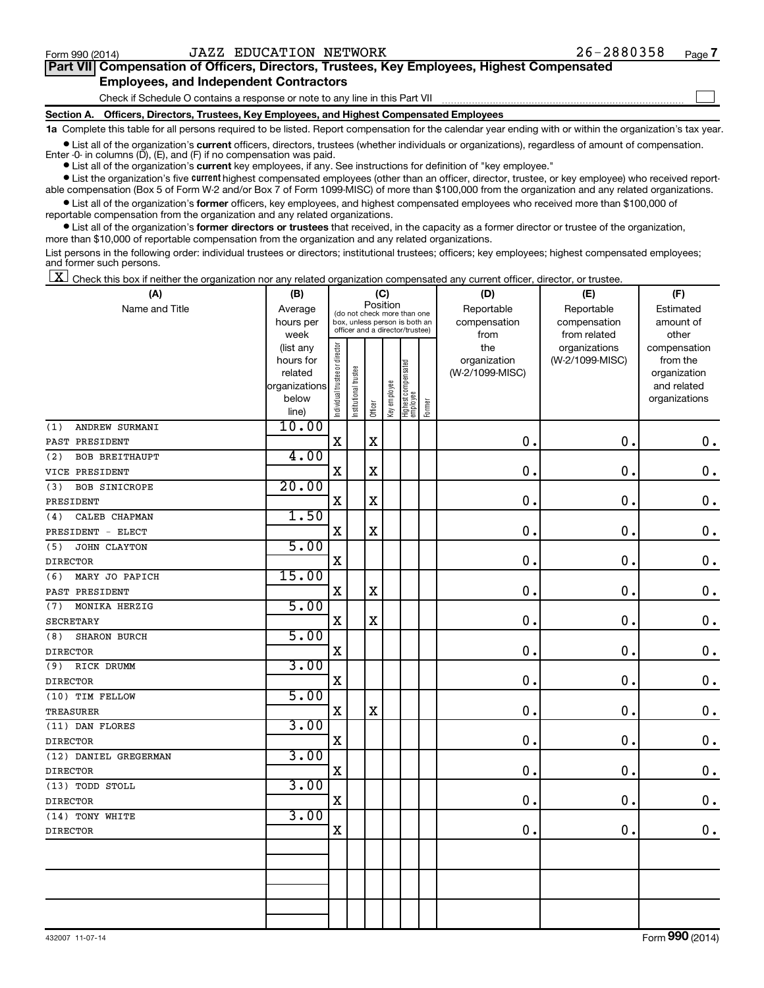$\Box$ 

| Part VII Compensation of Officers, Directors, Trustees, Key Employees, Highest Compensated |  |  |
|--------------------------------------------------------------------------------------------|--|--|
| <b>Employees, and Independent Contractors</b>                                              |  |  |

Check if Schedule O contains a response or note to any line in this Part VII

**Section A. Officers, Directors, Trustees, Key Employees, and Highest Compensated Employees**

**1a**  Complete this table for all persons required to be listed. Report compensation for the calendar year ending with or within the organization's tax year.

**•** List all of the organization's current officers, directors, trustees (whether individuals or organizations), regardless of amount of compensation. Enter -0- in columns  $(D)$ ,  $(E)$ , and  $(F)$  if no compensation was paid.

**•** List all of the organization's **current** key employees, if any. See instructions for definition of "key employee."

**•** List the organization's five current highest compensated employees (other than an officer, director, trustee, or key employee) who received reportable compensation (Box 5 of Form W-2 and/or Box 7 of Form 1099-MISC) of more than \$100,000 from the organization and any related organizations.

**•** List all of the organization's former officers, key employees, and highest compensated employees who received more than \$100,000 of reportable compensation from the organization and any related organizations.

**•** List all of the organization's former directors or trustees that received, in the capacity as a former director or trustee of the organization, more than \$10,000 of reportable compensation from the organization and any related organizations.

List persons in the following order: individual trustees or directors; institutional trustees; officers; key employees; highest compensated employees; and former such persons.

 $\boxed{\textbf{X}}$  Check this box if neither the organization nor any related organization compensated any current officer, director, or trustee.

| (A)                          | (B)                    | (C)                                     |                                                                  |             |              |                                 |        | (D)             | (E)             | (F)                          |
|------------------------------|------------------------|-----------------------------------------|------------------------------------------------------------------|-------------|--------------|---------------------------------|--------|-----------------|-----------------|------------------------------|
| Name and Title               | Average                | Position<br>(do not check more than one |                                                                  |             |              |                                 |        | Reportable      | Reportable      | Estimated                    |
|                              | hours per              |                                         | box, unless person is both an<br>officer and a director/trustee) |             |              |                                 |        | compensation    | compensation    | amount of                    |
|                              | week                   |                                         |                                                                  |             |              |                                 |        | from            | from related    | other                        |
|                              | (list any              |                                         |                                                                  |             |              |                                 |        | the             | organizations   | compensation                 |
|                              | hours for              |                                         |                                                                  |             |              |                                 |        | organization    | (W-2/1099-MISC) | from the                     |
|                              | related                |                                         |                                                                  |             |              |                                 |        | (W-2/1099-MISC) |                 | organization                 |
|                              | organizations<br>below |                                         |                                                                  |             |              |                                 |        |                 |                 | and related<br>organizations |
|                              | line)                  | Individual trustee or director          | Institutional trustee                                            | Officer     | Key employee | Highest compensated<br>employee | Former |                 |                 |                              |
| ANDREW SURMANI<br>(1)        | 10.00                  |                                         |                                                                  |             |              |                                 |        |                 |                 |                              |
| PAST PRESIDENT               |                        | $\mathbf X$                             |                                                                  | $\mathbf X$ |              |                                 |        | 0.              | 0.              | $\mathbf 0$ .                |
| (2)<br><b>BOB BREITHAUPT</b> | 4.00                   |                                         |                                                                  |             |              |                                 |        |                 |                 |                              |
| VICE PRESIDENT               |                        | $\mathbf X$                             |                                                                  | $\mathbf X$ |              |                                 |        | 0               | $\mathbf 0$ .   | $\mathbf 0$ .                |
| (3)<br><b>BOB SINICROPE</b>  | 20.00                  |                                         |                                                                  |             |              |                                 |        |                 |                 |                              |
| PRESIDENT                    |                        | $\mathbf x$                             |                                                                  | $\mathbf X$ |              |                                 |        | $\mathbf 0$     | $\mathbf 0$ .   | $0$ .                        |
| CALEB CHAPMAN<br>(4)         | 1.50                   |                                         |                                                                  |             |              |                                 |        |                 |                 |                              |
| PRESIDENT - ELECT            |                        | X                                       |                                                                  | $\mathbf X$ |              |                                 |        | 0               | $\mathbf 0$ .   | $\mathbf 0$ .                |
| JOHN CLAYTON<br>(5)          | 5.00                   |                                         |                                                                  |             |              |                                 |        |                 |                 |                              |
| <b>DIRECTOR</b>              |                        | $\mathbf X$                             |                                                                  |             |              |                                 |        | $\mathbf 0$ .   | $\mathbf 0$ .   | $\mathbf 0$ .                |
| MARY JO PAPICH<br>(6)        | 15.00                  |                                         |                                                                  |             |              |                                 |        |                 |                 |                              |
| PAST PRESIDENT               |                        | X                                       |                                                                  | $\mathbf X$ |              |                                 |        | 0               | $\mathbf 0$ .   | $\mathbf 0$ .                |
| MONIKA HERZIG<br>(7)         | 5.00                   |                                         |                                                                  |             |              |                                 |        |                 |                 |                              |
| <b>SECRETARY</b>             |                        | $\mathbf X$                             |                                                                  | $\mathbf X$ |              |                                 |        | $\mathbf 0$     | $\mathbf 0$ .   | $\mathbf 0$ .                |
| SHARON BURCH<br>(8)          | 5.00                   |                                         |                                                                  |             |              |                                 |        |                 |                 |                              |
| <b>DIRECTOR</b>              |                        | $\mathbf X$                             |                                                                  |             |              |                                 |        | $\mathbf 0$     | $\mathbf 0$ .   | $\mathbf 0$ .                |
| RICK DRUMM<br>(9)            | 3.00                   |                                         |                                                                  |             |              |                                 |        |                 |                 |                              |
| <b>DIRECTOR</b>              |                        | $\mathbf X$                             |                                                                  |             |              |                                 |        | $\mathbf 0$     | $\mathbf 0$ .   | $\mathbf 0$ .                |
| (10) TIM FELLOW              | 5.00                   |                                         |                                                                  |             |              |                                 |        |                 |                 |                              |
| <b>TREASURER</b>             |                        | $\mathbf X$                             |                                                                  | $\mathbf X$ |              |                                 |        | $\mathbf 0$     | $\mathbf 0$ .   | $\mathbf 0$ .                |
| (11) DAN FLORES              | 3.00                   |                                         |                                                                  |             |              |                                 |        |                 |                 |                              |
| <b>DIRECTOR</b>              |                        | $\mathbf X$                             |                                                                  |             |              |                                 |        | $\mathbf 0$     | $\mathbf 0$ .   | 0.                           |
| (12) DANIEL GREGERMAN        | 3.00                   |                                         |                                                                  |             |              |                                 |        |                 |                 |                              |
| <b>DIRECTOR</b>              |                        | $\mathbf X$                             |                                                                  |             |              |                                 |        | $\mathbf 0$     | $\mathbf 0$ .   | $\mathbf 0$ .                |
| (13) TODD STOLL              | 3.00                   |                                         |                                                                  |             |              |                                 |        |                 |                 |                              |
| <b>DIRECTOR</b>              |                        | $\mathbf X$                             |                                                                  |             |              |                                 |        | $\mathbf 0$     | $\mathbf 0$ .   | $\mathbf 0$ .                |
| (14) TONY WHITE              | 3.00                   |                                         |                                                                  |             |              |                                 |        |                 |                 |                              |
| <b>DIRECTOR</b>              |                        | $\mathbf X$                             |                                                                  |             |              |                                 |        | $\mathbf 0$     | 0.              | 0.                           |
|                              |                        |                                         |                                                                  |             |              |                                 |        |                 |                 |                              |
|                              |                        |                                         |                                                                  |             |              |                                 |        |                 |                 |                              |
|                              |                        |                                         |                                                                  |             |              |                                 |        |                 |                 |                              |
|                              |                        |                                         |                                                                  |             |              |                                 |        |                 |                 |                              |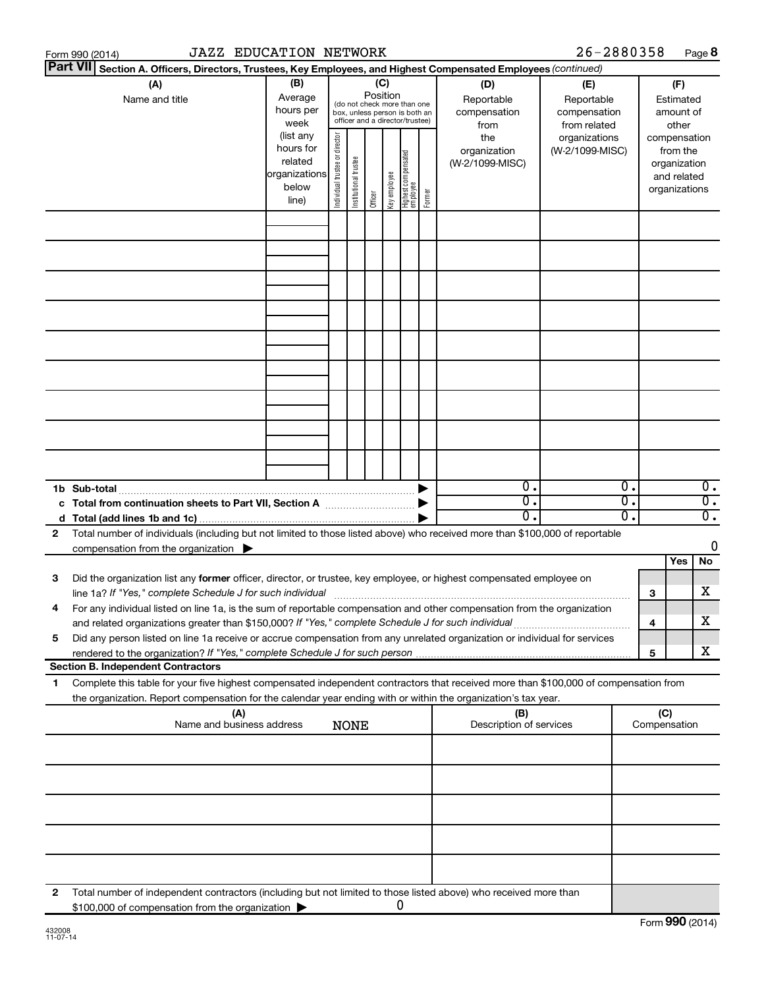|    | <b>JAZZ EDUCATION NETWORK</b><br>Form 990 (2014)                                                                                                                                                                                                       |                                                                      |                                |                       |                 |              |                                                                                                 |        |                                           | 26-2880358                                        |                        |                                                                          | Page 8                               |
|----|--------------------------------------------------------------------------------------------------------------------------------------------------------------------------------------------------------------------------------------------------------|----------------------------------------------------------------------|--------------------------------|-----------------------|-----------------|--------------|-------------------------------------------------------------------------------------------------|--------|-------------------------------------------|---------------------------------------------------|------------------------|--------------------------------------------------------------------------|--------------------------------------|
|    | <b>Part VII</b><br>Section A. Officers, Directors, Trustees, Key Employees, and Highest Compensated Employees (continued)                                                                                                                              |                                                                      |                                |                       |                 |              |                                                                                                 |        |                                           |                                                   |                        |                                                                          |                                      |
|    | (A)<br>Name and title                                                                                                                                                                                                                                  | (B)<br>Average<br>hours per<br>week                                  |                                |                       | (C)<br>Position |              | (do not check more than one<br>box, unless person is both an<br>officer and a director/trustee) |        | (D)<br>Reportable<br>compensation<br>from | (E)<br>Reportable<br>compensation<br>from related |                        | (F)<br>Estimated<br>amount of<br>other                                   |                                      |
|    |                                                                                                                                                                                                                                                        | (list any<br>hours for<br>related<br>organizations<br>below<br>line) | Individual trustee or director | Institutional trustee | Officer         | Key employee | <br>  Highest compensated<br>  employee                                                         | Former | the<br>organization<br>(W-2/1099-MISC)    | organizations<br>(W-2/1099-MISC)                  |                        | compensation<br>from the<br>organization<br>and related<br>organizations |                                      |
|    |                                                                                                                                                                                                                                                        |                                                                      |                                |                       |                 |              |                                                                                                 |        |                                           |                                                   |                        |                                                                          |                                      |
|    |                                                                                                                                                                                                                                                        |                                                                      |                                |                       |                 |              |                                                                                                 |        |                                           |                                                   |                        |                                                                          |                                      |
|    |                                                                                                                                                                                                                                                        |                                                                      |                                |                       |                 |              |                                                                                                 |        |                                           |                                                   |                        |                                                                          |                                      |
|    |                                                                                                                                                                                                                                                        |                                                                      |                                |                       |                 |              |                                                                                                 |        |                                           |                                                   |                        |                                                                          |                                      |
|    |                                                                                                                                                                                                                                                        |                                                                      |                                |                       |                 |              |                                                                                                 |        |                                           |                                                   |                        |                                                                          |                                      |
|    |                                                                                                                                                                                                                                                        |                                                                      |                                |                       |                 |              |                                                                                                 |        |                                           |                                                   |                        |                                                                          |                                      |
|    |                                                                                                                                                                                                                                                        |                                                                      |                                |                       |                 |              |                                                                                                 |        |                                           |                                                   |                        |                                                                          |                                      |
|    | 1b Sub-total                                                                                                                                                                                                                                           |                                                                      |                                |                       |                 |              |                                                                                                 |        | $\mathbf{0}$ .<br>$\overline{0}$ .        |                                                   | 0.<br>$\overline{0}$ . |                                                                          | $\overline{0}$ .<br>$\overline{0}$ . |
|    |                                                                                                                                                                                                                                                        |                                                                      |                                |                       |                 |              |                                                                                                 |        | $\overline{0}$ .                          |                                                   | 0.                     |                                                                          | $\overline{0}$ .                     |
| 2  | Total number of individuals (including but not limited to those listed above) who received more than \$100,000 of reportable<br>compensation from the organization $\blacktriangleright$                                                               |                                                                      |                                |                       |                 |              |                                                                                                 |        |                                           |                                                   |                        |                                                                          | 0                                    |
| 3  | Did the organization list any former officer, director, or trustee, key employee, or highest compensated employee on<br>line 1a? If "Yes," complete Schedule J for such individual [11] manufacture manufacture in the set of the set o                |                                                                      |                                |                       |                 |              |                                                                                                 |        |                                           |                                                   | з                      | Yes                                                                      | No<br>х                              |
|    | For any individual listed on line 1a, is the sum of reportable compensation and other compensation from the organization<br>and related organizations greater than \$150,000? If "Yes," complete Schedule J for such individual                        |                                                                      |                                |                       |                 |              |                                                                                                 |        |                                           |                                                   | 4                      |                                                                          | x                                    |
| 5  | Did any person listed on line 1a receive or accrue compensation from any unrelated organization or individual for services<br><b>Section B. Independent Contractors</b>                                                                                |                                                                      |                                |                       |                 |              |                                                                                                 |        |                                           |                                                   | 5                      |                                                                          | х                                    |
| 1. | Complete this table for your five highest compensated independent contractors that received more than \$100,000 of compensation from<br>the organization. Report compensation for the calendar year ending with or within the organization's tax year. |                                                                      |                                |                       |                 |              |                                                                                                 |        |                                           |                                                   |                        |                                                                          |                                      |
|    | (A)<br>Name and business address                                                                                                                                                                                                                       |                                                                      |                                | <b>NONE</b>           |                 |              |                                                                                                 |        | (B)<br>Description of services            |                                                   |                        | (C)<br>Compensation                                                      |                                      |
|    |                                                                                                                                                                                                                                                        |                                                                      |                                |                       |                 |              |                                                                                                 |        |                                           |                                                   |                        |                                                                          |                                      |
|    |                                                                                                                                                                                                                                                        |                                                                      |                                |                       |                 |              |                                                                                                 |        |                                           |                                                   |                        |                                                                          |                                      |
|    |                                                                                                                                                                                                                                                        |                                                                      |                                |                       |                 |              |                                                                                                 |        |                                           |                                                   |                        |                                                                          |                                      |
|    |                                                                                                                                                                                                                                                        |                                                                      |                                |                       |                 |              |                                                                                                 |        |                                           |                                                   |                        |                                                                          |                                      |
| 2  | Total number of independent contractors (including but not limited to those listed above) who received more than<br>\$100,000 of compensation from the organization                                                                                    |                                                                      |                                |                       |                 |              | 0                                                                                               |        |                                           |                                                   |                        |                                                                          |                                      |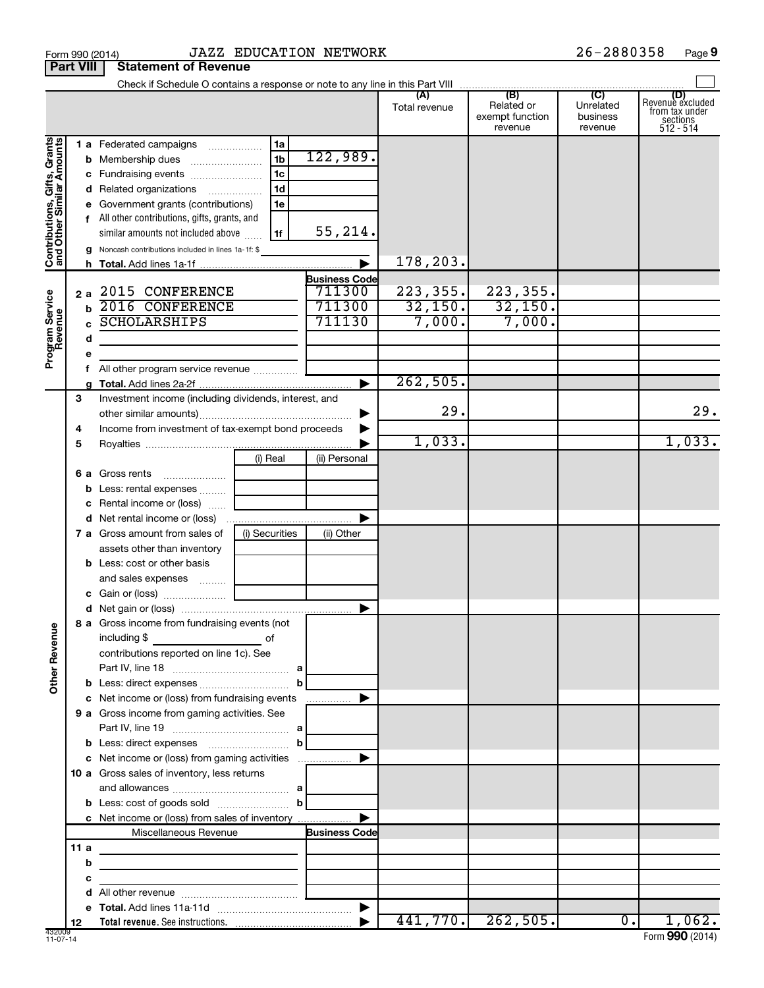|                                                           | Form 990 (2014)        |                                                                                                                                                                                                                                                           |                                                                      | <b>JAZZ EDUCATION NETWORK</b>                      |                                |                                          | 26-2880358                       | Page 9                                                      |
|-----------------------------------------------------------|------------------------|-----------------------------------------------------------------------------------------------------------------------------------------------------------------------------------------------------------------------------------------------------------|----------------------------------------------------------------------|----------------------------------------------------|--------------------------------|------------------------------------------|----------------------------------|-------------------------------------------------------------|
|                                                           | <b>Part VIII</b>       | <b>Statement of Revenue</b>                                                                                                                                                                                                                               |                                                                      |                                                    |                                |                                          |                                  |                                                             |
|                                                           |                        |                                                                                                                                                                                                                                                           |                                                                      |                                                    | Total revenue                  | Related or<br>exempt function<br>revenue | Unrelated<br>business<br>revenue | Revenue excluded<br>from tax under<br>sections<br>512 - 514 |
| Contributions, Gifts, Grants<br>and Other Similar Amounts | d<br>е                 | 1 a Federated campaigns<br>c Fundraising events<br>Related organizations<br>Government grants (contributions)<br>f All other contributions, gifts, grants, and<br>similar amounts not included above<br>Noncash contributions included in lines 1a-1f: \$ | 1a<br>1 <sub>b</sub><br>1 <sub>c</sub><br>1 <sub>d</sub><br>1e<br>1f | 122,989.<br>55,214.                                | 178,203.                       |                                          |                                  |                                                             |
| Program Service                                           | 2a<br>h<br>d<br>е<br>f | 2015 CONFERENCE<br>2016 CONFERENCE<br><b>SCHOLARSHIPS</b>                                                                                                                                                                                                 |                                                                      | <b>Business Code</b><br>711300<br>711300<br>711130 | 223, 355.<br>32,150.<br>7,000. | 223, 355.<br>32,150.<br>7,000.           |                                  |                                                             |
|                                                           | g<br>3<br>4            | Investment income (including dividends, interest, and<br>Income from investment of tax-exempt bond proceeds                                                                                                                                               |                                                                      |                                                    | 262,505.<br>29.                |                                          |                                  | 29.                                                         |
|                                                           | 5<br>6а<br>b<br>c<br>d | Gross rents<br>$\ldots \ldots \ldots \ldots \ldots$<br>Less: rental expenses<br>Rental income or (loss)<br>Net rental income or (loss)                                                                                                                    | (i) Real                                                             | (ii) Personal                                      | 1,033.                         |                                          |                                  | 1,033.                                                      |
|                                                           |                        | 7 a Gross amount from sales of<br>assets other than inventory<br><b>b</b> Less: cost or other basis<br>and sales expenses                                                                                                                                 | (i) Securities                                                       | (ii) Other                                         |                                |                                          |                                  |                                                             |
| <b>Other Revenue</b>                                      |                        | 8 a Gross income from fundraising events (not<br>including \$<br>contributions reported on line 1c). See                                                                                                                                                  | оf                                                                   |                                                    |                                |                                          |                                  |                                                             |
|                                                           |                        | c Net income or (loss) from fundraising events<br>9 a Gross income from gaming activities. See<br><b>b</b> Less: direct expenses <b>manually contained</b><br>c Net income or (loss) from gaming activities                                               | $\mathbf{b}$                                                         | ▶                                                  |                                |                                          |                                  |                                                             |
|                                                           |                        | 10 a Gross sales of inventory, less returns<br>c Net income or (loss) from sales of inventory                                                                                                                                                             |                                                                      |                                                    |                                |                                          |                                  |                                                             |
|                                                           | 11 a<br>b<br>с         | Miscellaneous Revenue                                                                                                                                                                                                                                     |                                                                      | <b>Business Code</b>                               |                                |                                          |                                  |                                                             |
|                                                           | d<br>е<br>12           |                                                                                                                                                                                                                                                           |                                                                      |                                                    | 441,770.                       | 262,505.                                 | 0.1                              | 1,062.                                                      |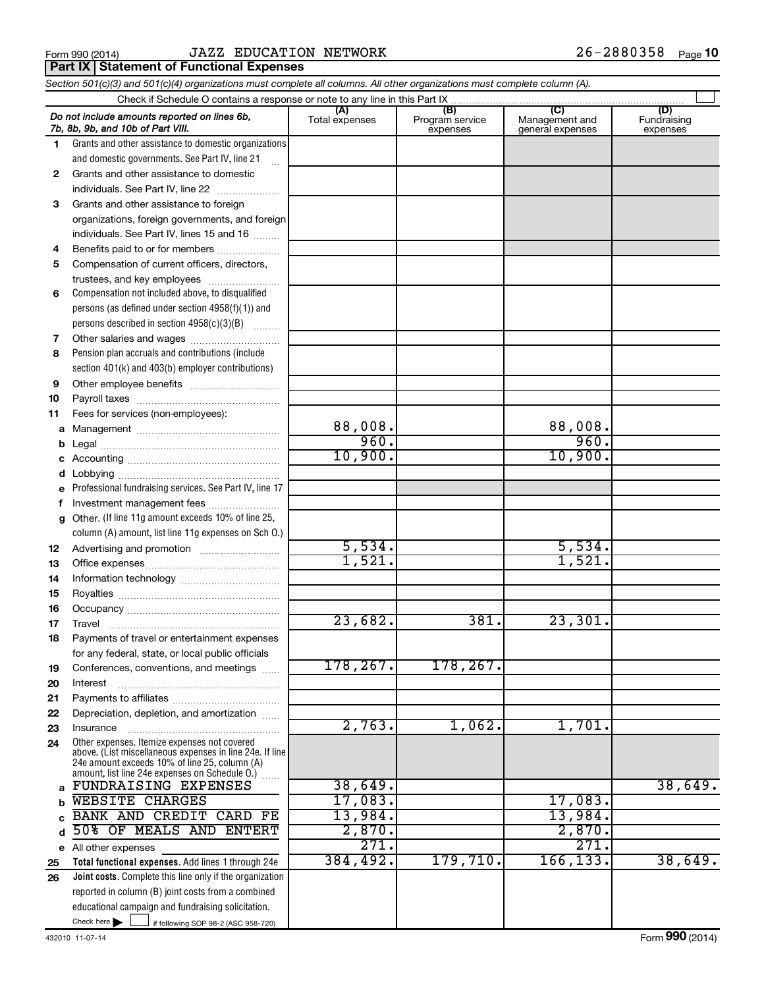**Part IX Statement of Functional Expenses** 

#### Form 990 (2014)  $JAZZ$   $EDUCATION$   $NET WORK$   $26-2880358$   $Page$

|              | Section 501(c)(3) and 501(c)(4) organizations must complete all columns. All other organizations must complete column (A).                                                                                    |                       |                                    |                                           |                                |
|--------------|---------------------------------------------------------------------------------------------------------------------------------------------------------------------------------------------------------------|-----------------------|------------------------------------|-------------------------------------------|--------------------------------|
|              | Check if Schedule O contains a response or note to any line in this Part IX                                                                                                                                   |                       |                                    |                                           |                                |
|              | Do not include amounts reported on lines 6b,<br>7b, 8b, 9b, and 10b of Part VIII.                                                                                                                             | (A)<br>Total expenses | (B)<br>Program service<br>expenses | (C)<br>Management and<br>general expenses | (D)<br>Fundraising<br>expenses |
| 1.           | Grants and other assistance to domestic organizations                                                                                                                                                         |                       |                                    |                                           |                                |
|              | and domestic governments. See Part IV, line 21                                                                                                                                                                |                       |                                    |                                           |                                |
| $\mathbf{2}$ | Grants and other assistance to domestic                                                                                                                                                                       |                       |                                    |                                           |                                |
|              | individuals. See Part IV, line 22                                                                                                                                                                             |                       |                                    |                                           |                                |
| 3            | Grants and other assistance to foreign                                                                                                                                                                        |                       |                                    |                                           |                                |
|              | organizations, foreign governments, and foreign                                                                                                                                                               |                       |                                    |                                           |                                |
|              | individuals. See Part IV, lines 15 and 16                                                                                                                                                                     |                       |                                    |                                           |                                |
| 4            | Benefits paid to or for members                                                                                                                                                                               |                       |                                    |                                           |                                |
| 5            | Compensation of current officers, directors,                                                                                                                                                                  |                       |                                    |                                           |                                |
|              | trustees, and key employees                                                                                                                                                                                   |                       |                                    |                                           |                                |
| 6            | Compensation not included above, to disqualified                                                                                                                                                              |                       |                                    |                                           |                                |
|              | persons (as defined under section 4958(f)(1)) and                                                                                                                                                             |                       |                                    |                                           |                                |
|              | persons described in section 4958(c)(3)(B)                                                                                                                                                                    |                       |                                    |                                           |                                |
| 7            |                                                                                                                                                                                                               |                       |                                    |                                           |                                |
| 8            | Pension plan accruals and contributions (include                                                                                                                                                              |                       |                                    |                                           |                                |
|              | section 401(k) and 403(b) employer contributions)                                                                                                                                                             |                       |                                    |                                           |                                |
| 9            |                                                                                                                                                                                                               |                       |                                    |                                           |                                |
| 10           |                                                                                                                                                                                                               |                       |                                    |                                           |                                |
| 11           | Fees for services (non-employees):                                                                                                                                                                            |                       |                                    |                                           |                                |
| а            |                                                                                                                                                                                                               | 88,008.               |                                    | 88,008.                                   |                                |
| b            |                                                                                                                                                                                                               | 960.                  |                                    | 960.                                      |                                |
| с            |                                                                                                                                                                                                               | 10,900.               |                                    | 10,900.                                   |                                |
| d            |                                                                                                                                                                                                               |                       |                                    |                                           |                                |
| е            | Professional fundraising services. See Part IV, line 17                                                                                                                                                       |                       |                                    |                                           |                                |
| f            | Investment management fees                                                                                                                                                                                    |                       |                                    |                                           |                                |
| g            | Other. (If line 11g amount exceeds 10% of line 25,                                                                                                                                                            |                       |                                    |                                           |                                |
|              | column (A) amount, list line 11g expenses on Sch O.)                                                                                                                                                          |                       |                                    |                                           |                                |
| 12           |                                                                                                                                                                                                               | 5,534.                |                                    | 5,534.                                    |                                |
| 13           |                                                                                                                                                                                                               | 1,521.                |                                    | 1,521.                                    |                                |
| 14           |                                                                                                                                                                                                               |                       |                                    |                                           |                                |
| 15           |                                                                                                                                                                                                               |                       |                                    |                                           |                                |
| 16           |                                                                                                                                                                                                               |                       |                                    |                                           |                                |
| 17           |                                                                                                                                                                                                               | 23,682.               | 381.                               | $2\overline{3}$ , $301$ .                 |                                |
| 18           | Payments of travel or entertainment expenses                                                                                                                                                                  |                       |                                    |                                           |                                |
|              | for any federal, state, or local public officials                                                                                                                                                             |                       |                                    |                                           |                                |
| 19           | Conferences, conventions, and meetings                                                                                                                                                                        | 178, 267.             | 178,267.                           |                                           |                                |
| 20           | Interest                                                                                                                                                                                                      |                       |                                    |                                           |                                |
| 21           |                                                                                                                                                                                                               |                       |                                    |                                           |                                |
| 22           | Depreciation, depletion, and amortization                                                                                                                                                                     |                       |                                    |                                           |                                |
| 23           | Insurance                                                                                                                                                                                                     | 2,763.                | 1,062.                             | 1,701                                     |                                |
| 24           | Other expenses. Itemize expenses not covered<br>above. (List miscellaneous expenses in line 24e. If line<br>24e amount exceeds 10% of line 25, column (A)<br>amount, list line 24e expenses on Schedule O.) [ |                       |                                    |                                           |                                |
| a            | FUNDRAISING EXPENSES                                                                                                                                                                                          | 38,649.               |                                    |                                           | 38,649.                        |
| b            | <b>WEBSITE CHARGES</b>                                                                                                                                                                                        | 17,083.               |                                    | 17,083.                                   |                                |
|              | <b>BANK AND CREDIT</b><br><b>CARD FE</b>                                                                                                                                                                      | 13,984.               |                                    | 13,984.                                   |                                |
| d            | 50% OF MEALS AND<br><b>ENTERT</b>                                                                                                                                                                             | 2,870.                |                                    | 2,870.                                    |                                |
|              | e All other expenses                                                                                                                                                                                          | $\overline{271}$      |                                    | $\overline{271}$                          |                                |
| 25           | Total functional expenses. Add lines 1 through 24e                                                                                                                                                            | 384,492.              | 179,710.                           | 166, 133.                                 | 38,649.                        |
| 26           | Joint costs. Complete this line only if the organization                                                                                                                                                      |                       |                                    |                                           |                                |
|              | reported in column (B) joint costs from a combined                                                                                                                                                            |                       |                                    |                                           |                                |
|              | educational campaign and fundraising solicitation.                                                                                                                                                            |                       |                                    |                                           |                                |
|              | Check here $\blacktriangleright$<br>if following SOP 98-2 (ASC 958-720)                                                                                                                                       |                       |                                    |                                           |                                |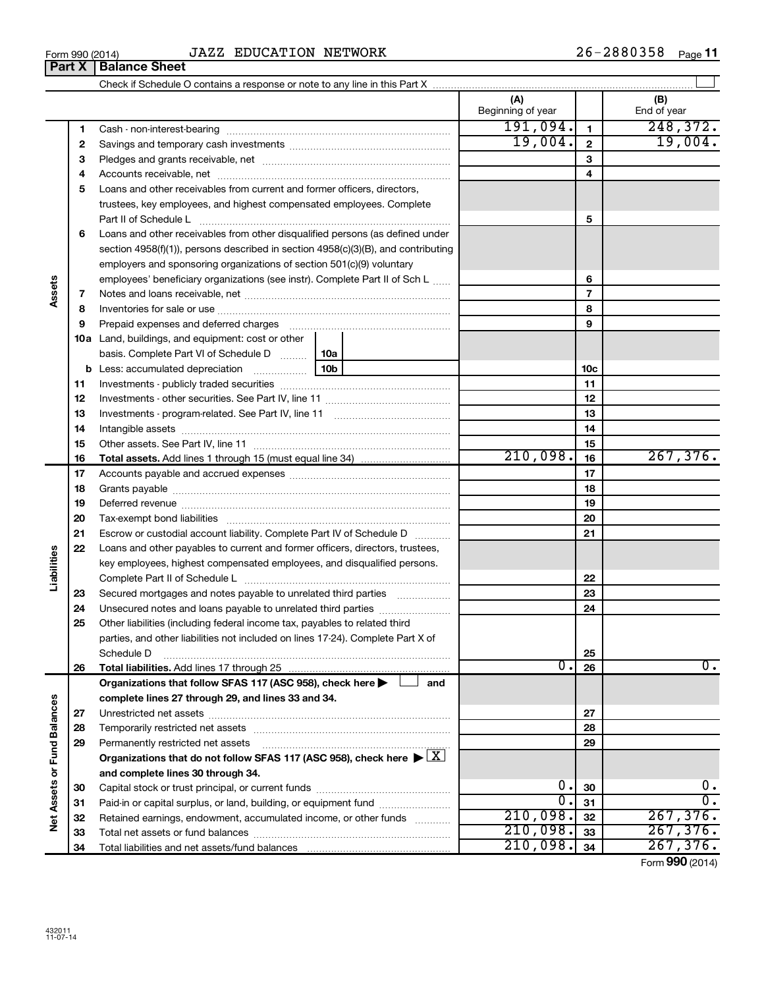| Form 990 (2014) | <b>EDUCATION</b><br><b>NETWORK</b><br>エスワワ<br>JA44 | 700 A<br>Page<br>2000330<br>∠ O ∹ |
|-----------------|----------------------------------------------------|-----------------------------------|
|                 |                                                    |                                   |

|                             |    |                                                                                                                                                                                                                                | (A)<br>Beginning of year |                          | (B)<br>End of year |
|-----------------------------|----|--------------------------------------------------------------------------------------------------------------------------------------------------------------------------------------------------------------------------------|--------------------------|--------------------------|--------------------|
|                             | 1  |                                                                                                                                                                                                                                | 191,094.                 | $\mathbf{1}$             | 248, 372.          |
|                             | 2  |                                                                                                                                                                                                                                | 19,004.                  | $\mathbf{2}$             | 19,004.            |
|                             | З  |                                                                                                                                                                                                                                |                          | 3                        |                    |
|                             | 4  |                                                                                                                                                                                                                                |                          | 4                        |                    |
|                             | 5  | Loans and other receivables from current and former officers, directors,                                                                                                                                                       |                          |                          |                    |
|                             |    | trustees, key employees, and highest compensated employees. Complete                                                                                                                                                           |                          |                          |                    |
|                             |    |                                                                                                                                                                                                                                |                          | 5                        |                    |
|                             | 6  | Loans and other receivables from other disqualified persons (as defined under                                                                                                                                                  |                          |                          |                    |
|                             |    | section 4958(f)(1)), persons described in section 4958(c)(3)(B), and contributing                                                                                                                                              |                          |                          |                    |
|                             |    | employers and sponsoring organizations of section 501(c)(9) voluntary                                                                                                                                                          |                          |                          |                    |
|                             |    | employees' beneficiary organizations (see instr). Complete Part II of Sch L                                                                                                                                                    |                          | 6                        |                    |
| Assets                      | 7  |                                                                                                                                                                                                                                |                          | $\overline{\phantom{a}}$ |                    |
|                             | 8  |                                                                                                                                                                                                                                |                          | 8                        |                    |
|                             | 9  | Prepaid expenses and deferred charges [11] [11] prepaid expenses and deferred charges [11] [11] minimum and the Prepaid expenses and deferred charges [11] minimum and the Prepaid expenses and the Prepaid experiment of Prep |                          | 9                        |                    |
|                             |    | 10a Land, buildings, and equipment: cost or other                                                                                                                                                                              |                          |                          |                    |
|                             |    | basis. Complete Part VI of Schedule D    10a                                                                                                                                                                                   |                          |                          |                    |
|                             |    | 10 <sub>b</sub><br><b>b</b> Less: accumulated depreciation <i></i>                                                                                                                                                             |                          | 10 <sub>c</sub>          |                    |
|                             | 11 |                                                                                                                                                                                                                                |                          | 11                       |                    |
|                             | 12 |                                                                                                                                                                                                                                |                          | 12                       |                    |
|                             | 13 |                                                                                                                                                                                                                                |                          | 13                       |                    |
|                             | 14 |                                                                                                                                                                                                                                |                          | 14                       |                    |
|                             | 15 |                                                                                                                                                                                                                                |                          | 15                       |                    |
|                             | 16 | <b>Total assets.</b> Add lines 1 through 15 (must equal line 34) <i></i>                                                                                                                                                       | 210,098.                 | 16                       | 267,376.           |
|                             | 17 |                                                                                                                                                                                                                                |                          | 17                       |                    |
|                             | 18 |                                                                                                                                                                                                                                |                          | 18                       |                    |
|                             | 19 |                                                                                                                                                                                                                                |                          | 19                       |                    |
|                             | 20 |                                                                                                                                                                                                                                |                          | 20                       |                    |
|                             | 21 | Escrow or custodial account liability. Complete Part IV of Schedule D                                                                                                                                                          |                          | 21                       |                    |
| Liabilities                 | 22 | Loans and other payables to current and former officers, directors, trustees,                                                                                                                                                  |                          |                          |                    |
|                             |    | key employees, highest compensated employees, and disqualified persons.                                                                                                                                                        |                          |                          |                    |
|                             |    |                                                                                                                                                                                                                                |                          | 22                       |                    |
|                             | 23 | Secured mortgages and notes payable to unrelated third parties                                                                                                                                                                 |                          | 23                       |                    |
|                             | 24 |                                                                                                                                                                                                                                |                          | 24                       |                    |
|                             | 25 | Other liabilities (including federal income tax, payables to related third<br>parties, and other liabilities not included on lines 17-24). Complete Part X of                                                                  |                          |                          |                    |
|                             |    | Schedule D                                                                                                                                                                                                                     |                          | 25                       |                    |
|                             | 26 |                                                                                                                                                                                                                                | σ.                       | 26                       | $\overline{0}$ .   |
|                             |    | Organizations that follow SFAS 117 (ASC 958), check here<br>and                                                                                                                                                                |                          |                          |                    |
|                             |    | complete lines 27 through 29, and lines 33 and 34.                                                                                                                                                                             |                          |                          |                    |
|                             | 27 |                                                                                                                                                                                                                                |                          | 27                       |                    |
|                             | 28 |                                                                                                                                                                                                                                |                          | 28                       |                    |
|                             | 29 | Permanently restricted net assets                                                                                                                                                                                              |                          | 29                       |                    |
|                             |    | Organizations that do not follow SFAS 117 (ASC 958), check here $\blacktriangleright \boxed{X}$                                                                                                                                |                          |                          |                    |
|                             |    | and complete lines 30 through 34.                                                                                                                                                                                              |                          |                          |                    |
|                             | 30 |                                                                                                                                                                                                                                | $0$ .                    | 30                       | 0.                 |
|                             | 31 | Paid-in or capital surplus, or land, building, or equipment fund                                                                                                                                                               | $\overline{0}$ .         | 31                       | $\overline{0}$ .   |
| Net Assets or Fund Balances | 32 | Retained earnings, endowment, accumulated income, or other funds                                                                                                                                                               | 210,098.                 | 32                       | 267, 376.          |
|                             | 33 |                                                                                                                                                                                                                                | 210,098.                 | 33                       | 267,376.           |
|                             | 34 |                                                                                                                                                                                                                                | 210,098.                 | 34                       | 267,376.           |

Form (2014) **990**

## **Part X Balance Sheet**<br>**Part X Balance Sheet**

| Form 990 (2014) |  |  |
|-----------------|--|--|
|                 |  |  |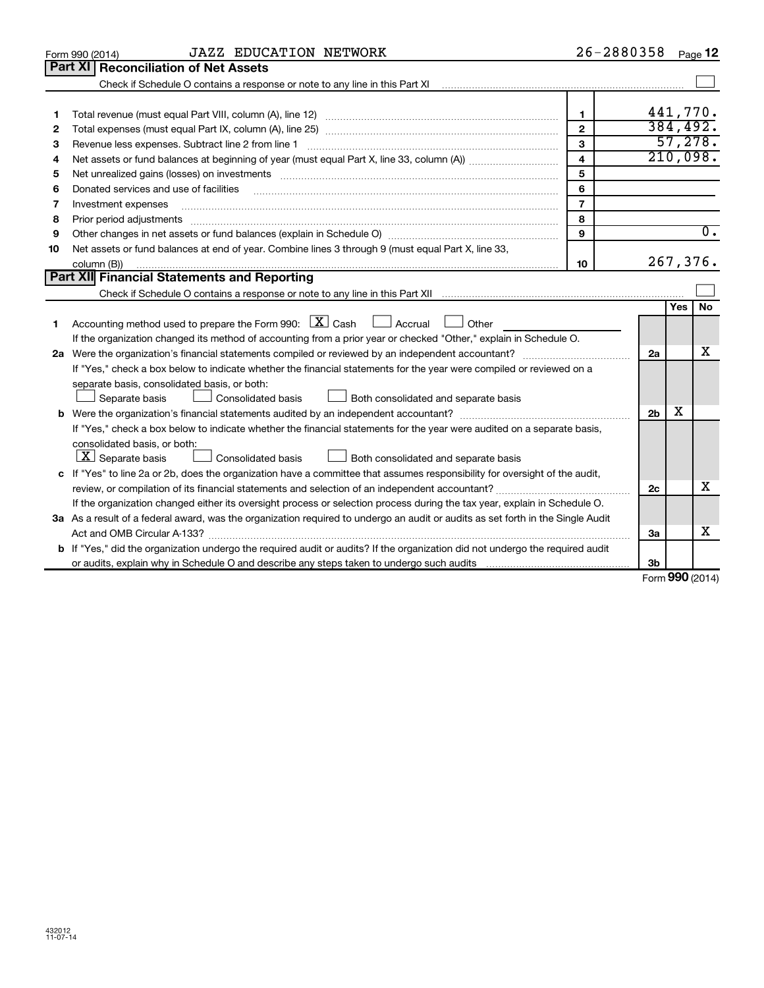| Part XI   Reconciliation of Net Assets<br>1<br>1<br>$\overline{2}$<br>2<br>3<br>Revenue less expenses. Subtract line 2 from line 1<br>З<br>$\overline{\mathbf{4}}$<br>4<br>5<br>5<br>6<br>Donated services and use of facilities<br>6<br>$\overline{7}$<br>Investment expenses<br>7<br>8<br>8<br>Prior period adjustments<br>$\begin{minipage}{0.5\textwidth} \begin{tabular}{ l l l } \hline \multicolumn{1}{ l l l } \hline \multicolumn{1}{ l l } \hline \multicolumn{1}{ l } \multicolumn{1}{ l } \hline \multicolumn{1}{ l } \multicolumn{1}{ l } \multicolumn{1}{ l } \hline \multicolumn{1}{ l } \multicolumn{1}{ l } \multicolumn{1}{ l } \hline \multicolumn{1}{ l } \multicolumn{1}{ l } \hline \multicolumn{1}{ l } \multicolumn{1}{ l } \hline \multicolumn{1}{ $<br>9<br>9<br>Net assets or fund balances at end of year. Combine lines 3 through 9 (must equal Part X, line 33,<br>10<br>column (B))<br>10<br>Part XII Financial Statements and Reporting<br>Accounting method used to prepare the Form 990: $X$ Cash $\Box$ Accrual $\Box$ Other<br>1<br>If the organization changed its method of accounting from a prior year or checked "Other," explain in Schedule O.<br>2a<br>If "Yes," check a box below to indicate whether the financial statements for the year were compiled or reviewed on a |                                                                                                                             | 441,770.<br>384, 492. |  |  |  |  |
|-------------------------------------------------------------------------------------------------------------------------------------------------------------------------------------------------------------------------------------------------------------------------------------------------------------------------------------------------------------------------------------------------------------------------------------------------------------------------------------------------------------------------------------------------------------------------------------------------------------------------------------------------------------------------------------------------------------------------------------------------------------------------------------------------------------------------------------------------------------------------------------------------------------------------------------------------------------------------------------------------------------------------------------------------------------------------------------------------------------------------------------------------------------------------------------------------------------------------------------------------------------------------------------------------------------------------|-----------------------------------------------------------------------------------------------------------------------------|-----------------------|--|--|--|--|
|                                                                                                                                                                                                                                                                                                                                                                                                                                                                                                                                                                                                                                                                                                                                                                                                                                                                                                                                                                                                                                                                                                                                                                                                                                                                                                                         |                                                                                                                             | 57,278.               |  |  |  |  |
|                                                                                                                                                                                                                                                                                                                                                                                                                                                                                                                                                                                                                                                                                                                                                                                                                                                                                                                                                                                                                                                                                                                                                                                                                                                                                                                         |                                                                                                                             |                       |  |  |  |  |
|                                                                                                                                                                                                                                                                                                                                                                                                                                                                                                                                                                                                                                                                                                                                                                                                                                                                                                                                                                                                                                                                                                                                                                                                                                                                                                                         |                                                                                                                             |                       |  |  |  |  |
|                                                                                                                                                                                                                                                                                                                                                                                                                                                                                                                                                                                                                                                                                                                                                                                                                                                                                                                                                                                                                                                                                                                                                                                                                                                                                                                         |                                                                                                                             |                       |  |  |  |  |
|                                                                                                                                                                                                                                                                                                                                                                                                                                                                                                                                                                                                                                                                                                                                                                                                                                                                                                                                                                                                                                                                                                                                                                                                                                                                                                                         |                                                                                                                             |                       |  |  |  |  |
|                                                                                                                                                                                                                                                                                                                                                                                                                                                                                                                                                                                                                                                                                                                                                                                                                                                                                                                                                                                                                                                                                                                                                                                                                                                                                                                         |                                                                                                                             |                       |  |  |  |  |
|                                                                                                                                                                                                                                                                                                                                                                                                                                                                                                                                                                                                                                                                                                                                                                                                                                                                                                                                                                                                                                                                                                                                                                                                                                                                                                                         |                                                                                                                             | 210,098.              |  |  |  |  |
|                                                                                                                                                                                                                                                                                                                                                                                                                                                                                                                                                                                                                                                                                                                                                                                                                                                                                                                                                                                                                                                                                                                                                                                                                                                                                                                         |                                                                                                                             |                       |  |  |  |  |
|                                                                                                                                                                                                                                                                                                                                                                                                                                                                                                                                                                                                                                                                                                                                                                                                                                                                                                                                                                                                                                                                                                                                                                                                                                                                                                                         |                                                                                                                             |                       |  |  |  |  |
|                                                                                                                                                                                                                                                                                                                                                                                                                                                                                                                                                                                                                                                                                                                                                                                                                                                                                                                                                                                                                                                                                                                                                                                                                                                                                                                         |                                                                                                                             |                       |  |  |  |  |
|                                                                                                                                                                                                                                                                                                                                                                                                                                                                                                                                                                                                                                                                                                                                                                                                                                                                                                                                                                                                                                                                                                                                                                                                                                                                                                                         |                                                                                                                             |                       |  |  |  |  |
|                                                                                                                                                                                                                                                                                                                                                                                                                                                                                                                                                                                                                                                                                                                                                                                                                                                                                                                                                                                                                                                                                                                                                                                                                                                                                                                         |                                                                                                                             | $\overline{0}$ .      |  |  |  |  |
|                                                                                                                                                                                                                                                                                                                                                                                                                                                                                                                                                                                                                                                                                                                                                                                                                                                                                                                                                                                                                                                                                                                                                                                                                                                                                                                         |                                                                                                                             |                       |  |  |  |  |
|                                                                                                                                                                                                                                                                                                                                                                                                                                                                                                                                                                                                                                                                                                                                                                                                                                                                                                                                                                                                                                                                                                                                                                                                                                                                                                                         |                                                                                                                             | 267,376.              |  |  |  |  |
|                                                                                                                                                                                                                                                                                                                                                                                                                                                                                                                                                                                                                                                                                                                                                                                                                                                                                                                                                                                                                                                                                                                                                                                                                                                                                                                         |                                                                                                                             |                       |  |  |  |  |
|                                                                                                                                                                                                                                                                                                                                                                                                                                                                                                                                                                                                                                                                                                                                                                                                                                                                                                                                                                                                                                                                                                                                                                                                                                                                                                                         |                                                                                                                             |                       |  |  |  |  |
|                                                                                                                                                                                                                                                                                                                                                                                                                                                                                                                                                                                                                                                                                                                                                                                                                                                                                                                                                                                                                                                                                                                                                                                                                                                                                                                         | <b>Yes</b>                                                                                                                  | <b>No</b>             |  |  |  |  |
|                                                                                                                                                                                                                                                                                                                                                                                                                                                                                                                                                                                                                                                                                                                                                                                                                                                                                                                                                                                                                                                                                                                                                                                                                                                                                                                         |                                                                                                                             |                       |  |  |  |  |
|                                                                                                                                                                                                                                                                                                                                                                                                                                                                                                                                                                                                                                                                                                                                                                                                                                                                                                                                                                                                                                                                                                                                                                                                                                                                                                                         |                                                                                                                             |                       |  |  |  |  |
|                                                                                                                                                                                                                                                                                                                                                                                                                                                                                                                                                                                                                                                                                                                                                                                                                                                                                                                                                                                                                                                                                                                                                                                                                                                                                                                         |                                                                                                                             | x                     |  |  |  |  |
|                                                                                                                                                                                                                                                                                                                                                                                                                                                                                                                                                                                                                                                                                                                                                                                                                                                                                                                                                                                                                                                                                                                                                                                                                                                                                                                         |                                                                                                                             |                       |  |  |  |  |
| separate basis, consolidated basis, or both:                                                                                                                                                                                                                                                                                                                                                                                                                                                                                                                                                                                                                                                                                                                                                                                                                                                                                                                                                                                                                                                                                                                                                                                                                                                                            |                                                                                                                             |                       |  |  |  |  |
| Separate basis<br>Both consolidated and separate basis<br>Consolidated basis                                                                                                                                                                                                                                                                                                                                                                                                                                                                                                                                                                                                                                                                                                                                                                                                                                                                                                                                                                                                                                                                                                                                                                                                                                            |                                                                                                                             |                       |  |  |  |  |
| 2 <sub>b</sub>                                                                                                                                                                                                                                                                                                                                                                                                                                                                                                                                                                                                                                                                                                                                                                                                                                                                                                                                                                                                                                                                                                                                                                                                                                                                                                          | х                                                                                                                           |                       |  |  |  |  |
| If "Yes," check a box below to indicate whether the financial statements for the year were audited on a separate basis,                                                                                                                                                                                                                                                                                                                                                                                                                                                                                                                                                                                                                                                                                                                                                                                                                                                                                                                                                                                                                                                                                                                                                                                                 |                                                                                                                             |                       |  |  |  |  |
| consolidated basis, or both:                                                                                                                                                                                                                                                                                                                                                                                                                                                                                                                                                                                                                                                                                                                                                                                                                                                                                                                                                                                                                                                                                                                                                                                                                                                                                            |                                                                                                                             |                       |  |  |  |  |
| $\lfloor x \rfloor$ Separate basis<br>Consolidated basis<br>Both consolidated and separate basis                                                                                                                                                                                                                                                                                                                                                                                                                                                                                                                                                                                                                                                                                                                                                                                                                                                                                                                                                                                                                                                                                                                                                                                                                        |                                                                                                                             |                       |  |  |  |  |
|                                                                                                                                                                                                                                                                                                                                                                                                                                                                                                                                                                                                                                                                                                                                                                                                                                                                                                                                                                                                                                                                                                                                                                                                                                                                                                                         | c If "Yes" to line 2a or 2b, does the organization have a committee that assumes responsibility for oversight of the audit, |                       |  |  |  |  |
| 2c                                                                                                                                                                                                                                                                                                                                                                                                                                                                                                                                                                                                                                                                                                                                                                                                                                                                                                                                                                                                                                                                                                                                                                                                                                                                                                                      |                                                                                                                             | x                     |  |  |  |  |
| If the organization changed either its oversight process or selection process during the tax year, explain in Schedule O.                                                                                                                                                                                                                                                                                                                                                                                                                                                                                                                                                                                                                                                                                                                                                                                                                                                                                                                                                                                                                                                                                                                                                                                               |                                                                                                                             |                       |  |  |  |  |
| 3a As a result of a federal award, was the organization required to undergo an audit or audits as set forth in the Single Audit                                                                                                                                                                                                                                                                                                                                                                                                                                                                                                                                                                                                                                                                                                                                                                                                                                                                                                                                                                                                                                                                                                                                                                                         |                                                                                                                             |                       |  |  |  |  |
| 3a                                                                                                                                                                                                                                                                                                                                                                                                                                                                                                                                                                                                                                                                                                                                                                                                                                                                                                                                                                                                                                                                                                                                                                                                                                                                                                                      |                                                                                                                             | x                     |  |  |  |  |
| b If "Yes," did the organization undergo the required audit or audits? If the organization did not undergo the required audit                                                                                                                                                                                                                                                                                                                                                                                                                                                                                                                                                                                                                                                                                                                                                                                                                                                                                                                                                                                                                                                                                                                                                                                           |                                                                                                                             |                       |  |  |  |  |
| 3 <sub>b</sub>                                                                                                                                                                                                                                                                                                                                                                                                                                                                                                                                                                                                                                                                                                                                                                                                                                                                                                                                                                                                                                                                                                                                                                                                                                                                                                          |                                                                                                                             |                       |  |  |  |  |

Form (2014) **990**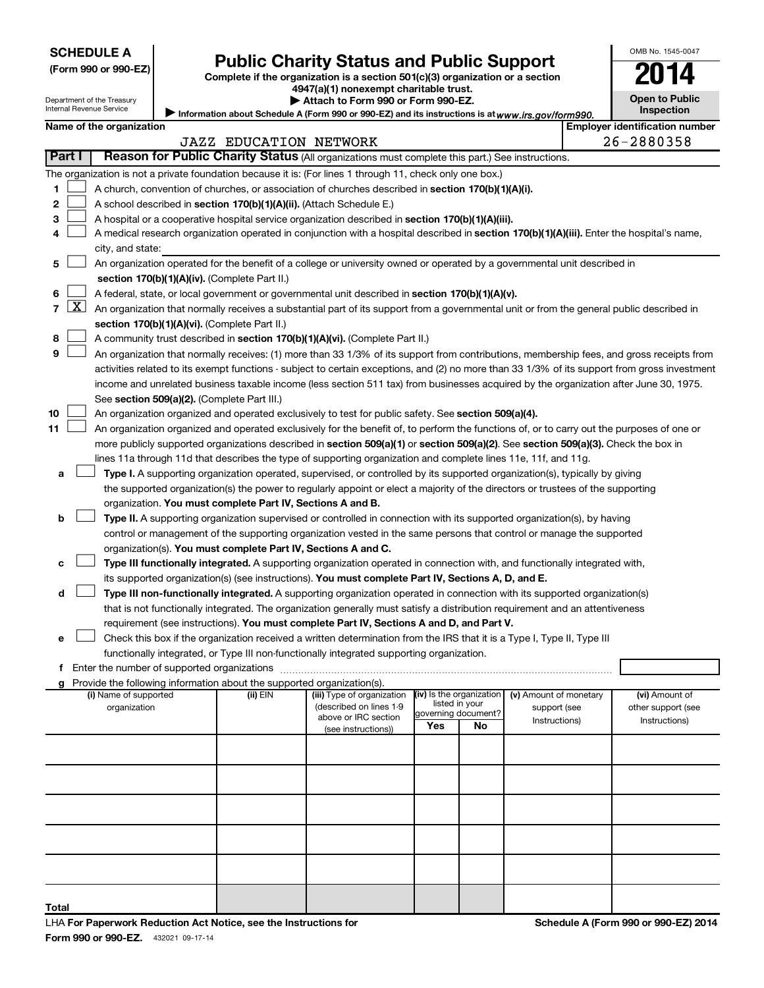| <b>SCHEDULE A</b> |  |
|-------------------|--|
|-------------------|--|

| (Form 990 or 990-EZ) |  |  |  |  |
|----------------------|--|--|--|--|
|----------------------|--|--|--|--|

# Form 990 or 990-EZ) **Public Charity Status and Public Support**<br>
Complete if the organization is a section 501(c)(3) organization or a section<br> **2014**

**4947(a)(1) nonexempt charitable trust. | Attach to Form 990 or Form 990-EZ.** 

| ____                  |  |  |
|-----------------------|--|--|
| <b>Open to Public</b> |  |  |
| <b>Inspection</b>     |  |  |

OMB No. 1545-0047

Department of the Treasury Internal Revenue Service

| ► Information about Schedule A (Form 990 or 990-EZ) and its instructions is at www.irs.gov/form990. |  |
|-----------------------------------------------------------------------------------------------------|--|
|                                                                                                     |  |

|  | Name of the organization |
|--|--------------------------|

|                | <b>Employer identification number</b><br>Name of the organization |                                                                                                                                               |                               |                            |                          |                           |                        |  |                    |
|----------------|-------------------------------------------------------------------|-----------------------------------------------------------------------------------------------------------------------------------------------|-------------------------------|----------------------------|--------------------------|---------------------------|------------------------|--|--------------------|
|                |                                                                   |                                                                                                                                               | <b>JAZZ EDUCATION NETWORK</b> |                            |                          |                           |                        |  | 26-2880358         |
|                | Part I                                                            | Reason for Public Charity Status (All organizations must complete this part.) See instructions.                                               |                               |                            |                          |                           |                        |  |                    |
|                |                                                                   | The organization is not a private foundation because it is: (For lines 1 through 11, check only one box.)                                     |                               |                            |                          |                           |                        |  |                    |
| 1              |                                                                   | A church, convention of churches, or association of churches described in section 170(b)(1)(A)(i).                                            |                               |                            |                          |                           |                        |  |                    |
| 2              |                                                                   | A school described in section 170(b)(1)(A)(ii). (Attach Schedule E.)                                                                          |                               |                            |                          |                           |                        |  |                    |
| 3              |                                                                   | A hospital or a cooperative hospital service organization described in section 170(b)(1)(A)(iii).                                             |                               |                            |                          |                           |                        |  |                    |
| 4              |                                                                   | A medical research organization operated in conjunction with a hospital described in section 170(b)(1)(A)(iii). Enter the hospital's name,    |                               |                            |                          |                           |                        |  |                    |
|                |                                                                   | city, and state:                                                                                                                              |                               |                            |                          |                           |                        |  |                    |
| 5              |                                                                   | An organization operated for the benefit of a college or university owned or operated by a governmental unit described in                     |                               |                            |                          |                           |                        |  |                    |
|                |                                                                   | section 170(b)(1)(A)(iv). (Complete Part II.)                                                                                                 |                               |                            |                          |                           |                        |  |                    |
| 6              |                                                                   | A federal, state, or local government or governmental unit described in section 170(b)(1)(A)(v).                                              |                               |                            |                          |                           |                        |  |                    |
| $\overline{7}$ | $\mathbf{X}$                                                      | An organization that normally receives a substantial part of its support from a governmental unit or from the general public described in     |                               |                            |                          |                           |                        |  |                    |
|                |                                                                   | section 170(b)(1)(A)(vi). (Complete Part II.)                                                                                                 |                               |                            |                          |                           |                        |  |                    |
| 8              |                                                                   | A community trust described in section 170(b)(1)(A)(vi). (Complete Part II.)                                                                  |                               |                            |                          |                           |                        |  |                    |
| 9              |                                                                   | An organization that normally receives: (1) more than 33 1/3% of its support from contributions, membership fees, and gross receipts from     |                               |                            |                          |                           |                        |  |                    |
|                |                                                                   | activities related to its exempt functions - subject to certain exceptions, and (2) no more than 33 1/3% of its support from gross investment |                               |                            |                          |                           |                        |  |                    |
|                |                                                                   | income and unrelated business taxable income (less section 511 tax) from businesses acquired by the organization after June 30, 1975.         |                               |                            |                          |                           |                        |  |                    |
|                |                                                                   | See section 509(a)(2). (Complete Part III.)                                                                                                   |                               |                            |                          |                           |                        |  |                    |
| 10             |                                                                   | An organization organized and operated exclusively to test for public safety. See section 509(a)(4).                                          |                               |                            |                          |                           |                        |  |                    |
| 11             |                                                                   | An organization organized and operated exclusively for the benefit of, to perform the functions of, or to carry out the purposes of one or    |                               |                            |                          |                           |                        |  |                    |
|                |                                                                   | more publicly supported organizations described in section 509(a)(1) or section 509(a)(2). See section 509(a)(3). Check the box in            |                               |                            |                          |                           |                        |  |                    |
|                |                                                                   | lines 11a through 11d that describes the type of supporting organization and complete lines 11e, 11f, and 11g.                                |                               |                            |                          |                           |                        |  |                    |
| а              |                                                                   | Type I. A supporting organization operated, supervised, or controlled by its supported organization(s), typically by giving                   |                               |                            |                          |                           |                        |  |                    |
|                |                                                                   | the supported organization(s) the power to regularly appoint or elect a majority of the directors or trustees of the supporting               |                               |                            |                          |                           |                        |  |                    |
|                |                                                                   | organization. You must complete Part IV, Sections A and B.                                                                                    |                               |                            |                          |                           |                        |  |                    |
| b              |                                                                   | Type II. A supporting organization supervised or controlled in connection with its supported organization(s), by having                       |                               |                            |                          |                           |                        |  |                    |
|                |                                                                   | control or management of the supporting organization vested in the same persons that control or manage the supported                          |                               |                            |                          |                           |                        |  |                    |
|                |                                                                   | organization(s). You must complete Part IV, Sections A and C.                                                                                 |                               |                            |                          |                           |                        |  |                    |
|                |                                                                   | Type III functionally integrated. A supporting organization operated in connection with, and functionally integrated with,                    |                               |                            |                          |                           |                        |  |                    |
|                |                                                                   | its supported organization(s) (see instructions). You must complete Part IV, Sections A, D, and E.                                            |                               |                            |                          |                           |                        |  |                    |
| d              |                                                                   | Type III non-functionally integrated. A supporting organization operated in connection with its supported organization(s)                     |                               |                            |                          |                           |                        |  |                    |
|                |                                                                   | that is not functionally integrated. The organization generally must satisfy a distribution requirement and an attentiveness                  |                               |                            |                          |                           |                        |  |                    |
|                |                                                                   | requirement (see instructions). You must complete Part IV, Sections A and D, and Part V.                                                      |                               |                            |                          |                           |                        |  |                    |
| е              |                                                                   | Check this box if the organization received a written determination from the IRS that it is a Type I, Type II, Type III                       |                               |                            |                          |                           |                        |  |                    |
|                |                                                                   | functionally integrated, or Type III non-functionally integrated supporting organization.                                                     |                               |                            |                          |                           |                        |  |                    |
|                |                                                                   |                                                                                                                                               |                               |                            |                          |                           |                        |  |                    |
|                |                                                                   | g Provide the following information about the supported organization(s).<br>(i) Name of supported                                             | (ii) EIN                      | (iii) Type of organization | (iv) Is the organization |                           | (v) Amount of monetary |  | (vi) Amount of     |
|                |                                                                   | organization                                                                                                                                  |                               | (described on lines 1-9    |                          | listed in your            | support (see           |  | other support (see |
|                |                                                                   |                                                                                                                                               |                               | above or IRC section       | Yes                      | governing document?<br>No | Instructions)          |  | Instructions)      |
|                |                                                                   |                                                                                                                                               |                               | (see instructions))        |                          |                           |                        |  |                    |
|                |                                                                   |                                                                                                                                               |                               |                            |                          |                           |                        |  |                    |
|                |                                                                   |                                                                                                                                               |                               |                            |                          |                           |                        |  |                    |
|                |                                                                   |                                                                                                                                               |                               |                            |                          |                           |                        |  |                    |
|                |                                                                   |                                                                                                                                               |                               |                            |                          |                           |                        |  |                    |
|                |                                                                   |                                                                                                                                               |                               |                            |                          |                           |                        |  |                    |
|                |                                                                   |                                                                                                                                               |                               |                            |                          |                           |                        |  |                    |
|                |                                                                   |                                                                                                                                               |                               |                            |                          |                           |                        |  |                    |
|                |                                                                   |                                                                                                                                               |                               |                            |                          |                           |                        |  |                    |

**Total**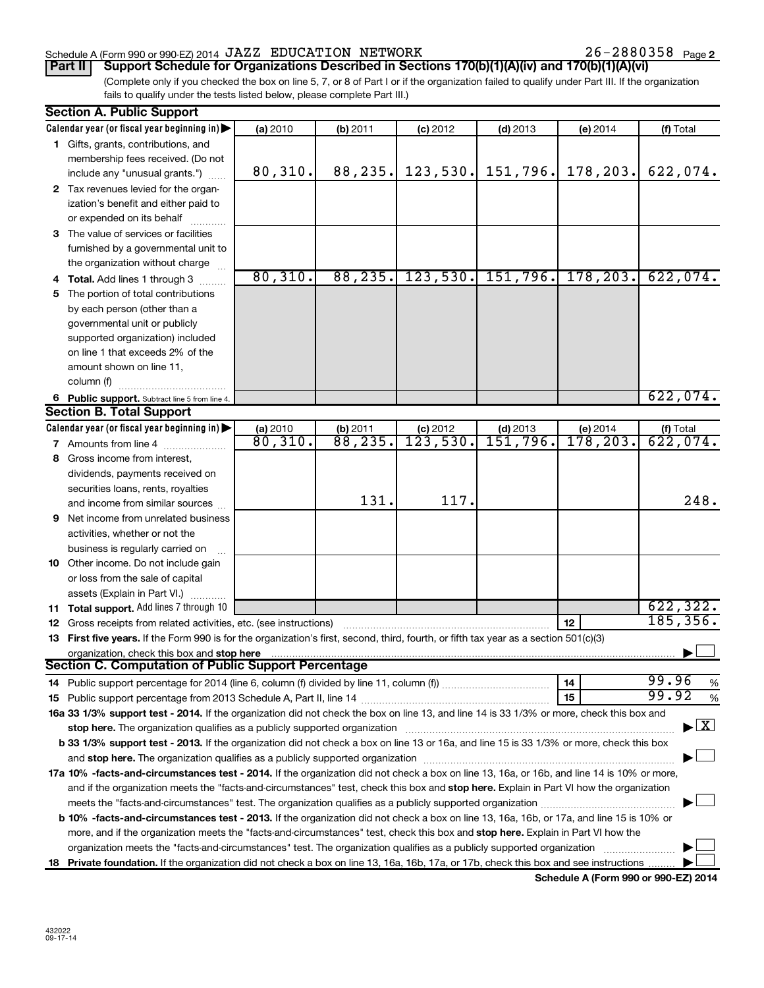#### Schedule A (Form 990 or 990-EZ) 2014  $\rm JAZZ$  EDUCATION NETWORK  $26-2880358$  Page

(Complete only if you checked the box on line 5, 7, or 8 of Part I or if the organization failed to qualify under Part III. If the organization **Part II Support Schedule for Organizations Described in Sections 170(b)(1)(A)(iv) and 170(b)(1)(A)(vi)**

fails to qualify under the tests listed below, please complete Part III.)

| <b>Section A. Public Support</b>                                                                                                           |                                   |                     |                        |                               |                                    |                                    |
|--------------------------------------------------------------------------------------------------------------------------------------------|-----------------------------------|---------------------|------------------------|-------------------------------|------------------------------------|------------------------------------|
| Calendar year (or fiscal year beginning in)                                                                                                | (a) 2010                          | (b) 2011            | $(c)$ 2012             | $(d)$ 2013                    | (e) 2014                           | (f) Total                          |
| 1 Gifts, grants, contributions, and                                                                                                        |                                   |                     |                        |                               |                                    |                                    |
| membership fees received. (Do not                                                                                                          |                                   |                     |                        |                               |                                    |                                    |
| include any "unusual grants.")                                                                                                             | 80, 310.                          | 88, 235.            | 123,530.               | 151, 796.                     | 178,203.                           | 622,074.                           |
| 2 Tax revenues levied for the organ-                                                                                                       |                                   |                     |                        |                               |                                    |                                    |
| ization's benefit and either paid to                                                                                                       |                                   |                     |                        |                               |                                    |                                    |
| or expended on its behalf                                                                                                                  |                                   |                     |                        |                               |                                    |                                    |
| 3 The value of services or facilities                                                                                                      |                                   |                     |                        |                               |                                    |                                    |
| furnished by a governmental unit to                                                                                                        |                                   |                     |                        |                               |                                    |                                    |
| the organization without charge                                                                                                            |                                   |                     |                        |                               |                                    |                                    |
| 4 Total. Add lines 1 through 3                                                                                                             | 80,310.                           | 88, 235.            | 123,530.               |                               | $151, 796.$ 178, 203.              | 622,074.                           |
| 5 The portion of total contributions                                                                                                       |                                   |                     |                        |                               |                                    |                                    |
| by each person (other than a                                                                                                               |                                   |                     |                        |                               |                                    |                                    |
| governmental unit or publicly                                                                                                              |                                   |                     |                        |                               |                                    |                                    |
| supported organization) included                                                                                                           |                                   |                     |                        |                               |                                    |                                    |
| on line 1 that exceeds 2% of the                                                                                                           |                                   |                     |                        |                               |                                    |                                    |
| amount shown on line 11,                                                                                                                   |                                   |                     |                        |                               |                                    |                                    |
| column (f)                                                                                                                                 |                                   |                     |                        |                               |                                    |                                    |
| 6 Public support. Subtract line 5 from line 4.                                                                                             |                                   |                     |                        |                               |                                    | 622,074.                           |
| <b>Section B. Total Support</b>                                                                                                            |                                   |                     |                        |                               |                                    |                                    |
| Calendar year (or fiscal year beginning in)                                                                                                |                                   |                     |                        |                               |                                    |                                    |
| 7 Amounts from line 4                                                                                                                      | (a) 2010<br>$\frac{1}{80}$ , 310. | (b) 2011<br>88,235. | $(c)$ 2012<br>123,530. | $(d)$ 2013<br><u>151,796.</u> | (e) 2014<br>$\overline{178}$ ,203. | $(t)$ Total<br>622, 074.           |
| 8 Gross income from interest,                                                                                                              |                                   |                     |                        |                               |                                    |                                    |
|                                                                                                                                            |                                   |                     |                        |                               |                                    |                                    |
| dividends, payments received on                                                                                                            |                                   |                     |                        |                               |                                    |                                    |
| securities loans, rents, royalties                                                                                                         |                                   | 131.                | 117.                   |                               |                                    | 248.                               |
| and income from similar sources                                                                                                            |                                   |                     |                        |                               |                                    |                                    |
| <b>9</b> Net income from unrelated business                                                                                                |                                   |                     |                        |                               |                                    |                                    |
| activities, whether or not the                                                                                                             |                                   |                     |                        |                               |                                    |                                    |
| business is regularly carried on                                                                                                           |                                   |                     |                        |                               |                                    |                                    |
| 10 Other income. Do not include gain                                                                                                       |                                   |                     |                        |                               |                                    |                                    |
| or loss from the sale of capital                                                                                                           |                                   |                     |                        |                               |                                    |                                    |
| assets (Explain in Part VI.)                                                                                                               |                                   |                     |                        |                               |                                    | 622, 322.                          |
| 11 Total support. Add lines 7 through 10                                                                                                   |                                   |                     |                        |                               |                                    | 185, 356.                          |
| <b>12</b> Gross receipts from related activities, etc. (see instructions)                                                                  |                                   |                     |                        |                               | 12                                 |                                    |
| 13 First five years. If the Form 990 is for the organization's first, second, third, fourth, or fifth tax year as a section 501(c)(3)      |                                   |                     |                        |                               |                                    |                                    |
| organization, check this box and stop here<br>Section C. Computation of Public Support Percentage                                          |                                   |                     |                        |                               |                                    |                                    |
|                                                                                                                                            |                                   |                     |                        |                               |                                    | 99.96                              |
|                                                                                                                                            |                                   |                     |                        |                               | 14                                 | %<br>99.92                         |
|                                                                                                                                            |                                   |                     |                        |                               | 15                                 | %                                  |
| 16a 33 1/3% support test - 2014. If the organization did not check the box on line 13, and line 14 is 33 1/3% or more, check this box and  |                                   |                     |                        |                               |                                    |                                    |
| stop here. The organization qualifies as a publicly supported organization                                                                 |                                   |                     |                        |                               |                                    | $\blacktriangleright$ $\mathbf{X}$ |
| b 33 1/3% support test - 2013. If the organization did not check a box on line 13 or 16a, and line 15 is 33 1/3% or more, check this box   |                                   |                     |                        |                               |                                    |                                    |
|                                                                                                                                            |                                   |                     |                        |                               |                                    |                                    |
| 17a 10% -facts-and-circumstances test - 2014. If the organization did not check a box on line 13, 16a, or 16b, and line 14 is 10% or more, |                                   |                     |                        |                               |                                    |                                    |
| and if the organization meets the "facts-and-circumstances" test, check this box and stop here. Explain in Part VI how the organization    |                                   |                     |                        |                               |                                    |                                    |
|                                                                                                                                            |                                   |                     |                        |                               |                                    |                                    |
| b 10% -facts-and-circumstances test - 2013. If the organization did not check a box on line 13, 16a, 16b, or 17a, and line 15 is 10% or    |                                   |                     |                        |                               |                                    |                                    |
| more, and if the organization meets the "facts-and-circumstances" test, check this box and stop here. Explain in Part VI how the           |                                   |                     |                        |                               |                                    |                                    |
| organization meets the "facts-and-circumstances" test. The organization qualifies as a publicly supported organization                     |                                   |                     |                        |                               |                                    |                                    |
| 18 Private foundation. If the organization did not check a box on line 13, 16a, 16b, 17a, or 17b, check this box and see instructions      |                                   |                     |                        |                               |                                    |                                    |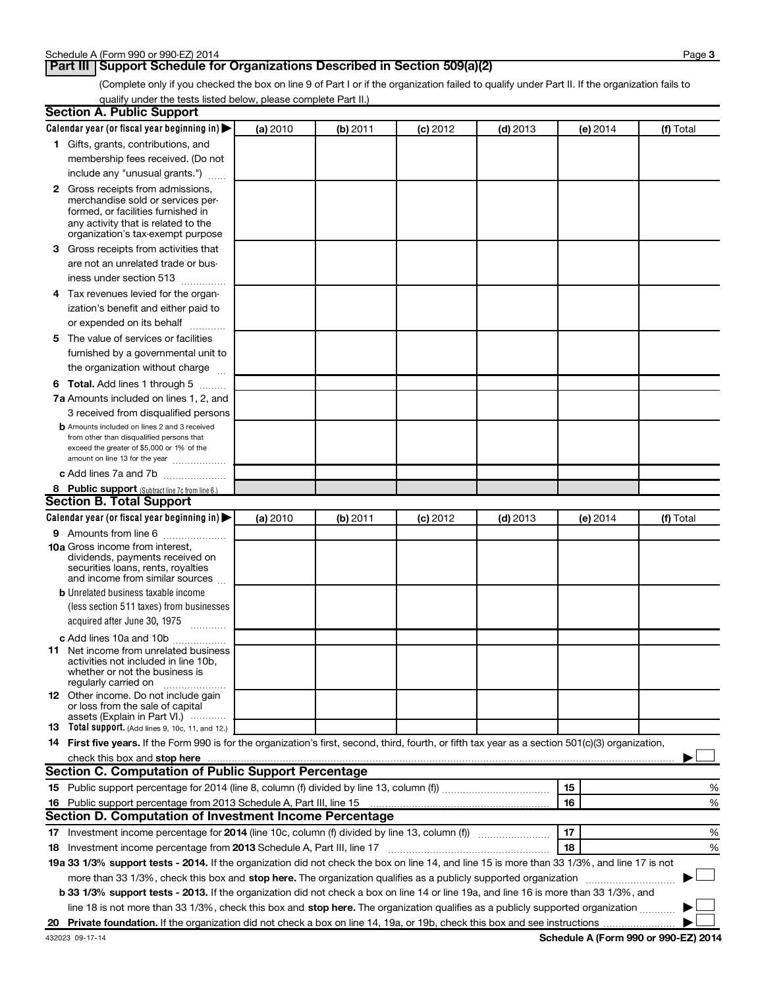#### **Part III Support Schedule for Organizations Described in Section 509(a)(2)**

(Complete only if you checked the box on line 9 of Part I or if the organization failed to qualify under Part II. If the organization fails to qualify under the tests listed below, please complete Part II.)

| <b>Section A. Public Support</b>                                                                                                                    |          |          |            |            |          |           |
|-----------------------------------------------------------------------------------------------------------------------------------------------------|----------|----------|------------|------------|----------|-----------|
| Calendar year (or fiscal year beginning in)                                                                                                         | (a) 2010 | (b) 2011 | $(c)$ 2012 | $(d)$ 2013 | (e) 2014 | (f) Total |
| 1 Gifts, grants, contributions, and                                                                                                                 |          |          |            |            |          |           |
| membership fees received. (Do not                                                                                                                   |          |          |            |            |          |           |
| include any "unusual grants.")                                                                                                                      |          |          |            |            |          |           |
| 2 Gross receipts from admissions,                                                                                                                   |          |          |            |            |          |           |
| merchandise sold or services per-                                                                                                                   |          |          |            |            |          |           |
| formed, or facilities furnished in                                                                                                                  |          |          |            |            |          |           |
| any activity that is related to the<br>organization's tax-exempt purpose                                                                            |          |          |            |            |          |           |
| 3 Gross receipts from activities that                                                                                                               |          |          |            |            |          |           |
| are not an unrelated trade or bus-                                                                                                                  |          |          |            |            |          |           |
| iness under section 513                                                                                                                             |          |          |            |            |          |           |
| 4 Tax revenues levied for the organ-                                                                                                                |          |          |            |            |          |           |
| ization's benefit and either paid to                                                                                                                |          |          |            |            |          |           |
| or expended on its behalf<br>.                                                                                                                      |          |          |            |            |          |           |
| 5 The value of services or facilities                                                                                                               |          |          |            |            |          |           |
| furnished by a governmental unit to                                                                                                                 |          |          |            |            |          |           |
| the organization without charge                                                                                                                     |          |          |            |            |          |           |
| 6 Total. Add lines 1 through 5                                                                                                                      |          |          |            |            |          |           |
| 7a Amounts included on lines 1, 2, and                                                                                                              |          |          |            |            |          |           |
| 3 received from disqualified persons                                                                                                                |          |          |            |            |          |           |
| <b>b</b> Amounts included on lines 2 and 3 received                                                                                                 |          |          |            |            |          |           |
| from other than disqualified persons that                                                                                                           |          |          |            |            |          |           |
| exceed the greater of \$5,000 or 1% of the<br>amount on line 13 for the year                                                                        |          |          |            |            |          |           |
| c Add lines 7a and 7b                                                                                                                               |          |          |            |            |          |           |
| 8 Public support (Subtract line 7c from line 6.)                                                                                                    |          |          |            |            |          |           |
| <b>Section B. Total Support</b>                                                                                                                     |          |          |            |            |          |           |
| Calendar year (or fiscal year beginning in) $\blacktriangleright$                                                                                   | (a) 2010 | (b) 2011 | $(c)$ 2012 | $(d)$ 2013 | (e) 2014 | (f) Total |
| 9 Amounts from line 6                                                                                                                               |          |          |            |            |          |           |
| <b>10a</b> Gross income from interest,                                                                                                              |          |          |            |            |          |           |
| dividends, payments received on                                                                                                                     |          |          |            |            |          |           |
| securities loans, rents, royalties<br>and income from similar sources                                                                               |          |          |            |            |          |           |
| <b>b</b> Unrelated business taxable income                                                                                                          |          |          |            |            |          |           |
| (less section 511 taxes) from businesses                                                                                                            |          |          |            |            |          |           |
| acquired after June 30, 1975                                                                                                                        |          |          |            |            |          |           |
| $\overline{\phantom{a}}$<br>c Add lines 10a and 10b                                                                                                 |          |          |            |            |          |           |
| <b>11</b> Net income from unrelated business                                                                                                        |          |          |            |            |          |           |
| activities not included in line 10b.                                                                                                                |          |          |            |            |          |           |
| whether or not the business is                                                                                                                      |          |          |            |            |          |           |
| regularly carried on<br>12 Other income. Do not include gain                                                                                        |          |          |            |            |          |           |
| or loss from the sale of capital                                                                                                                    |          |          |            |            |          |           |
| assets (Explain in Part VI.)                                                                                                                        |          |          |            |            |          |           |
| <b>13</b> Total support. (Add lines 9, 10c, 11, and 12.)                                                                                            |          |          |            |            |          |           |
| 14 First five years. If the Form 990 is for the organization's first, second, third, fourth, or fifth tax year as a section 501(c)(3) organization, |          |          |            |            |          |           |
| check this box and stop here<br><b>Section C. Computation of Public Support Percentage</b>                                                          |          |          |            |            |          |           |
|                                                                                                                                                     |          |          |            |            | 15       |           |
|                                                                                                                                                     |          |          |            |            | 16       | %         |
| Section D. Computation of Investment Income Percentage                                                                                              |          |          |            |            |          | %         |
|                                                                                                                                                     |          |          |            |            | 17       |           |
| 17 Investment income percentage for 2014 (line 10c, column (f) divided by line 13, column (f))                                                      |          |          |            |            |          | %         |
| 18 Investment income percentage from 2013 Schedule A, Part III, line 17                                                                             |          |          |            |            | 18       | %         |
| 19a 33 1/3% support tests - 2014. If the organization did not check the box on line 14, and line 15 is more than 33 1/3%, and line 17 is not        |          |          |            |            |          |           |
| more than 33 1/3%, check this box and stop here. The organization qualifies as a publicly supported organization                                    |          |          |            |            |          |           |
| b 33 1/3% support tests - 2013. If the organization did not check a box on line 14 or line 19a, and line 16 is more than 33 1/3%, and               |          |          |            |            |          |           |
| line 18 is not more than 33 1/3%, check this box and stop here. The organization qualifies as a publicly supported organization                     |          |          |            |            |          |           |
|                                                                                                                                                     |          |          |            |            |          |           |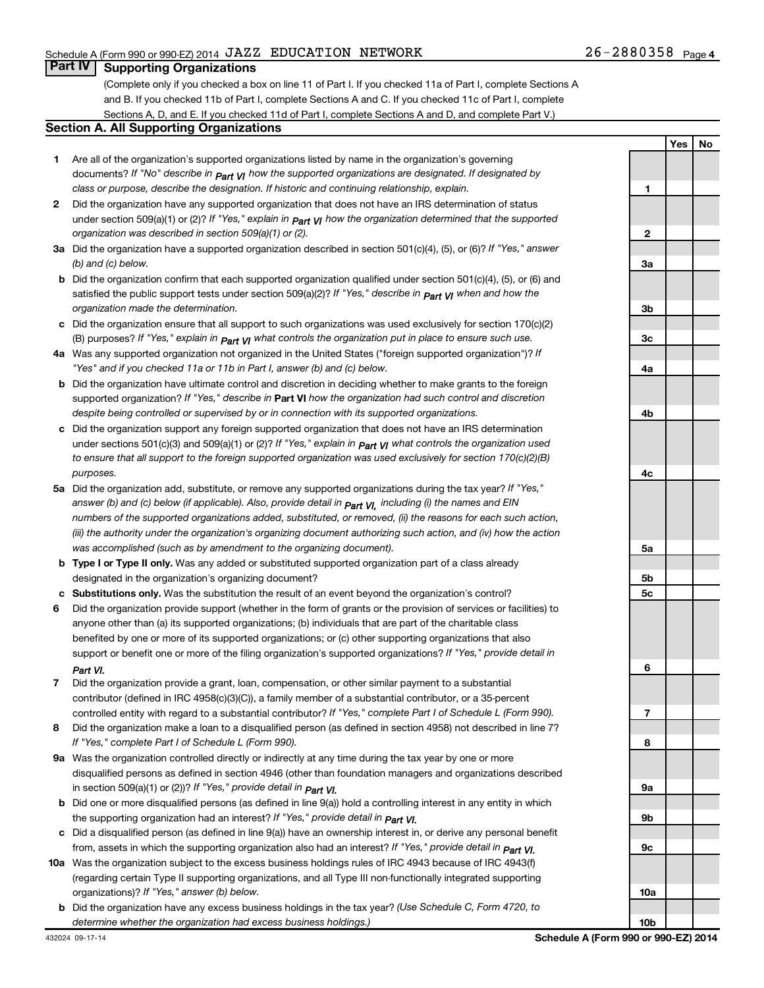#### **Part IV** | Supporting Organizations

(Complete only if you checked a box on line 11 of Part I. If you checked 11a of Part I, complete Sections A and B. If you checked 11b of Part I, complete Sections A and C. If you checked 11c of Part I, complete Sections A, D, and E. If you checked 11d of Part I, complete Sections A and D, and complete Part V.)

#### **Section A. All Supporting Organizations**

- **1** Are all of the organization's supported organizations listed by name in the organization's governing documents? If "No" describe in  $_{\mathsf{Part}}$   $_{\mathsf{V}}$  how the supported organizations are designated. If designated by *class or purpose, describe the designation. If historic and continuing relationship, explain.*
- **2** Did the organization have any supported organization that does not have an IRS determination of status under section 509(a)(1) or (2)? If "Yes," explain in  $_{\sf Part}$   $_{\sf VI}$  how the organization determined that the supported *organization was described in section 509(a)(1) or (2).*
- **3a** Did the organization have a supported organization described in section 501(c)(4), (5), or (6)? If "Yes," answer *(b) and (c) below.*
- **b** Did the organization confirm that each supported organization qualified under section 501(c)(4), (5), or (6) and satisfied the public support tests under section 509(a)(2)? If "Yes," describe in  $_{\rm Part}$   $_{\rm VI}$  when and how the *organization made the determination.*
- **c** Did the organization ensure that all support to such organizations was used exclusively for section 170(c)(2) (B) purposes? If "Yes," explain in  $_{\mathsf{Part}}$   $_{\mathsf{V}}$  what controls the organization put in place to ensure such use.
- **4 a** *If* Was any supported organization not organized in the United States ("foreign supported organization")? *"Yes" and if you checked 11a or 11b in Part I, answer (b) and (c) below.*
- **b** Did the organization have ultimate control and discretion in deciding whether to make grants to the foreign supported organization? If "Yes," describe in Part VI how the organization had such control and discretion *despite being controlled or supervised by or in connection with its supported organizations.*
- **c** Did the organization support any foreign supported organization that does not have an IRS determination under sections 501(c)(3) and 509(a)(1) or (2)? If "Yes," ex*plain in*  $_{\sf Part}$  *v*J what controls the organization used *to ensure that all support to the foreign supported organization was used exclusively for section 170(c)(2)(B) purposes.*
- **5a** Did the organization add, substitute, or remove any supported organizations during the tax year? If "Yes," answer (b) and (c) below (if applicable). Also, provide detail in  $_{\mathsf{Part}}$   $_{\mathsf{V{\mathsf{I}}}}$ , including (i) the names and EIN *numbers of the supported organizations added, substituted, or removed, (ii) the reasons for each such action, (iii) the authority under the organization's organizing document authorizing such action, and (iv) how the action was accomplished (such as by amendment to the organizing document).*
- **b** Type I or Type II only. Was any added or substituted supported organization part of a class already designated in the organization's organizing document?
- **c Substitutions only.**  Was the substitution the result of an event beyond the organization's control?
- **6** Did the organization provide support (whether in the form of grants or the provision of services or facilities) to support or benefit one or more of the filing organization's supported organizations? If "Yes," provide detail in anyone other than (a) its supported organizations; (b) individuals that are part of the charitable class benefited by one or more of its supported organizations; or (c) other supporting organizations that also *Part VI.*
- **7** Did the organization provide a grant, loan, compensation, or other similar payment to a substantial controlled entity with regard to a substantial contributor? If "Yes," complete Part I of Schedule L (Form 990). contributor (defined in IRC 4958(c)(3)(C)), a family member of a substantial contributor, or a 35-percent
- **8** Did the organization make a loan to a disqualified person (as defined in section 4958) not described in line 7? *If "Yes," complete Part I of Schedule L (Form 990).*
- **9 a** Was the organization controlled directly or indirectly at any time during the tax year by one or more *If "Yes," provide detail in*  in section 509(a)(1) or (2))? *Part VI.* disqualified persons as defined in section 4946 (other than foundation managers and organizations described
- **b** Did one or more disqualified persons (as defined in line 9(a)) hold a controlling interest in any entity in which  *If "Yes," provide detail in*  the supporting organization had an interest? *Part VI.*
- **c** Did a disqualified person (as defined in line 9(a)) have an ownership interest in, or derive any personal benefit from, assets in which the supporting organization also had an interest? If "Yes," *provide detail in Part VI.*
- **10 a** Was the organization subject to the excess business holdings rules of IRC 4943 because of IRC 4943(f)  *If "Yes," answer (b) below.* organizations)? (regarding certain Type II supporting organizations, and all Type III non-functionally integrated supporting
	- **b** Did the organization have any excess business holdings in the tax year? (Use Schedule C, Form 4720, to *determine whether the organization had excess business holdings.)*

|                         | <u>Yes</u><br>I | <u>No</u> |
|-------------------------|-----------------|-----------|
|                         |                 |           |
| 1                       |                 |           |
|                         |                 |           |
| $\overline{\mathbf{2}}$ |                 |           |
|                         |                 |           |
| 3 <u>a</u>              |                 |           |
|                         |                 |           |
| 3b                      |                 |           |
| 3c                      |                 |           |
|                         |                 |           |
| 4a                      |                 |           |
|                         |                 |           |
| 4b                      |                 |           |
|                         |                 |           |
| 4c                      |                 |           |
|                         |                 |           |
| 5a                      |                 |           |
| 5b                      |                 |           |
| 5c                      |                 |           |
|                         |                 |           |
| 6                       |                 |           |
|                         |                 |           |
| $\overline{1}$          |                 |           |
| 8                       |                 |           |
|                         |                 |           |
| 9a                      |                 |           |
| 9b                      |                 |           |
|                         |                 |           |
| 9c                      |                 |           |
|                         |                 |           |
| 10a                     |                 |           |
| 10 <sub>b</sub>         |                 |           |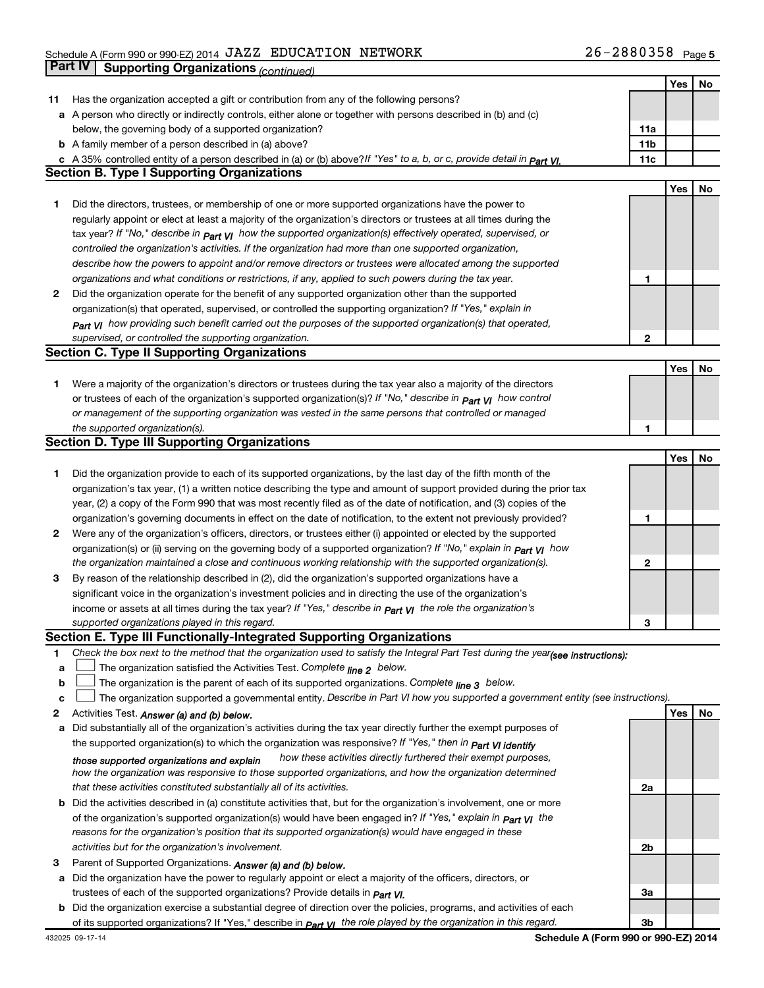|    |                                                                                                                                  |              | Yes | No |
|----|----------------------------------------------------------------------------------------------------------------------------------|--------------|-----|----|
| 11 | Has the organization accepted a gift or contribution from any of the following persons?                                          |              |     |    |
|    | a A person who directly or indirectly controls, either alone or together with persons described in (b) and (c)                   |              |     |    |
|    | below, the governing body of a supported organization?                                                                           | 11a          |     |    |
|    | <b>b</b> A family member of a person described in (a) above?                                                                     | 11b          |     |    |
|    | c A 35% controlled entity of a person described in (a) or (b) above? If "Yes" to a, b, or c, provide detail in Part VI.          | 11c          |     |    |
|    | <b>Section B. Type I Supporting Organizations</b>                                                                                |              |     |    |
|    |                                                                                                                                  |              | Yes | No |
| 1. | Did the directors, trustees, or membership of one or more supported organizations have the power to                              |              |     |    |
|    |                                                                                                                                  |              |     |    |
|    | regularly appoint or elect at least a majority of the organization's directors or trustees at all times during the               |              |     |    |
|    | tax year? If "No," describe in $_{Part}$ $_{VI}$ how the supported organization(s) effectively operated, supervised, or          |              |     |    |
|    | controlled the organization's activities. If the organization had more than one supported organization,                          |              |     |    |
|    | describe how the powers to appoint and/or remove directors or trustees were allocated among the supported                        |              |     |    |
|    | organizations and what conditions or restrictions, if any, applied to such powers during the tax year.                           | 1            |     |    |
| 2  | Did the organization operate for the benefit of any supported organization other than the supported                              |              |     |    |
|    | organization(s) that operated, supervised, or controlled the supporting organization? If "Yes," explain in                       |              |     |    |
|    | Part VI how providing such benefit carried out the purposes of the supported organization(s) that operated,                      |              |     |    |
|    | supervised, or controlled the supporting organization.                                                                           | $\mathbf{2}$ |     |    |
|    | <b>Section C. Type II Supporting Organizations</b>                                                                               |              |     |    |
|    |                                                                                                                                  |              | Yes | No |
| 1. | Were a majority of the organization's directors or trustees during the tax year also a majority of the directors                 |              |     |    |
|    | or trustees of each of the organization's supported organization(s)? If "No," describe in <b>Part VI</b> how control             |              |     |    |
|    | or management of the supporting organization was vested in the same persons that controlled or managed                           |              |     |    |
|    | the supported organization(s).                                                                                                   | 1            |     |    |
|    | <b>Section D. Type III Supporting Organizations</b>                                                                              |              |     |    |
|    |                                                                                                                                  |              | Yes | No |
| 1  | Did the organization provide to each of its supported organizations, by the last day of the fifth month of the                   |              |     |    |
|    | organization's tax year, (1) a written notice describing the type and amount of support provided during the prior tax            |              |     |    |
|    | year, (2) a copy of the Form 990 that was most recently filed as of the date of notification, and (3) copies of the              |              |     |    |
|    | organization's governing documents in effect on the date of notification, to the extent not previously provided?                 | 1            |     |    |
| 2  | Were any of the organization's officers, directors, or trustees either (i) appointed or elected by the supported                 |              |     |    |
|    | organization(s) or (ii) serving on the governing body of a supported organization? If "No," explain in part VI how               |              |     |    |
|    | the organization maintained a close and continuous working relationship with the supported organization(s).                      | 2            |     |    |
| 3  | By reason of the relationship described in (2), did the organization's supported organizations have a                            |              |     |    |
|    | significant voice in the organization's investment policies and in directing the use of the organization's                       |              |     |    |
|    | income or assets at all times during the tax year? If "Yes," describe in $P_{\text{art } VI}$ the role the organization's        |              |     |    |
|    | supported organizations played in this regard.                                                                                   | 3            |     |    |
|    | Section E. Type III Functionally-Integrated Supporting Organizations                                                             |              |     |    |
| 1. | Check the box next to the method that the organization used to satisfy the Integral Part Test during the year(see instructions): |              |     |    |
| a  | The organization satisfied the Activities Test. Complete line 2 below.                                                           |              |     |    |
| b  | The organization is the parent of each of its supported organizations. Complete $_{\text{line 3}}$ below.                        |              |     |    |
| с  | The organization supported a governmental entity. Describe in Part VI how you supported a government entity (see instructions).  |              |     |    |
| 2  | Activities Test. Answer (a) and (b) below.                                                                                       |              | Yes | No |
| а  | Did substantially all of the organization's activities during the tax year directly further the exempt purposes of               |              |     |    |
|    | the supported organization(s) to which the organization was responsive? If "Yes," then in Part VI identify                       |              |     |    |
|    | how these activities directly furthered their exempt purposes,<br>those supported organizations and explain                      |              |     |    |
|    | how the organization was responsive to those supported organizations, and how the organization determined                        |              |     |    |
|    | that these activities constituted substantially all of its activities.                                                           | 2a           |     |    |
| b  | Did the activities described in (a) constitute activities that, but for the organization's involvement, one or more              |              |     |    |
|    | of the organization's supported organization(s) would have been engaged in? If "Yes," explain in <b>Part VI</b> the              |              |     |    |
|    | reasons for the organization's position that its supported organization(s) would have engaged in these                           |              |     |    |
|    | activities but for the organization's involvement.                                                                               | 2b           |     |    |
|    |                                                                                                                                  |              |     |    |
| З  | Parent of Supported Organizations. Answer (a) and (b) below.                                                                     |              |     |    |
| а  | Did the organization have the power to regularly appoint or elect a majority of the officers, directors, or                      | За           |     |    |
|    | trustees of each of the supported organizations? Provide details in <i>Part VI.</i>                                              |              |     |    |
|    | <b>b</b> Did the organization exercise a substantial degree of direction over the policies, programs, and activities of each     |              |     |    |
|    | of its supported organizations? If "Yes," describe in $Part$ $VI$ the role played by the organization in this regard.            | 3b           |     |    |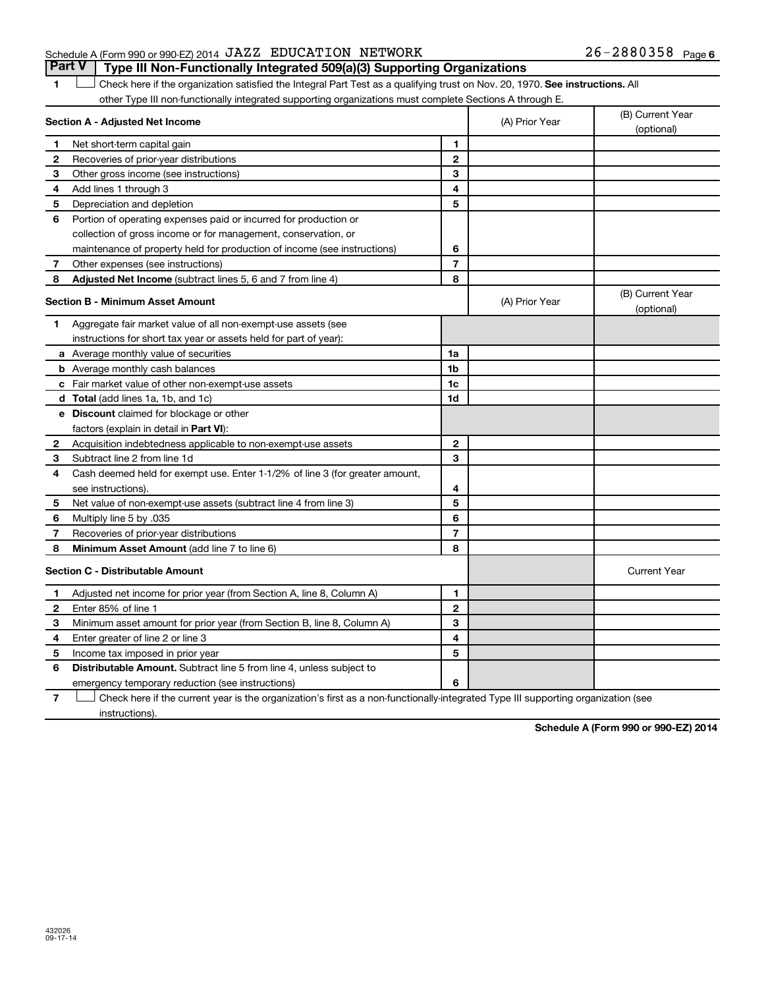#### Schedule A (Form 990 or 990-EZ) 2014  $\rm JAZZ$  EDUCATION NETWORK  $26-2880358$  Page

1 **Letter on Reck here if the organization satisfied the Integral Part Test as a qualifying trust on Nov. 20, 1970. See instructions. All** other Type III non-functionally integrated supporting organizations must complete Sections A through E. **Part V Type III Non-Functionally Integrated 509(a)(3) Supporting Organizations** 

| Section A - Adjusted Net Income |                                                                              |                | (A) Prior Year | (B) Current Year<br>(optional) |
|---------------------------------|------------------------------------------------------------------------------|----------------|----------------|--------------------------------|
| 1                               | Net short-term capital gain                                                  | 1              |                |                                |
| $\mathbf{2}$                    | Recoveries of prior-year distributions                                       | $\mathbf{2}$   |                |                                |
| 3                               | Other gross income (see instructions)                                        | 3              |                |                                |
| 4                               | Add lines 1 through 3                                                        | 4              |                |                                |
| 5                               | Depreciation and depletion                                                   | 5              |                |                                |
| 6                               | Portion of operating expenses paid or incurred for production or             |                |                |                                |
|                                 | collection of gross income or for management, conservation, or               |                |                |                                |
|                                 | maintenance of property held for production of income (see instructions)     | 6              |                |                                |
| 7                               | Other expenses (see instructions)                                            | $\overline{7}$ |                |                                |
| 8                               | Adjusted Net Income (subtract lines 5, 6 and 7 from line 4)                  | 8              |                |                                |
|                                 | <b>Section B - Minimum Asset Amount</b>                                      |                | (A) Prior Year | (B) Current Year<br>(optional) |
| 1                               | Aggregate fair market value of all non-exempt-use assets (see                |                |                |                                |
|                                 | instructions for short tax year or assets held for part of year):            |                |                |                                |
|                                 | <b>a</b> Average monthly value of securities                                 | 1a             |                |                                |
|                                 | <b>b</b> Average monthly cash balances                                       | 1 <sub>b</sub> |                |                                |
|                                 | <b>c</b> Fair market value of other non-exempt-use assets                    | 1c             |                |                                |
|                                 | <b>d</b> Total (add lines 1a, 1b, and 1c)                                    | 1d             |                |                                |
|                                 | e Discount claimed for blockage or other                                     |                |                |                                |
|                                 | factors (explain in detail in Part VI):                                      |                |                |                                |
| 2                               | Acquisition indebtedness applicable to non-exempt-use assets                 | $\mathbf{2}$   |                |                                |
| З                               | Subtract line 2 from line 1d                                                 | 3              |                |                                |
| 4                               | Cash deemed held for exempt use. Enter 1-1/2% of line 3 (for greater amount, |                |                |                                |
|                                 | see instructions).                                                           | 4              |                |                                |
| 5                               | Net value of non-exempt-use assets (subtract line 4 from line 3)             | 5              |                |                                |
| 6                               | 035. Multiply line 5 by                                                      | 6              |                |                                |
| $\overline{\phantom{a}}$        | Recoveries of prior-year distributions                                       | $\overline{7}$ |                |                                |
| 8                               | Minimum Asset Amount (add line 7 to line 6)                                  | 8              |                |                                |
|                                 | <b>Section C - Distributable Amount</b>                                      |                |                | <b>Current Year</b>            |
| 1                               | Adjusted net income for prior year (from Section A, line 8, Column A)        | 1              |                |                                |
| $\mathbf{2}$                    | Enter 85% of line 1                                                          | $\mathbf{2}$   |                |                                |
| З                               | Minimum asset amount for prior year (from Section B, line 8, Column A)       | 3              |                |                                |
| 4                               | Enter greater of line 2 or line 3                                            | 4              |                |                                |
| 5                               | Income tax imposed in prior year                                             | 5              |                |                                |
| 6                               | Distributable Amount. Subtract line 5 from line 4, unless subject to         |                |                |                                |
|                                 | emergency temporary reduction (see instructions)                             | 6              |                |                                |
|                                 |                                                                              |                |                |                                |

**7** Check here if the current year is the organization's first as a non-functionally-integrated Type III supporting organization (see † instructions).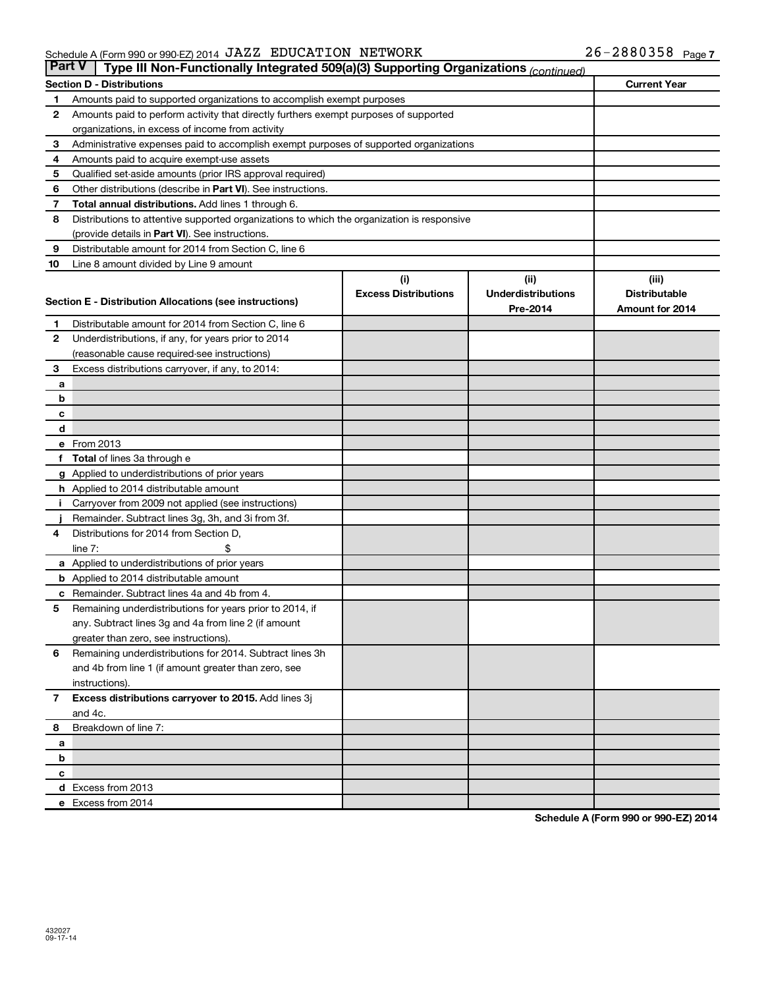| <b>Part V</b><br>Type III Non-Functionally Integrated 509(a)(3) Supporting Organizations (continued) |                                                                                            |                             |                           |                      |  |
|------------------------------------------------------------------------------------------------------|--------------------------------------------------------------------------------------------|-----------------------------|---------------------------|----------------------|--|
|                                                                                                      | <b>Section D - Distributions</b>                                                           | <b>Current Year</b>         |                           |                      |  |
| 1                                                                                                    | Amounts paid to supported organizations to accomplish exempt purposes                      |                             |                           |                      |  |
| 2                                                                                                    | Amounts paid to perform activity that directly furthers exempt purposes of supported       |                             |                           |                      |  |
|                                                                                                      | organizations, in excess of income from activity                                           |                             |                           |                      |  |
| 3                                                                                                    | Administrative expenses paid to accomplish exempt purposes of supported organizations      |                             |                           |                      |  |
| 4                                                                                                    | Amounts paid to acquire exempt-use assets                                                  |                             |                           |                      |  |
| 5                                                                                                    | Qualified set-aside amounts (prior IRS approval required)                                  |                             |                           |                      |  |
| 6                                                                                                    | Other distributions (describe in Part VI). See instructions.                               |                             |                           |                      |  |
| 7                                                                                                    | Total annual distributions. Add lines 1 through 6.                                         |                             |                           |                      |  |
| 8                                                                                                    | Distributions to attentive supported organizations to which the organization is responsive |                             |                           |                      |  |
|                                                                                                      | (provide details in Part VI). See instructions.                                            |                             |                           |                      |  |
| 9                                                                                                    | Distributable amount for 2014 from Section C, line 6                                       |                             |                           |                      |  |
| 10                                                                                                   | Line 8 amount divided by Line 9 amount                                                     |                             |                           |                      |  |
|                                                                                                      |                                                                                            | (i)                         | (ii)                      | (iii)                |  |
|                                                                                                      | Section E - Distribution Allocations (see instructions)                                    | <b>Excess Distributions</b> | <b>Underdistributions</b> | <b>Distributable</b> |  |
|                                                                                                      |                                                                                            |                             | Pre-2014                  | Amount for 2014      |  |
| 1                                                                                                    | Distributable amount for 2014 from Section C, line 6                                       |                             |                           |                      |  |
| 2                                                                                                    | Underdistributions, if any, for years prior to 2014                                        |                             |                           |                      |  |
|                                                                                                      | (reasonable cause required-see instructions)                                               |                             |                           |                      |  |
| 3                                                                                                    | Excess distributions carryover, if any, to 2014:                                           |                             |                           |                      |  |
| a                                                                                                    |                                                                                            |                             |                           |                      |  |
| b                                                                                                    |                                                                                            |                             |                           |                      |  |
| с<br>d                                                                                               |                                                                                            |                             |                           |                      |  |
|                                                                                                      | e From 2013                                                                                |                             |                           |                      |  |
| f                                                                                                    | <b>Total</b> of lines 3a through e                                                         |                             |                           |                      |  |
|                                                                                                      | <b>g</b> Applied to underdistributions of prior years                                      |                             |                           |                      |  |
|                                                                                                      | <b>h</b> Applied to 2014 distributable amount                                              |                             |                           |                      |  |
|                                                                                                      | Carryover from 2009 not applied (see instructions)                                         |                             |                           |                      |  |
|                                                                                                      | Remainder. Subtract lines 3g, 3h, and 3i from 3f.                                          |                             |                           |                      |  |
| 4                                                                                                    | Distributions for 2014 from Section D,                                                     |                             |                           |                      |  |
|                                                                                                      | line $7:$                                                                                  |                             |                           |                      |  |
|                                                                                                      | a Applied to underdistributions of prior years                                             |                             |                           |                      |  |
|                                                                                                      | <b>b</b> Applied to 2014 distributable amount                                              |                             |                           |                      |  |
| с                                                                                                    | Remainder. Subtract lines 4a and 4b from 4.                                                |                             |                           |                      |  |
| 5                                                                                                    | Remaining underdistributions for years prior to 2014, if                                   |                             |                           |                      |  |
|                                                                                                      | any. Subtract lines 3g and 4a from line 2 (if amount                                       |                             |                           |                      |  |
|                                                                                                      | greater than zero, see instructions).                                                      |                             |                           |                      |  |
| 6                                                                                                    | Remaining underdistributions for 2014. Subtract lines 3h                                   |                             |                           |                      |  |
|                                                                                                      | and 4b from line 1 (if amount greater than zero, see                                       |                             |                           |                      |  |
|                                                                                                      | instructions).                                                                             |                             |                           |                      |  |
| $\overline{7}$                                                                                       | Excess distributions carryover to 2015. Add lines 3j                                       |                             |                           |                      |  |
|                                                                                                      | and 4c.                                                                                    |                             |                           |                      |  |
| 8                                                                                                    | Breakdown of line 7:                                                                       |                             |                           |                      |  |
| а                                                                                                    |                                                                                            |                             |                           |                      |  |
| b                                                                                                    |                                                                                            |                             |                           |                      |  |
| с                                                                                                    |                                                                                            |                             |                           |                      |  |
|                                                                                                      | d Excess from 2013                                                                         |                             |                           |                      |  |
|                                                                                                      | e Excess from 2014                                                                         |                             |                           |                      |  |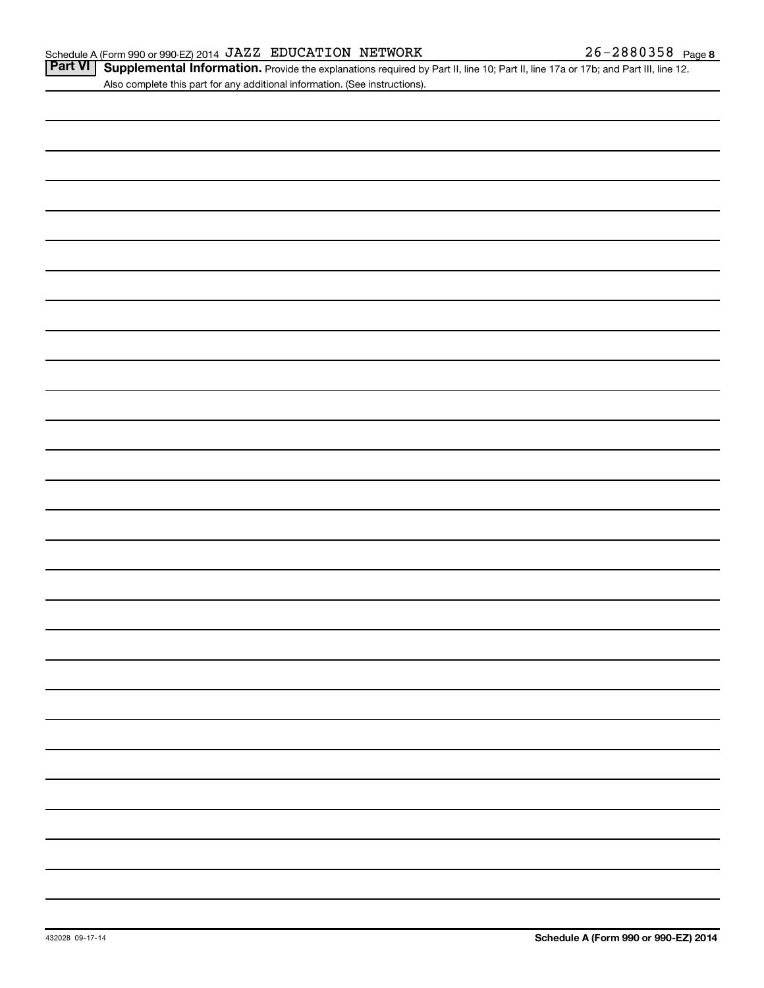Part VI | Supplemental Information. Provide the explanations required by Part II, line 10; Part II, line 17a or 17b; and Part III, line 12. Also complete this part for any additional information. (See instructions).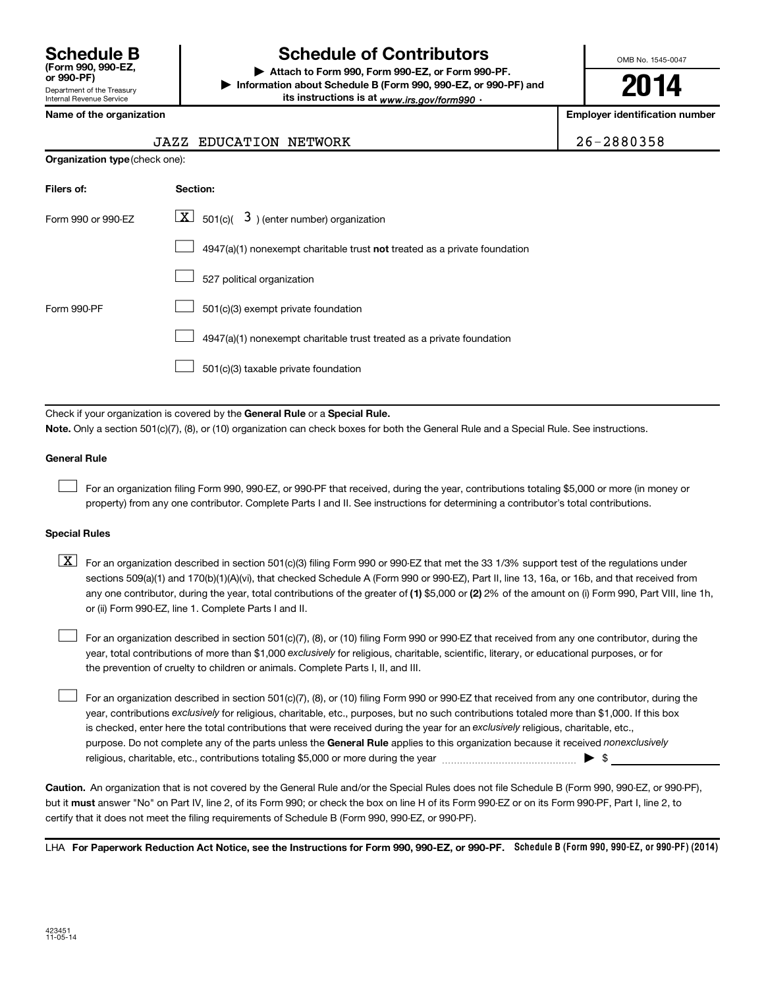### **Schedule B Schedule of Contributors**

**or 990-PF) | Attach to Form 990, Form 990-EZ, or Form 990-PF. | Information about Schedule B (Form 990, 990-EZ, or 990-PF) and** its instructions is at <sub>www.irs.gov/form990  $\cdot$ </sub>

OMB No. 1545-0047

**2014**

**Employer identification number** 

|  |  | <b>Name of the organization</b> |
|--|--|---------------------------------|
|--|--|---------------------------------|

#### JAZZ EDUCATION NETWORK 26-2880358

| Organization type (check one):                                            |  |  |  |  |  |  |
|---------------------------------------------------------------------------|--|--|--|--|--|--|
| Section:                                                                  |  |  |  |  |  |  |
| $\lfloor x \rfloor$ 501(c)( 3) (enter number) organization                |  |  |  |  |  |  |
| 4947(a)(1) nonexempt charitable trust not treated as a private foundation |  |  |  |  |  |  |
| 527 political organization                                                |  |  |  |  |  |  |
| 501(c)(3) exempt private foundation                                       |  |  |  |  |  |  |
| 4947(a)(1) nonexempt charitable trust treated as a private foundation     |  |  |  |  |  |  |
| 501(c)(3) taxable private foundation                                      |  |  |  |  |  |  |
|                                                                           |  |  |  |  |  |  |

Check if your organization is covered by the General Rule or a Special Rule.

**Note.**  Only a section 501(c)(7), (8), or (10) organization can check boxes for both the General Rule and a Special Rule. See instructions.

#### **General Rule**

 $\Box$ 

For an organization filing Form 990, 990-EZ, or 990-PF that received, during the year, contributions totaling \$5,000 or more (in money or property) from any one contributor. Complete Parts I and II. See instructions for determining a contributor's total contributions.

#### **Special Rules**

any one contributor, during the year, total contributions of the greater of **(1)** \$5,000 or **(2)** 2% of the amount on (i) Form 990, Part VIII, line 1h,  $\boxed{\text{X}}$  For an organization described in section 501(c)(3) filing Form 990 or 990-EZ that met the 33 1/3% support test of the regulations under sections 509(a)(1) and 170(b)(1)(A)(vi), that checked Schedule A (Form 990 or 990-EZ), Part II, line 13, 16a, or 16b, and that received from or (ii) Form 990-EZ, line 1. Complete Parts I and II.

year, total contributions of more than \$1,000 *exclusively* for religious, charitable, scientific, literary, or educational purposes, or for For an organization described in section 501(c)(7), (8), or (10) filing Form 990 or 990-EZ that received from any one contributor, during the the prevention of cruelty to children or animals. Complete Parts I, II, and III.  $\Box$ 

purpose. Do not complete any of the parts unless the General Rule applies to this organization because it received nonexclusively year, contributions exclusively for religious, charitable, etc., purposes, but no such contributions totaled more than \$1,000. If this box is checked, enter here the total contributions that were received during the year for an exclusively religious, charitable, etc., For an organization described in section 501(c)(7), (8), or (10) filing Form 990 or 990-EZ that received from any one contributor, during the religious, charitable, etc., contributions totaling \$5,000 or more during the year  $\ldots$  $\ldots$  $\ldots$  $\ldots$  $\ldots$  $\ldots$  $\Box$ 

**Caution.** An organization that is not covered by the General Rule and/or the Special Rules does not file Schedule B (Form 990, 990-EZ, or 990-PF),  **must** but it answer "No" on Part IV, line 2, of its Form 990; or check the box on line H of its Form 990-EZ or on its Form 990-PF, Part I, line 2, to certify that it does not meet the filing requirements of Schedule B (Form 990, 990-EZ, or 990-PF).

LHA For Paperwork Reduction Act Notice, see the Instructions for Form 990, 990-EZ, or 990-PF. Schedule B (Form 990, 990-EZ, or 990-PF) (2014)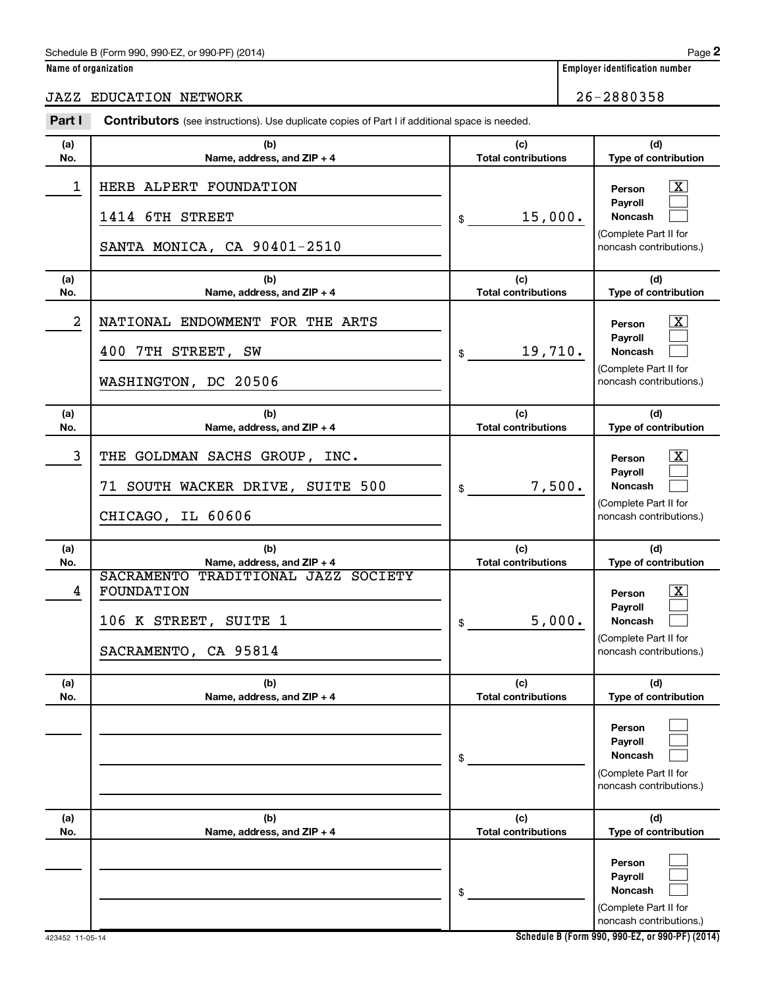#### Schedule B (Form 990, 990-EZ, or 990-PF) (2014)

|  | Name of organization |  |
|--|----------------------|--|
|  |                      |  |

JAZZ EDUCATION NETWORK 26-2880358

| Part I         | <b>Contributors</b> (see instructions). Use duplicate copies of Part I if additional space is needed.                            |                                            |                                                                                                                                            |  |  |
|----------------|----------------------------------------------------------------------------------------------------------------------------------|--------------------------------------------|--------------------------------------------------------------------------------------------------------------------------------------------|--|--|
| (a)<br>No.     | (b)<br>Name, address, and ZIP + 4                                                                                                | (c)<br><b>Total contributions</b>          | (d)<br>Type of contribution                                                                                                                |  |  |
| 1              | HERB ALPERT FOUNDATION<br>1414 6TH STREET<br>SANTA MONICA, CA 90401-2510                                                         | 15,000.<br>\$                              | $\mathbf{X}$<br>Person<br>Payroll<br>Noncash<br>(Complete Part II for<br>noncash contributions.)                                           |  |  |
| (a)<br>No.     | (b)<br>Name, address, and ZIP + 4                                                                                                | (c)<br><b>Total contributions</b>          | (d)<br>Type of contribution                                                                                                                |  |  |
| $\overline{a}$ | NATIONAL ENDOWMENT FOR THE ARTS<br>400 7TH STREET, SW<br>WASHINGTON, DC 20506                                                    | 19,710.<br>\$                              | $\mathbf{X}$<br>Person<br>Payroll<br><b>Noncash</b><br>(Complete Part II for<br>noncash contributions.)                                    |  |  |
| (a)<br>No.     | (b)<br>Name, address, and ZIP + 4                                                                                                | (c)<br><b>Total contributions</b>          | (d)<br>Type of contribution                                                                                                                |  |  |
| 3              | THE GOLDMAN SACHS GROUP, INC.<br>71 SOUTH WACKER DRIVE, SUITE 500<br>CHICAGO, IL 60606                                           | 7,500.<br>\$                               | $\mathbf{X}$<br>Person<br>Payroll<br><b>Noncash</b><br>(Complete Part II for<br>noncash contributions.)                                    |  |  |
| (a)            | (b)                                                                                                                              | (c)                                        | (d)                                                                                                                                        |  |  |
| No.<br>4       | Name, address, and ZIP + 4<br>SACRAMENTO TRADITIONAL JAZZ SOCIETY<br>FOUNDATION<br>106 K STREET, SUITE 1<br>SACRAMENTO, CA 95814 | <b>Total contributions</b><br>5,000.<br>\$ | Type of contribution<br>$\overline{\mathbf{X}}$<br>Person<br>Payroll<br><b>Noncash</b><br>(Complete Part II for<br>noncash contributions.) |  |  |
| (a)<br>No.     | (b)<br>Name, address, and ZIP + 4                                                                                                | (c)<br><b>Total contributions</b>          | (d)<br>Type of contribution                                                                                                                |  |  |
|                |                                                                                                                                  | \$                                         | Person<br>Payroll<br><b>Noncash</b><br>(Complete Part II for<br>noncash contributions.)                                                    |  |  |
| (a)<br>No.     | (b)<br>Name, address, and ZIP + 4                                                                                                | (c)<br><b>Total contributions</b>          | (d)<br>Type of contribution                                                                                                                |  |  |
|                |                                                                                                                                  | \$                                         | Person<br>Payroll<br><b>Noncash</b><br>(Complete Part II for<br>noncash contributions.)                                                    |  |  |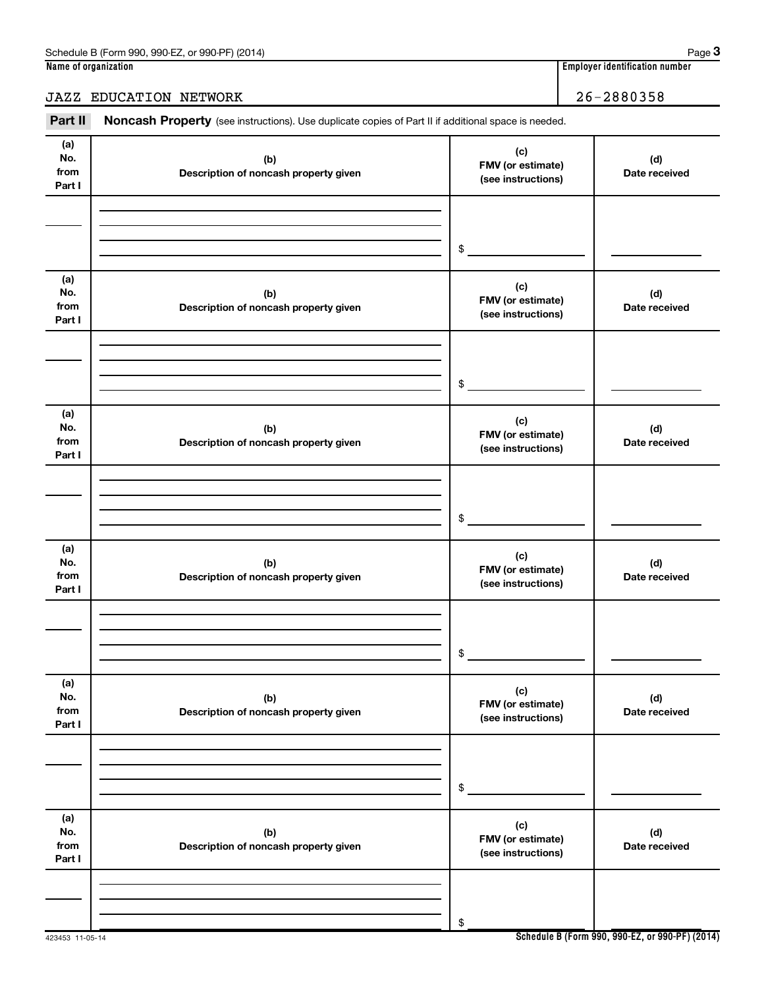## Part II Noncash Property (see instructions). Use duplicate copies of Part II if additional space is needed.

| (a)<br>No.<br>from<br>Part I | (b)<br>Description of noncash property given | (c)<br>FMV (or estimate)<br>(see instructions) | (d)<br>Date received |
|------------------------------|----------------------------------------------|------------------------------------------------|----------------------|
|                              |                                              |                                                |                      |
|                              |                                              | \$                                             |                      |
| (a)<br>No.<br>from<br>Part I | (b)<br>Description of noncash property given | (c)<br>FMV (or estimate)<br>(see instructions) | (d)<br>Date received |
|                              |                                              |                                                |                      |
|                              |                                              | \$                                             |                      |
| (a)<br>No.<br>from<br>Part I | (b)<br>Description of noncash property given | (c)<br>FMV (or estimate)<br>(see instructions) | (d)<br>Date received |
|                              |                                              |                                                |                      |
|                              |                                              |                                                |                      |
|                              |                                              | \$                                             |                      |
| (a)<br>No.<br>from<br>Part I | (b)<br>Description of noncash property given | (c)<br>FMV (or estimate)<br>(see instructions) | (d)<br>Date received |
|                              |                                              |                                                |                      |
|                              |                                              | \$                                             |                      |
| (a)                          |                                              |                                                |                      |
| No.<br>from<br>Part I        | (b)<br>Description of noncash property given | (c)<br>FMV (or estimate)<br>(see instructions) | (d)<br>Date received |
|                              |                                              |                                                |                      |
|                              |                                              | \$                                             |                      |
| (a)<br>No.<br>from<br>Part I | (b)<br>Description of noncash property given | (c)<br>FMV (or estimate)<br>(see instructions) | (d)<br>Date received |
|                              |                                              |                                                |                      |
|                              |                                              | \$                                             |                      |
|                              |                                              |                                                |                      |

JAZZ EDUCATION NETWORK 26-2880358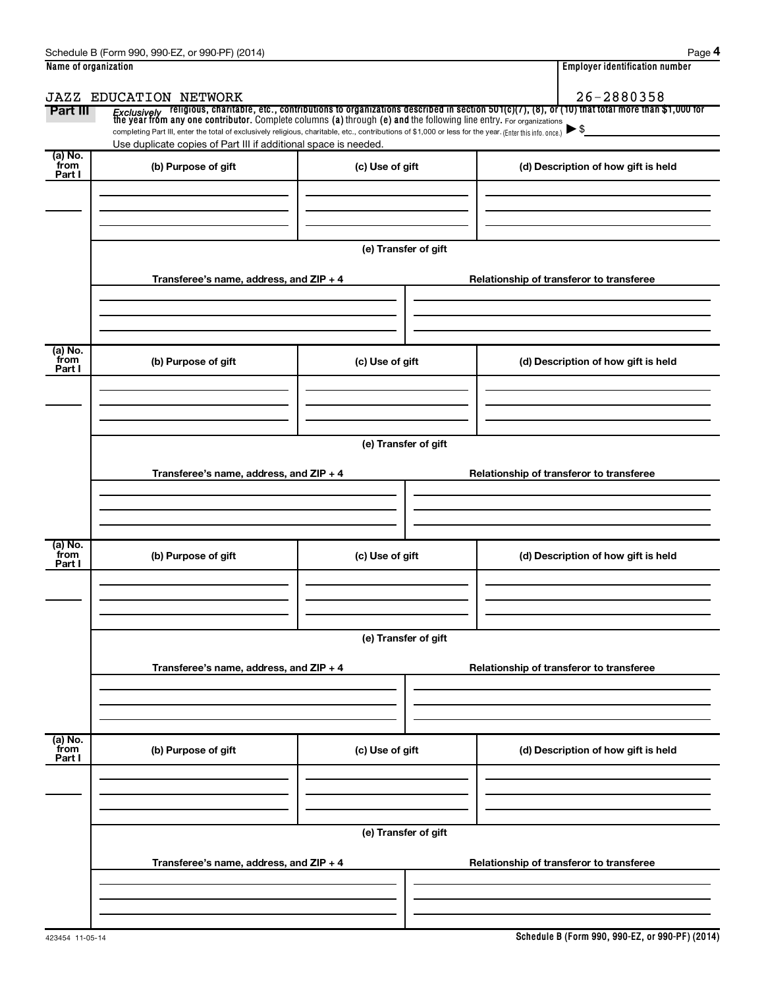| Name of organization      |                                                                                                                                                                                                                                         |                      |                                          | <b>Employer identification number</b>    |  |  |  |  |
|---------------------------|-----------------------------------------------------------------------------------------------------------------------------------------------------------------------------------------------------------------------------------------|----------------------|------------------------------------------|------------------------------------------|--|--|--|--|
|                           | <b>JAZZ EDUCATION NETWORK</b>                                                                                                                                                                                                           |                      |                                          | 26-2880358                               |  |  |  |  |
| Part III                  | <i>Exclusively</i> religious, charitable, etc., contributions to organizations described in section 501(c)(7), (8), or (10) that total more than \$1,000 for<br>the year from any one contributor. Complete columns (a) through (e) and |                      |                                          |                                          |  |  |  |  |
|                           | completing Part III, enter the total of exclusively religious, charitable, etc., contributions of \$1,000 or less for the year. (Enter this info. once.)                                                                                |                      |                                          | $\blacktriangleright$ \$                 |  |  |  |  |
| (a) No.                   | Use duplicate copies of Part III if additional space is needed.                                                                                                                                                                         |                      |                                          |                                          |  |  |  |  |
| from<br>Part I            | (b) Purpose of gift                                                                                                                                                                                                                     | (c) Use of gift      |                                          | (d) Description of how gift is held      |  |  |  |  |
|                           |                                                                                                                                                                                                                                         |                      |                                          |                                          |  |  |  |  |
|                           |                                                                                                                                                                                                                                         |                      |                                          |                                          |  |  |  |  |
|                           |                                                                                                                                                                                                                                         |                      |                                          |                                          |  |  |  |  |
|                           |                                                                                                                                                                                                                                         | (e) Transfer of gift |                                          |                                          |  |  |  |  |
|                           |                                                                                                                                                                                                                                         |                      |                                          |                                          |  |  |  |  |
|                           | Transferee's name, address, and ZIP + 4                                                                                                                                                                                                 |                      |                                          | Relationship of transferor to transferee |  |  |  |  |
|                           |                                                                                                                                                                                                                                         |                      |                                          |                                          |  |  |  |  |
|                           |                                                                                                                                                                                                                                         |                      |                                          |                                          |  |  |  |  |
| (a) No.                   |                                                                                                                                                                                                                                         |                      |                                          |                                          |  |  |  |  |
| from<br>Part I            | (b) Purpose of gift                                                                                                                                                                                                                     | (c) Use of gift      |                                          | (d) Description of how gift is held      |  |  |  |  |
|                           |                                                                                                                                                                                                                                         |                      |                                          |                                          |  |  |  |  |
|                           |                                                                                                                                                                                                                                         |                      |                                          |                                          |  |  |  |  |
|                           |                                                                                                                                                                                                                                         |                      |                                          |                                          |  |  |  |  |
|                           | (e) Transfer of gift                                                                                                                                                                                                                    |                      |                                          |                                          |  |  |  |  |
|                           |                                                                                                                                                                                                                                         |                      |                                          |                                          |  |  |  |  |
|                           | Transferee's name, address, and ZIP + 4                                                                                                                                                                                                 |                      | Relationship of transferor to transferee |                                          |  |  |  |  |
|                           |                                                                                                                                                                                                                                         |                      |                                          |                                          |  |  |  |  |
|                           |                                                                                                                                                                                                                                         |                      |                                          |                                          |  |  |  |  |
| (a) No.                   |                                                                                                                                                                                                                                         |                      |                                          |                                          |  |  |  |  |
| from<br>Part I            | (b) Purpose of gift                                                                                                                                                                                                                     | (c) Use of gift      |                                          | (d) Description of how gift is held      |  |  |  |  |
|                           |                                                                                                                                                                                                                                         |                      |                                          |                                          |  |  |  |  |
|                           |                                                                                                                                                                                                                                         |                      |                                          |                                          |  |  |  |  |
|                           |                                                                                                                                                                                                                                         |                      |                                          |                                          |  |  |  |  |
|                           | (e) Transfer of gift                                                                                                                                                                                                                    |                      |                                          |                                          |  |  |  |  |
|                           |                                                                                                                                                                                                                                         |                      |                                          |                                          |  |  |  |  |
|                           | Transferee's name, address, and ZIP + 4                                                                                                                                                                                                 |                      |                                          | Relationship of transferor to transferee |  |  |  |  |
|                           |                                                                                                                                                                                                                                         |                      |                                          |                                          |  |  |  |  |
|                           |                                                                                                                                                                                                                                         |                      |                                          |                                          |  |  |  |  |
|                           |                                                                                                                                                                                                                                         |                      |                                          |                                          |  |  |  |  |
| (a) No.<br>from<br>Part I | (b) Purpose of gift                                                                                                                                                                                                                     | (c) Use of gift      |                                          | (d) Description of how gift is held      |  |  |  |  |
|                           |                                                                                                                                                                                                                                         |                      |                                          |                                          |  |  |  |  |
|                           |                                                                                                                                                                                                                                         |                      |                                          |                                          |  |  |  |  |
|                           |                                                                                                                                                                                                                                         |                      |                                          |                                          |  |  |  |  |
|                           | (e) Transfer of gift                                                                                                                                                                                                                    |                      |                                          |                                          |  |  |  |  |
|                           |                                                                                                                                                                                                                                         |                      |                                          |                                          |  |  |  |  |
|                           | Transferee's name, address, and ZIP + 4                                                                                                                                                                                                 |                      |                                          | Relationship of transferor to transferee |  |  |  |  |
|                           |                                                                                                                                                                                                                                         |                      |                                          |                                          |  |  |  |  |
|                           |                                                                                                                                                                                                                                         |                      |                                          |                                          |  |  |  |  |
|                           |                                                                                                                                                                                                                                         |                      |                                          |                                          |  |  |  |  |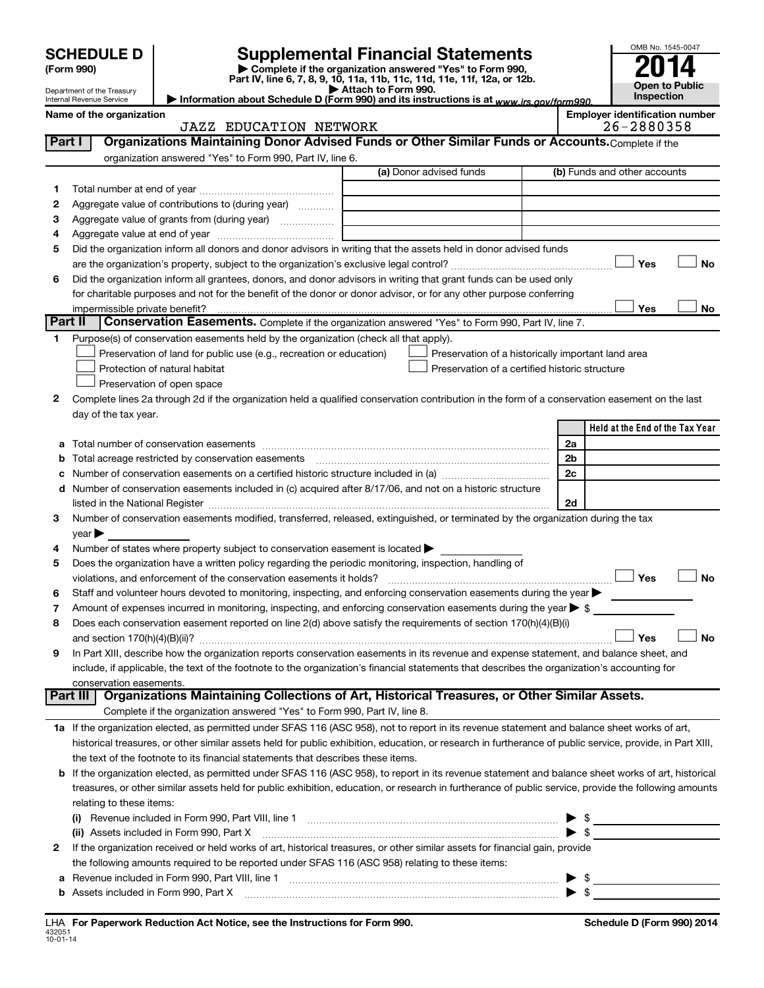|        |                                                      |                                                                                                        | <b>Supplemental Financial Statements</b>                                                                                                                                                                                       |  |    | OMB No. 1545-0047                                    |
|--------|------------------------------------------------------|--------------------------------------------------------------------------------------------------------|--------------------------------------------------------------------------------------------------------------------------------------------------------------------------------------------------------------------------------|--|----|------------------------------------------------------|
|        | <b>SCHEDULE D</b>                                    |                                                                                                        |                                                                                                                                                                                                                                |  |    |                                                      |
|        | (Form 990)                                           |                                                                                                        | Complete if the organization answered "Yes" to Form 990,<br>Part IV, line 6, 7, 8, 9, 10, 11a, 11b, 11c, 11d, 11e, 11f, 12a, or 12b.                                                                                           |  |    |                                                      |
|        | Department of the Treasury                           |                                                                                                        | <b>Open to Public</b><br>Inspection                                                                                                                                                                                            |  |    |                                                      |
|        | Internal Revenue Service<br>Name of the organization |                                                                                                        | Information about Schedule D (Form 990) and its instructions is at www.irs.gov/form990.                                                                                                                                        |  |    | <b>Employer identification number</b>                |
|        |                                                      | <b>JAZZ EDUCATION NETWORK</b>                                                                          |                                                                                                                                                                                                                                |  |    | 26-2880358                                           |
| Part I |                                                      |                                                                                                        | Organizations Maintaining Donor Advised Funds or Other Similar Funds or Accounts. Complete if the                                                                                                                              |  |    |                                                      |
|        |                                                      | organization answered "Yes" to Form 990, Part IV, line 6.                                              |                                                                                                                                                                                                                                |  |    |                                                      |
|        |                                                      |                                                                                                        | (a) Donor advised funds                                                                                                                                                                                                        |  |    | (b) Funds and other accounts                         |
| 1      |                                                      |                                                                                                        |                                                                                                                                                                                                                                |  |    |                                                      |
| 2      |                                                      | Aggregate value of contributions to (during year)                                                      |                                                                                                                                                                                                                                |  |    |                                                      |
| 3      |                                                      | Aggregate value of grants from (during year)                                                           |                                                                                                                                                                                                                                |  |    |                                                      |
| 4      |                                                      |                                                                                                        |                                                                                                                                                                                                                                |  |    |                                                      |
| 5      |                                                      |                                                                                                        | Did the organization inform all donors and donor advisors in writing that the assets held in donor advised funds                                                                                                               |  |    |                                                      |
|        |                                                      |                                                                                                        |                                                                                                                                                                                                                                |  |    | Yes<br>No                                            |
| 6      |                                                      |                                                                                                        | Did the organization inform all grantees, donors, and donor advisors in writing that grant funds can be used only                                                                                                              |  |    |                                                      |
|        |                                                      |                                                                                                        | for charitable purposes and not for the benefit of the donor or donor advisor, or for any other purpose conferring                                                                                                             |  |    |                                                      |
|        | impermissible private benefit?<br>Part II            |                                                                                                        | Conservation Easements. Complete if the organization answered "Yes" to Form 990, Part IV, line 7.                                                                                                                              |  |    | Yes<br>No                                            |
|        |                                                      |                                                                                                        |                                                                                                                                                                                                                                |  |    |                                                      |
| 1.     |                                                      | Purpose(s) of conservation easements held by the organization (check all that apply).                  |                                                                                                                                                                                                                                |  |    |                                                      |
|        |                                                      | Preservation of land for public use (e.g., recreation or education)<br>Protection of natural habitat   | Preservation of a historically important land area<br>Preservation of a certified historic structure                                                                                                                           |  |    |                                                      |
|        |                                                      | Preservation of open space                                                                             |                                                                                                                                                                                                                                |  |    |                                                      |
| 2      |                                                      |                                                                                                        | Complete lines 2a through 2d if the organization held a qualified conservation contribution in the form of a conservation easement on the last                                                                                 |  |    |                                                      |
|        | day of the tax year.                                 |                                                                                                        |                                                                                                                                                                                                                                |  |    |                                                      |
|        |                                                      |                                                                                                        |                                                                                                                                                                                                                                |  |    | Held at the End of the Tax Year                      |
| а      |                                                      |                                                                                                        |                                                                                                                                                                                                                                |  | 2a |                                                      |
| b      |                                                      | Total acreage restricted by conservation easements                                                     |                                                                                                                                                                                                                                |  | 2b |                                                      |
| c      |                                                      |                                                                                                        |                                                                                                                                                                                                                                |  | 2c |                                                      |
|        |                                                      |                                                                                                        | d Number of conservation easements included in (c) acquired after 8/17/06, and not on a historic structure                                                                                                                     |  |    |                                                      |
|        |                                                      |                                                                                                        | listed in the National Register [111] [12] International methods in the National Register [11] International methods in the National Register [11] International methods in the National Register [11] International methods i |  | 2d |                                                      |
| 3      |                                                      |                                                                                                        | Number of conservation easements modified, transferred, released, extinguished, or terminated by the organization during the tax                                                                                               |  |    |                                                      |
|        | $year \blacktriangleright$                           |                                                                                                        |                                                                                                                                                                                                                                |  |    |                                                      |
| 4      |                                                      | Number of states where property subject to conservation easement is located >                          |                                                                                                                                                                                                                                |  |    |                                                      |
| 5      |                                                      | Does the organization have a written policy regarding the periodic monitoring, inspection, handling of |                                                                                                                                                                                                                                |  |    |                                                      |
|        |                                                      | violations, and enforcement of the conservation easements it holds?                                    |                                                                                                                                                                                                                                |  |    | Yes<br>No                                            |
| 6      |                                                      |                                                                                                        | Staff and volunteer hours devoted to monitoring, inspecting, and enforcing conservation easements during the year $\blacktriangleright$                                                                                        |  |    |                                                      |
| 7      |                                                      |                                                                                                        | Amount of expenses incurred in monitoring, inspecting, and enforcing conservation easements during the year $\triangleright$ \$                                                                                                |  |    |                                                      |
| 8      |                                                      |                                                                                                        | Does each conservation easement reported on line 2(d) above satisfy the requirements of section 170(h)(4)(B)(i)                                                                                                                |  |    |                                                      |
|        |                                                      |                                                                                                        |                                                                                                                                                                                                                                |  |    | <b>No</b><br>Yes                                     |
| 9      |                                                      |                                                                                                        | In Part XIII, describe how the organization reports conservation easements in its revenue and expense statement, and balance sheet, and                                                                                        |  |    |                                                      |
|        |                                                      |                                                                                                        | include, if applicable, the text of the footnote to the organization's financial statements that describes the organization's accounting for                                                                                   |  |    |                                                      |
|        | conservation easements.                              |                                                                                                        |                                                                                                                                                                                                                                |  |    |                                                      |
|        | Part III                                             |                                                                                                        | Organizations Maintaining Collections of Art, Historical Treasures, or Other Similar Assets.                                                                                                                                   |  |    |                                                      |
|        |                                                      | Complete if the organization answered "Yes" to Form 990, Part IV, line 8.                              |                                                                                                                                                                                                                                |  |    |                                                      |
|        |                                                      |                                                                                                        | 1a If the organization elected, as permitted under SFAS 116 (ASC 958), not to report in its revenue statement and balance sheet works of art,                                                                                  |  |    |                                                      |
|        |                                                      |                                                                                                        | historical treasures, or other similar assets held for public exhibition, education, or research in furtherance of public service, provide, in Part XIII,                                                                      |  |    |                                                      |
|        |                                                      | the text of the footnote to its financial statements that describes these items.                       |                                                                                                                                                                                                                                |  |    |                                                      |
| b      |                                                      |                                                                                                        | If the organization elected, as permitted under SFAS 116 (ASC 958), to report in its revenue statement and balance sheet works of art, historical                                                                              |  |    |                                                      |
|        | relating to these items:                             |                                                                                                        | treasures, or other similar assets held for public exhibition, education, or research in furtherance of public service, provide the following amounts                                                                          |  |    |                                                      |
|        |                                                      |                                                                                                        |                                                                                                                                                                                                                                |  |    |                                                      |
|        |                                                      |                                                                                                        | (i) Revenue included in Form 990, Part VIII, line 1 [2000] [2010] CHERRY REVENUES TO REVENUES THE REVENUES TO REVENUES THE REVENUES THE REVENUES THE REVENUES THE REVENUES THE REVENUES THE REVENUES THE REVENUES THE REVENUES |  |    | $\blacktriangleright$ \$                             |
| 2      |                                                      |                                                                                                        | If the organization received or held works of art, historical treasures, or other similar assets for financial gain, provide                                                                                                   |  |    | $\triangleright$ \$                                  |
|        |                                                      | the following amounts required to be reported under SFAS 116 (ASC 958) relating to these items:        |                                                                                                                                                                                                                                |  |    |                                                      |
| а      |                                                      |                                                                                                        |                                                                                                                                                                                                                                |  |    |                                                      |
|        |                                                      |                                                                                                        |                                                                                                                                                                                                                                |  |    | $\blacktriangleright$ \$<br>$\blacktriangleright$ \$ |
|        |                                                      |                                                                                                        |                                                                                                                                                                                                                                |  |    |                                                      |

432051 10-01-14 **For Paperwork Reduction Act Notice, see the Instructions for Form 990. Schedule D (Form 990) 2014** LHA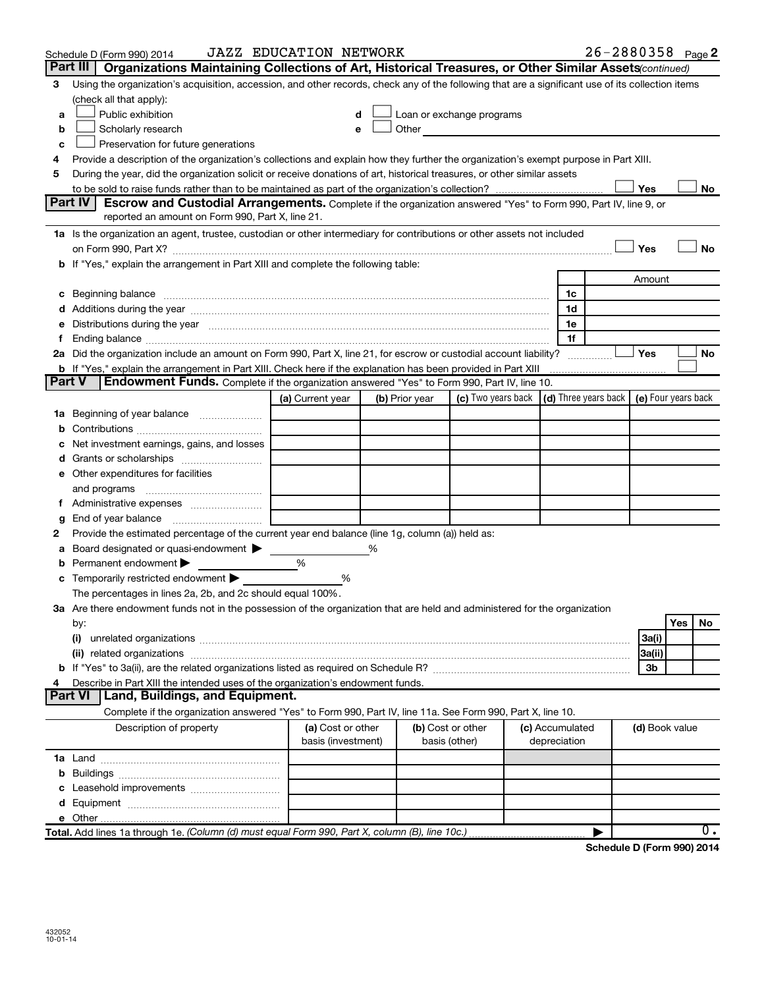|               | Schedule D (Form 990) 2014                                                                                                                                                                                                     | <b>JAZZ EDUCATION NETWORK</b>           |                |                                    |                                 | 26-2880358 Page 2                                |           |
|---------------|--------------------------------------------------------------------------------------------------------------------------------------------------------------------------------------------------------------------------------|-----------------------------------------|----------------|------------------------------------|---------------------------------|--------------------------------------------------|-----------|
| Part III      | Organizations Maintaining Collections of Art, Historical Treasures, or Other Similar Assets (continued)                                                                                                                        |                                         |                |                                    |                                 |                                                  |           |
| 3             | Using the organization's acquisition, accession, and other records, check any of the following that are a significant use of its collection items                                                                              |                                         |                |                                    |                                 |                                                  |           |
|               | (check all that apply):                                                                                                                                                                                                        |                                         |                |                                    |                                 |                                                  |           |
| a             | Public exhibition                                                                                                                                                                                                              | d                                       |                | Loan or exchange programs          |                                 |                                                  |           |
| b             | Scholarly research                                                                                                                                                                                                             | e                                       | Other          |                                    |                                 |                                                  |           |
| c             | Preservation for future generations                                                                                                                                                                                            |                                         |                |                                    |                                 |                                                  |           |
|               | Provide a description of the organization's collections and explain how they further the organization's exempt purpose in Part XIII.                                                                                           |                                         |                |                                    |                                 |                                                  |           |
| 5             | During the year, did the organization solicit or receive donations of art, historical treasures, or other similar assets                                                                                                       |                                         |                |                                    |                                 |                                                  |           |
|               |                                                                                                                                                                                                                                |                                         |                |                                    |                                 | Yes                                              | No        |
|               | Part IV<br>Escrow and Custodial Arrangements. Complete if the organization answered "Yes" to Form 990, Part IV, line 9, or                                                                                                     |                                         |                |                                    |                                 |                                                  |           |
|               | reported an amount on Form 990, Part X, line 21.                                                                                                                                                                               |                                         |                |                                    |                                 |                                                  |           |
|               | 1a Is the organization an agent, trustee, custodian or other intermediary for contributions or other assets not included                                                                                                       |                                         |                |                                    |                                 |                                                  |           |
|               |                                                                                                                                                                                                                                |                                         |                |                                    |                                 | Yes                                              | <b>No</b> |
|               | b If "Yes," explain the arrangement in Part XIII and complete the following table:                                                                                                                                             |                                         |                |                                    |                                 |                                                  |           |
|               |                                                                                                                                                                                                                                |                                         |                |                                    |                                 | Amount                                           |           |
|               |                                                                                                                                                                                                                                |                                         |                |                                    | 1c                              |                                                  |           |
|               |                                                                                                                                                                                                                                |                                         |                |                                    | 1d                              |                                                  |           |
|               | Distributions during the year manufactured and an account of the year manufactured and the year manufactured and the year manufactured and the year manufactured and the year manufactured and the year manufactured and the y |                                         |                |                                    | 1e                              |                                                  |           |
|               |                                                                                                                                                                                                                                |                                         |                |                                    | 1f                              |                                                  |           |
|               | 2a Did the organization include an amount on Form 990, Part X, line 21, for escrow or custodial account liability?                                                                                                             |                                         |                |                                    |                                 | Yes                                              | No        |
|               | b If "Yes," explain the arrangement in Part XIII. Check here if the explanation has been provided in Part XIII                                                                                                                 |                                         |                |                                    |                                 |                                                  |           |
| <b>Part V</b> | <b>Endowment Funds.</b> Complete if the organization answered "Yes" to Form 990, Part IV, line 10.                                                                                                                             |                                         |                |                                    |                                 |                                                  |           |
|               |                                                                                                                                                                                                                                | (a) Current year                        | (b) Prior year | (c) Two years back                 |                                 | (d) Three years back $\vert$ (e) Four years back |           |
| 1a            | Beginning of year balance                                                                                                                                                                                                      |                                         |                |                                    |                                 |                                                  |           |
| b             |                                                                                                                                                                                                                                |                                         |                |                                    |                                 |                                                  |           |
|               | Net investment earnings, gains, and losses                                                                                                                                                                                     |                                         |                |                                    |                                 |                                                  |           |
|               |                                                                                                                                                                                                                                |                                         |                |                                    |                                 |                                                  |           |
|               | e Other expenditures for facilities                                                                                                                                                                                            |                                         |                |                                    |                                 |                                                  |           |
|               | and programs                                                                                                                                                                                                                   |                                         |                |                                    |                                 |                                                  |           |
|               | Administrative expenses                                                                                                                                                                                                        |                                         |                |                                    |                                 |                                                  |           |
| g             | End of year balance                                                                                                                                                                                                            |                                         |                |                                    |                                 |                                                  |           |
| 2             | Provide the estimated percentage of the current year end balance (line 1g, column (a)) held as:                                                                                                                                |                                         | %              |                                    |                                 |                                                  |           |
|               | Board designated or quasi-endowment<br>Permanent endowment                                                                                                                                                                     | %                                       |                |                                    |                                 |                                                  |           |
|               | Temporarily restricted endowment                                                                                                                                                                                               | %                                       |                |                                    |                                 |                                                  |           |
|               | The percentages in lines 2a, 2b, and 2c should equal 100%.                                                                                                                                                                     |                                         |                |                                    |                                 |                                                  |           |
|               | 3a Are there endowment funds not in the possession of the organization that are held and administered for the organization                                                                                                     |                                         |                |                                    |                                 |                                                  |           |
|               | by:                                                                                                                                                                                                                            |                                         |                |                                    |                                 |                                                  | Yes<br>No |
|               | (i)                                                                                                                                                                                                                            |                                         |                |                                    |                                 | 3a(i)                                            |           |
|               |                                                                                                                                                                                                                                |                                         |                |                                    |                                 | 3a(ii)                                           |           |
|               |                                                                                                                                                                                                                                |                                         |                |                                    |                                 | 3b                                               |           |
|               | Describe in Part XIII the intended uses of the organization's endowment funds.                                                                                                                                                 |                                         |                |                                    |                                 |                                                  |           |
|               | Land, Buildings, and Equipment.<br><b>Part VI</b>                                                                                                                                                                              |                                         |                |                                    |                                 |                                                  |           |
|               | Complete if the organization answered "Yes" to Form 990, Part IV, line 11a. See Form 990, Part X, line 10.                                                                                                                     |                                         |                |                                    |                                 |                                                  |           |
|               | Description of property                                                                                                                                                                                                        | (a) Cost or other<br>basis (investment) |                | (b) Cost or other<br>basis (other) | (c) Accumulated<br>depreciation | (d) Book value                                   |           |
|               |                                                                                                                                                                                                                                |                                         |                |                                    |                                 |                                                  |           |
|               |                                                                                                                                                                                                                                |                                         |                |                                    |                                 |                                                  |           |
|               |                                                                                                                                                                                                                                |                                         |                |                                    |                                 |                                                  |           |
|               |                                                                                                                                                                                                                                |                                         |                |                                    |                                 |                                                  |           |
|               |                                                                                                                                                                                                                                |                                         |                |                                    |                                 |                                                  |           |
|               | Total. Add lines 1a through 1e. (Column (d) must equal Form 990, Part X, column (B), line 10c.)                                                                                                                                |                                         |                |                                    |                                 |                                                  | 0.        |
|               |                                                                                                                                                                                                                                |                                         |                |                                    |                                 | $P^{\prime}$                                     |           |

**Schedule D (Form 990) 2014**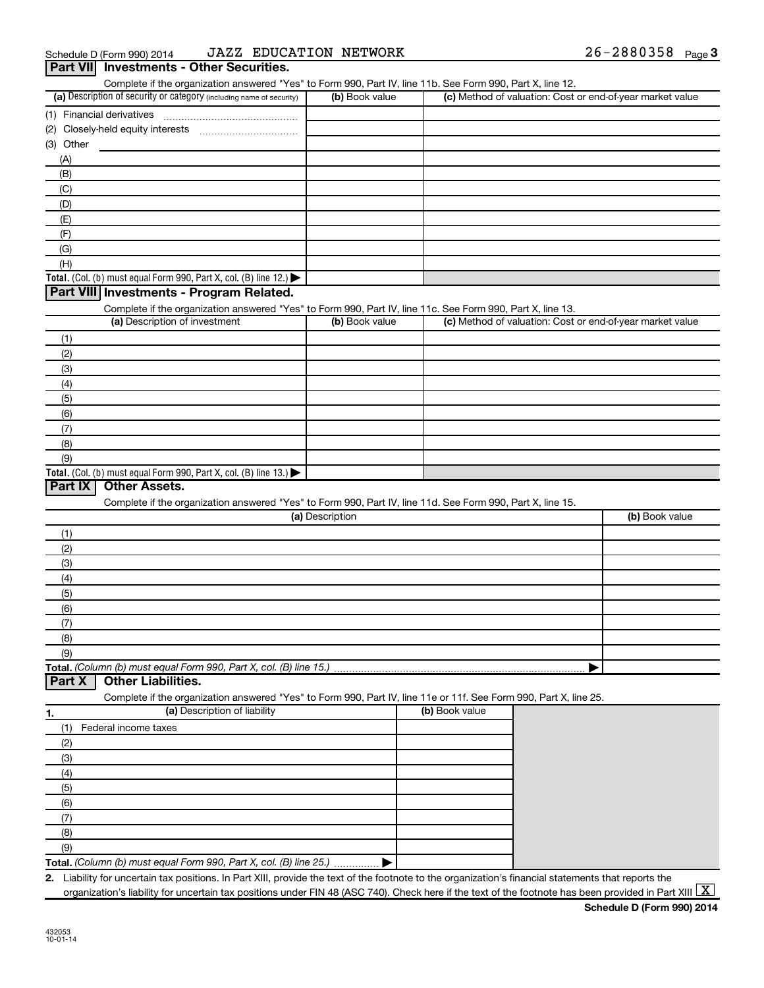| Complete if the organization answered "Yes" to Form 990, Part IV, line 11b. See Form 990, Part X, line 12.<br>(a) Description of security or category (including name of security) | (b) Book value  |                | (c) Method of valuation: Cost or end-of-year market value |                |
|------------------------------------------------------------------------------------------------------------------------------------------------------------------------------------|-----------------|----------------|-----------------------------------------------------------|----------------|
|                                                                                                                                                                                    |                 |                |                                                           |                |
|                                                                                                                                                                                    |                 |                |                                                           |                |
| (3) Other                                                                                                                                                                          |                 |                |                                                           |                |
| (A)                                                                                                                                                                                |                 |                |                                                           |                |
| (B)                                                                                                                                                                                |                 |                |                                                           |                |
| (C)                                                                                                                                                                                |                 |                |                                                           |                |
| (D)                                                                                                                                                                                |                 |                |                                                           |                |
| (E)                                                                                                                                                                                |                 |                |                                                           |                |
| (F)                                                                                                                                                                                |                 |                |                                                           |                |
| (G)                                                                                                                                                                                |                 |                |                                                           |                |
|                                                                                                                                                                                    |                 |                |                                                           |                |
| (H)                                                                                                                                                                                |                 |                |                                                           |                |
| <b>Total.</b> (Col. (b) must equal Form 990, Part X, col. (B) line 12.) $\blacktriangleright$                                                                                      |                 |                |                                                           |                |
| Part VIII Investments - Program Related.                                                                                                                                           |                 |                |                                                           |                |
| Complete if the organization answered "Yes" to Form 990, Part IV, line 11c. See Form 990, Part X, line 13.<br>(a) Description of investment                                        | (b) Book value  |                | (c) Method of valuation: Cost or end-of-year market value |                |
|                                                                                                                                                                                    |                 |                |                                                           |                |
| (1)                                                                                                                                                                                |                 |                |                                                           |                |
| (2)                                                                                                                                                                                |                 |                |                                                           |                |
| (3)                                                                                                                                                                                |                 |                |                                                           |                |
| (4)                                                                                                                                                                                |                 |                |                                                           |                |
| (5)                                                                                                                                                                                |                 |                |                                                           |                |
| (6)                                                                                                                                                                                |                 |                |                                                           |                |
| (7)                                                                                                                                                                                |                 |                |                                                           |                |
| (8)                                                                                                                                                                                |                 |                |                                                           |                |
| (9)                                                                                                                                                                                |                 |                |                                                           |                |
| Complete if the organization answered "Yes" to Form 990, Part IV, line 11d. See Form 990, Part X, line 15.                                                                         | (a) Description |                |                                                           | (b) Book value |
| (1)                                                                                                                                                                                |                 |                |                                                           |                |
| (2)                                                                                                                                                                                |                 |                |                                                           |                |
| (3)                                                                                                                                                                                |                 |                |                                                           |                |
| (4)                                                                                                                                                                                |                 |                |                                                           |                |
| (5)                                                                                                                                                                                |                 |                |                                                           |                |
| (6)                                                                                                                                                                                |                 |                |                                                           |                |
| (7)                                                                                                                                                                                |                 |                |                                                           |                |
| (8)                                                                                                                                                                                |                 |                |                                                           |                |
| (9)                                                                                                                                                                                |                 |                |                                                           |                |
| Total. (Column (b) must equal Form 990, Part X, col. (B) line 15.)                                                                                                                 |                 |                |                                                           |                |
| <b>Other Liabilities.</b><br>Part X                                                                                                                                                |                 |                |                                                           |                |
| Complete if the organization answered "Yes" to Form 990, Part IV, line 11e or 11f. See Form 990, Part X, line 25.                                                                  |                 |                |                                                           |                |
| (a) Description of liability                                                                                                                                                       |                 | (b) Book value |                                                           |                |
| Federal income taxes<br>(1)                                                                                                                                                        |                 |                |                                                           |                |
| (2)                                                                                                                                                                                |                 |                |                                                           |                |
| (3)                                                                                                                                                                                |                 |                |                                                           |                |
| (4)                                                                                                                                                                                |                 |                |                                                           |                |
|                                                                                                                                                                                    |                 |                |                                                           |                |
|                                                                                                                                                                                    |                 |                |                                                           |                |
| (5)                                                                                                                                                                                |                 |                |                                                           |                |
| (6)                                                                                                                                                                                |                 |                |                                                           |                |
| (7)                                                                                                                                                                                |                 |                |                                                           |                |
| (8)                                                                                                                                                                                |                 |                |                                                           |                |
| (9)<br>Total. (Column (b) must equal Form 990, Part X, col. (B) line 25.) ▶                                                                                                        |                 |                |                                                           |                |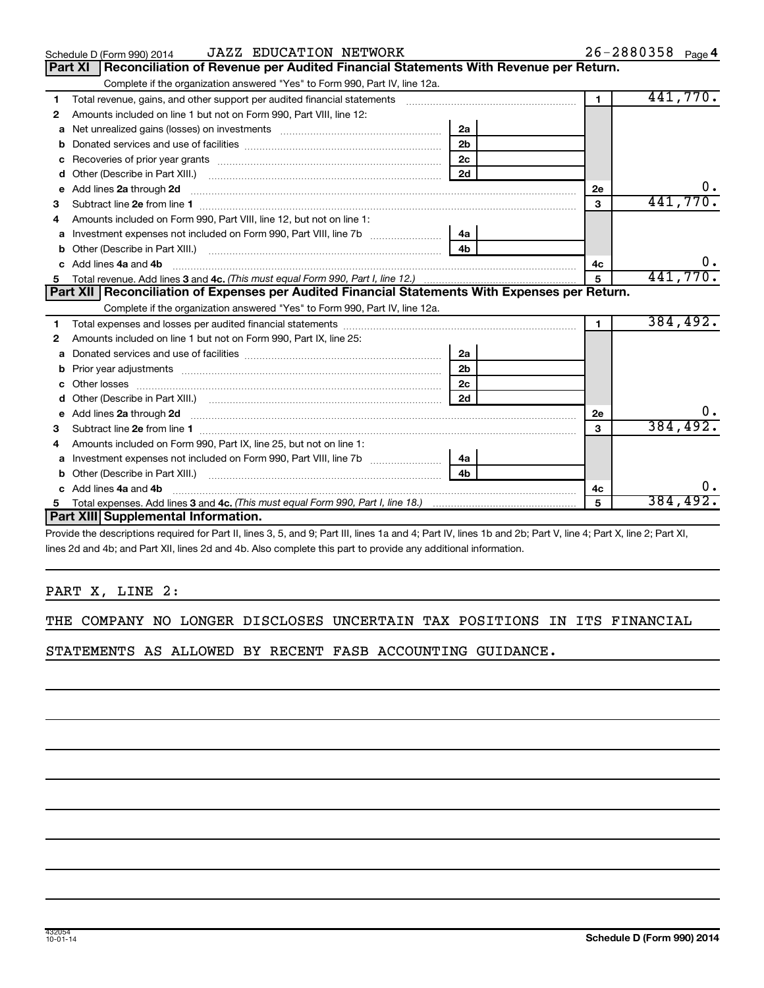|    | <b>JAZZ EDUCATION NETWORK</b><br>Schedule D (Form 990) 2014                                                            |                |                | $26 - 2880358$ Page 4 |
|----|------------------------------------------------------------------------------------------------------------------------|----------------|----------------|-----------------------|
|    | Reconciliation of Revenue per Audited Financial Statements With Revenue per Return.<br>Part XI                         |                |                |                       |
|    | Complete if the organization answered "Yes" to Form 990, Part IV, line 12a.                                            |                |                |                       |
| 1  | Total revenue, gains, and other support per audited financial statements                                               |                | $\overline{1}$ | 441,770.              |
| 2  | Amounts included on line 1 but not on Form 990, Part VIII, line 12:                                                    |                |                |                       |
| a  |                                                                                                                        | 2a             |                |                       |
|    |                                                                                                                        | 2 <sub>b</sub> |                |                       |
| c  |                                                                                                                        | 2 <sub>c</sub> |                |                       |
| d  |                                                                                                                        | 2d             |                |                       |
| е  | Add lines 2a through 2d                                                                                                |                | 2е             | 0.                    |
| 3  |                                                                                                                        |                | 3              | 441,770.              |
| 4  | Amounts included on Form 990, Part VIII, line 12, but not on line 1:                                                   |                |                |                       |
|    | Investment expenses not included on Form 990, Part VIII, line 7b [ <i>[[[[[[[[[[[[]]]</i> ]                            | 4a             |                |                       |
| b  |                                                                                                                        |                |                |                       |
| c. | Add lines 4a and 4b                                                                                                    | 4с             | 0.             |                       |
|    |                                                                                                                        | 5              | 441,770.       |                       |
|    |                                                                                                                        |                |                |                       |
|    | Part XII Reconciliation of Expenses per Audited Financial Statements With Expenses per Return.                         |                |                |                       |
|    | Complete if the organization answered "Yes" to Form 990, Part IV, line 12a.                                            |                |                |                       |
| 1  |                                                                                                                        |                | $\mathbf{1}$   | 384,492.              |
| 2  | Amounts included on line 1 but not on Form 990, Part IX, line 25:                                                      |                |                |                       |
| a  |                                                                                                                        | 2a             |                |                       |
|    |                                                                                                                        | 2 <sub>b</sub> |                |                       |
|    |                                                                                                                        | 2 <sub>c</sub> |                |                       |
| d  |                                                                                                                        | 2d             |                |                       |
| е  | Add lines 2a through 2d <b>contained a contained a contained a contained a</b> contained a contained a contact the set |                | 2е             |                       |
| з  |                                                                                                                        |                | 3              | 384,492.              |
| 4  | Amounts included on Form 990, Part IX, line 25, but not on line 1:                                                     |                |                |                       |
| a  | Investment expenses not included on Form 990, Part VIII, line 7b [11, 111, 120]                                        | 4a             |                |                       |
|    | Other (Describe in Part XIII.) [100] [2010] [2010] [2010] [2010] [2010] [2010] [2010] [2010] [2010] [2010] [20         | 4 <sub>b</sub> |                |                       |
| c. | Add lines 4a and 4b                                                                                                    |                | 4с             |                       |
|    | Part XIII Supplemental Information.                                                                                    |                | 5              | 384,492.              |

Provide the descriptions required for Part II, lines 3, 5, and 9; Part III, lines 1a and 4; Part IV, lines 1b and 2b; Part V, line 4; Part X, line 2; Part XI, lines 2d and 4b; and Part XII, lines 2d and 4b. Also complete this part to provide any additional information.

#### PART X, LINE 2:

|  |  | THE COMPANY NO LONGER DISCLOSES UNCERTAIN TAX POSITIONS IN ITS FINANCIAL |  |  |  |
|--|--|--------------------------------------------------------------------------|--|--|--|
|  |  |                                                                          |  |  |  |

STATEMENTS AS ALLOWED BY RECENT FASB ACCOUNTING GUIDANCE.